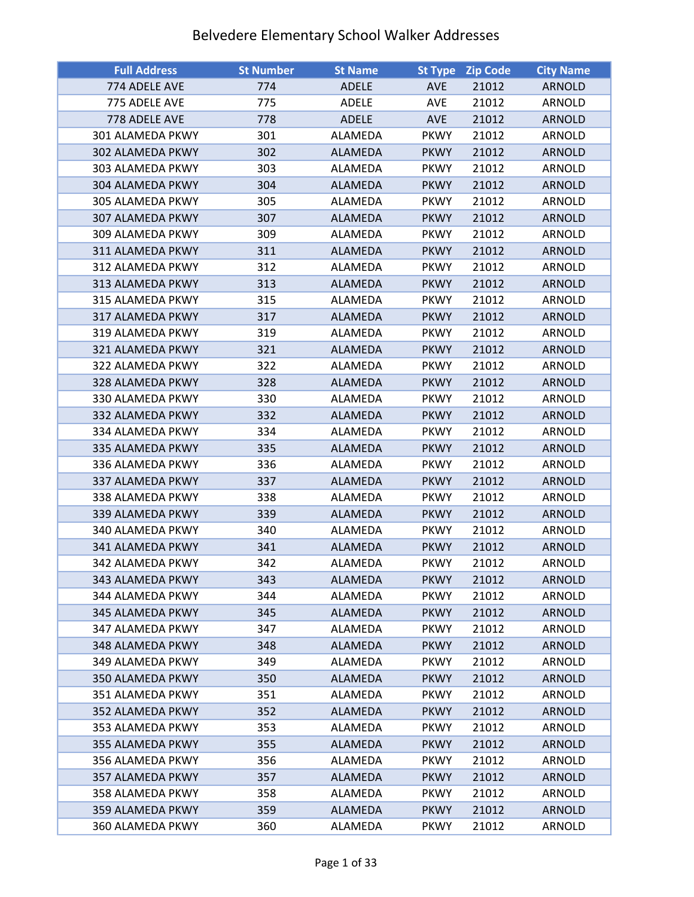| <b>Full Address</b> | <b>St Number</b> | <b>St Name</b> | <b>St Type</b> | <b>Zip Code</b> | <b>City Name</b> |
|---------------------|------------------|----------------|----------------|-----------------|------------------|
| 774 ADELE AVE       | 774              | <b>ADELE</b>   | <b>AVE</b>     | 21012           | <b>ARNOLD</b>    |
| 775 ADELE AVE       | 775              | ADELE          | <b>AVE</b>     | 21012           | ARNOLD           |
| 778 ADELE AVE       | 778              | <b>ADELE</b>   | <b>AVE</b>     | 21012           | <b>ARNOLD</b>    |
| 301 ALAMEDA PKWY    | 301              | ALAMEDA        | <b>PKWY</b>    | 21012           | ARNOLD           |
| 302 ALAMEDA PKWY    | 302              | <b>ALAMEDA</b> | <b>PKWY</b>    | 21012           | <b>ARNOLD</b>    |
| 303 ALAMEDA PKWY    | 303              | ALAMEDA        | <b>PKWY</b>    | 21012           | ARNOLD           |
| 304 ALAMEDA PKWY    | 304              | ALAMEDA        | <b>PKWY</b>    | 21012           | <b>ARNOLD</b>    |
| 305 ALAMEDA PKWY    | 305              | ALAMEDA        | <b>PKWY</b>    | 21012           | ARNOLD           |
| 307 ALAMEDA PKWY    | 307              | ALAMEDA        | <b>PKWY</b>    | 21012           | <b>ARNOLD</b>    |
| 309 ALAMEDA PKWY    | 309              | ALAMEDA        | <b>PKWY</b>    | 21012           | ARNOLD           |
| 311 ALAMEDA PKWY    | 311              | ALAMEDA        | <b>PKWY</b>    | 21012           | <b>ARNOLD</b>    |
| 312 ALAMEDA PKWY    | 312              | ALAMEDA        | <b>PKWY</b>    | 21012           | ARNOLD           |
| 313 ALAMEDA PKWY    | 313              | <b>ALAMEDA</b> | <b>PKWY</b>    | 21012           | <b>ARNOLD</b>    |
| 315 ALAMEDA PKWY    | 315              | ALAMEDA        | <b>PKWY</b>    | 21012           | ARNOLD           |
| 317 ALAMEDA PKWY    | 317              | <b>ALAMEDA</b> | <b>PKWY</b>    | 21012           | <b>ARNOLD</b>    |
| 319 ALAMEDA PKWY    | 319              | ALAMEDA        | <b>PKWY</b>    | 21012           | ARNOLD           |
| 321 ALAMEDA PKWY    | 321              | <b>ALAMEDA</b> | <b>PKWY</b>    | 21012           | <b>ARNOLD</b>    |
| 322 ALAMEDA PKWY    | 322              | ALAMEDA        | <b>PKWY</b>    | 21012           | ARNOLD           |
| 328 ALAMEDA PKWY    | 328              | <b>ALAMEDA</b> | <b>PKWY</b>    | 21012           | <b>ARNOLD</b>    |
| 330 ALAMEDA PKWY    | 330              | ALAMEDA        | <b>PKWY</b>    | 21012           | <b>ARNOLD</b>    |
| 332 ALAMEDA PKWY    | 332              | ALAMEDA        | <b>PKWY</b>    | 21012           | <b>ARNOLD</b>    |
| 334 ALAMEDA PKWY    | 334              | ALAMEDA        | <b>PKWY</b>    | 21012           | ARNOLD           |
| 335 ALAMEDA PKWY    | 335              | ALAMEDA        | <b>PKWY</b>    | 21012           | <b>ARNOLD</b>    |
| 336 ALAMEDA PKWY    | 336              | ALAMEDA        | <b>PKWY</b>    | 21012           | ARNOLD           |
| 337 ALAMEDA PKWY    | 337              | ALAMEDA        | <b>PKWY</b>    | 21012           | <b>ARNOLD</b>    |
| 338 ALAMEDA PKWY    | 338              | ALAMEDA        | <b>PKWY</b>    | 21012           | ARNOLD           |
| 339 ALAMEDA PKWY    | 339              | ALAMEDA        | <b>PKWY</b>    | 21012           | <b>ARNOLD</b>    |
| 340 ALAMEDA PKWY    | 340              | ALAMEDA        | <b>PKWY</b>    | 21012           | ARNOLD           |
| 341 ALAMEDA PKWY    | 341              | <b>ALAMEDA</b> | <b>PKWY</b>    | 21012           | <b>ARNOLD</b>    |
| 342 ALAMEDA PKWY    | 342              | ALAMEDA        | <b>PKWY</b>    | 21012           | ARNOLD           |
| 343 ALAMEDA PKWY    | 343              | ALAMEDA        | <b>PKWY</b>    | 21012           | ARNOLD           |
| 344 ALAMEDA PKWY    | 344              | ALAMEDA        | <b>PKWY</b>    | 21012           | ARNOLD           |
| 345 ALAMEDA PKWY    | 345              | <b>ALAMEDA</b> | <b>PKWY</b>    | 21012           | <b>ARNOLD</b>    |
| 347 ALAMEDA PKWY    | 347              | ALAMEDA        | <b>PKWY</b>    | 21012           | ARNOLD           |
| 348 ALAMEDA PKWY    | 348              | <b>ALAMEDA</b> | <b>PKWY</b>    | 21012           | <b>ARNOLD</b>    |
| 349 ALAMEDA PKWY    | 349              | ALAMEDA        | <b>PKWY</b>    | 21012           | ARNOLD           |
| 350 ALAMEDA PKWY    | 350              | ALAMEDA        | <b>PKWY</b>    | 21012           | ARNOLD           |
| 351 ALAMEDA PKWY    | 351              | ALAMEDA        | <b>PKWY</b>    | 21012           | ARNOLD           |
| 352 ALAMEDA PKWY    | 352              | <b>ALAMEDA</b> | <b>PKWY</b>    | 21012           | <b>ARNOLD</b>    |
| 353 ALAMEDA PKWY    | 353              | ALAMEDA        | <b>PKWY</b>    | 21012           | ARNOLD           |
| 355 ALAMEDA PKWY    | 355              | <b>ALAMEDA</b> | <b>PKWY</b>    | 21012           | <b>ARNOLD</b>    |
| 356 ALAMEDA PKWY    | 356              | ALAMEDA        | <b>PKWY</b>    | 21012           | ARNOLD           |
| 357 ALAMEDA PKWY    | 357              | <b>ALAMEDA</b> | <b>PKWY</b>    | 21012           | <b>ARNOLD</b>    |
| 358 ALAMEDA PKWY    | 358              | ALAMEDA        | <b>PKWY</b>    | 21012           | ARNOLD           |
| 359 ALAMEDA PKWY    | 359              | ALAMEDA        | <b>PKWY</b>    | 21012           | <b>ARNOLD</b>    |
| 360 ALAMEDA PKWY    | 360              | ALAMEDA        | <b>PKWY</b>    | 21012           | ARNOLD           |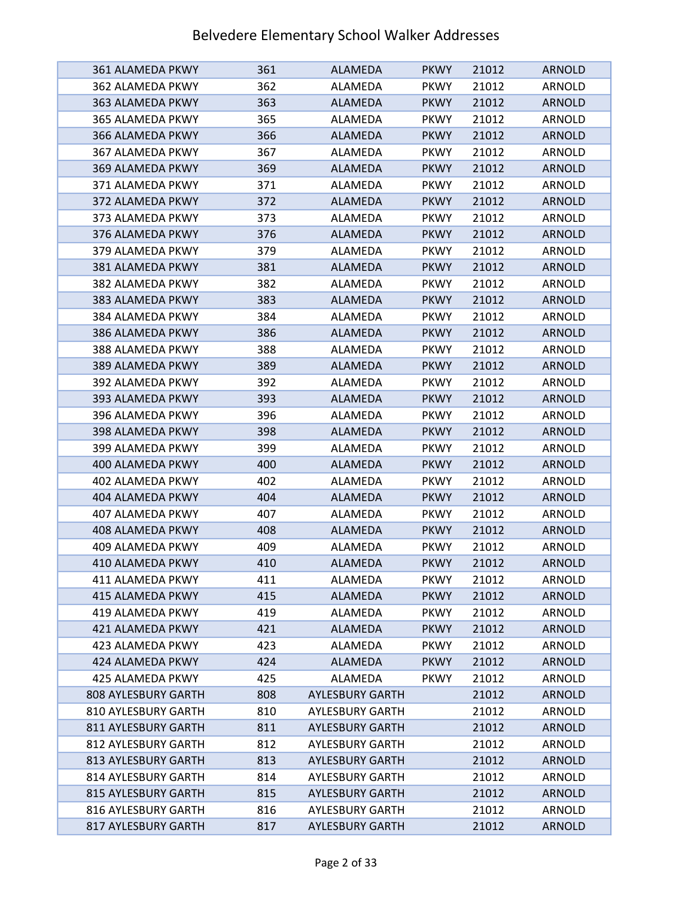| 361 ALAMEDA PKWY           | 361 | <b>ALAMEDA</b>         | <b>PKWY</b> | 21012 | <b>ARNOLD</b> |
|----------------------------|-----|------------------------|-------------|-------|---------------|
| 362 ALAMEDA PKWY           | 362 | ALAMEDA                | <b>PKWY</b> | 21012 | ARNOLD        |
| 363 ALAMEDA PKWY           | 363 | ALAMEDA                | <b>PKWY</b> | 21012 | <b>ARNOLD</b> |
| 365 ALAMEDA PKWY           | 365 | ALAMEDA                | <b>PKWY</b> | 21012 | ARNOLD        |
| 366 ALAMEDA PKWY           | 366 | ALAMEDA                | <b>PKWY</b> | 21012 | <b>ARNOLD</b> |
| 367 ALAMEDA PKWY           | 367 | ALAMEDA                | <b>PKWY</b> | 21012 | ARNOLD        |
| 369 ALAMEDA PKWY           | 369 | ALAMEDA                | <b>PKWY</b> | 21012 | <b>ARNOLD</b> |
| 371 ALAMEDA PKWY           | 371 | ALAMEDA                | <b>PKWY</b> | 21012 | ARNOLD        |
| 372 ALAMEDA PKWY           | 372 | ALAMEDA                | <b>PKWY</b> | 21012 | <b>ARNOLD</b> |
| 373 ALAMEDA PKWY           | 373 | ALAMEDA                | <b>PKWY</b> | 21012 | ARNOLD        |
| 376 ALAMEDA PKWY           | 376 | <b>ALAMEDA</b>         | <b>PKWY</b> | 21012 | <b>ARNOLD</b> |
| 379 ALAMEDA PKWY           | 379 | ALAMEDA                | <b>PKWY</b> | 21012 | ARNOLD        |
| 381 ALAMEDA PKWY           | 381 | <b>ALAMEDA</b>         | <b>PKWY</b> | 21012 | <b>ARNOLD</b> |
| 382 ALAMEDA PKWY           | 382 | ALAMEDA                | <b>PKWY</b> | 21012 | ARNOLD        |
| 383 ALAMEDA PKWY           | 383 | <b>ALAMEDA</b>         | <b>PKWY</b> | 21012 | <b>ARNOLD</b> |
| 384 ALAMEDA PKWY           | 384 | ALAMEDA                | <b>PKWY</b> | 21012 | ARNOLD        |
| 386 ALAMEDA PKWY           | 386 | ALAMEDA                | <b>PKWY</b> | 21012 | <b>ARNOLD</b> |
| 388 ALAMEDA PKWY           | 388 | ALAMEDA                | <b>PKWY</b> | 21012 | ARNOLD        |
| 389 ALAMEDA PKWY           | 389 | ALAMEDA                | <b>PKWY</b> | 21012 | <b>ARNOLD</b> |
| 392 ALAMEDA PKWY           | 392 | ALAMEDA                | <b>PKWY</b> | 21012 | ARNOLD        |
| 393 ALAMEDA PKWY           | 393 | <b>ALAMEDA</b>         | <b>PKWY</b> | 21012 | <b>ARNOLD</b> |
| 396 ALAMEDA PKWY           | 396 | ALAMEDA                | <b>PKWY</b> | 21012 | ARNOLD        |
| 398 ALAMEDA PKWY           | 398 | <b>ALAMEDA</b>         | <b>PKWY</b> | 21012 | <b>ARNOLD</b> |
| 399 ALAMEDA PKWY           | 399 | ALAMEDA                | <b>PKWY</b> | 21012 | ARNOLD        |
| 400 ALAMEDA PKWY           | 400 | <b>ALAMEDA</b>         | <b>PKWY</b> | 21012 | <b>ARNOLD</b> |
| 402 ALAMEDA PKWY           | 402 | ALAMEDA                | <b>PKWY</b> | 21012 | ARNOLD        |
| 404 ALAMEDA PKWY           | 404 | <b>ALAMEDA</b>         | <b>PKWY</b> | 21012 | <b>ARNOLD</b> |
| 407 ALAMEDA PKWY           | 407 | ALAMEDA                | <b>PKWY</b> | 21012 | <b>ARNOLD</b> |
| 408 ALAMEDA PKWY           | 408 | ALAMEDA                | <b>PKWY</b> | 21012 | <b>ARNOLD</b> |
| 409 ALAMEDA PKWY           | 409 | ALAMEDA                | <b>PKWY</b> | 21012 | ARNOLD        |
| 410 ALAMEDA PKWY           | 410 | ALAMEDA                | <b>PKWY</b> | 21012 | <b>ARNOLD</b> |
| 411 ALAMEDA PKWY           | 411 | ALAMEDA                | <b>PKWY</b> | 21012 | ARNOLD        |
| 415 ALAMEDA PKWY           | 415 | <b>ALAMEDA</b>         | <b>PKWY</b> | 21012 | <b>ARNOLD</b> |
| 419 ALAMEDA PKWY           | 419 | ALAMEDA                | <b>PKWY</b> | 21012 | <b>ARNOLD</b> |
| 421 ALAMEDA PKWY           | 421 | <b>ALAMEDA</b>         | <b>PKWY</b> | 21012 | <b>ARNOLD</b> |
| 423 ALAMEDA PKWY           | 423 | ALAMEDA                | <b>PKWY</b> | 21012 | ARNOLD        |
| 424 ALAMEDA PKWY           | 424 | ALAMEDA                | <b>PKWY</b> | 21012 | <b>ARNOLD</b> |
| 425 ALAMEDA PKWY           | 425 | ALAMEDA                | <b>PKWY</b> | 21012 | ARNOLD        |
| <b>808 AYLESBURY GARTH</b> | 808 | <b>AYLESBURY GARTH</b> |             | 21012 | <b>ARNOLD</b> |
| 810 AYLESBURY GARTH        | 810 | <b>AYLESBURY GARTH</b> |             | 21012 | ARNOLD        |
| 811 AYLESBURY GARTH        | 811 | <b>AYLESBURY GARTH</b> |             | 21012 | <b>ARNOLD</b> |
| 812 AYLESBURY GARTH        | 812 | <b>AYLESBURY GARTH</b> |             | 21012 | ARNOLD        |
| 813 AYLESBURY GARTH        | 813 | <b>AYLESBURY GARTH</b> |             | 21012 | <b>ARNOLD</b> |
| 814 AYLESBURY GARTH        | 814 | <b>AYLESBURY GARTH</b> |             | 21012 | ARNOLD        |
| 815 AYLESBURY GARTH        | 815 | <b>AYLESBURY GARTH</b> |             | 21012 | <b>ARNOLD</b> |
| 816 AYLESBURY GARTH        | 816 | <b>AYLESBURY GARTH</b> |             | 21012 | ARNOLD        |
| 817 AYLESBURY GARTH        | 817 | <b>AYLESBURY GARTH</b> |             | 21012 | <b>ARNOLD</b> |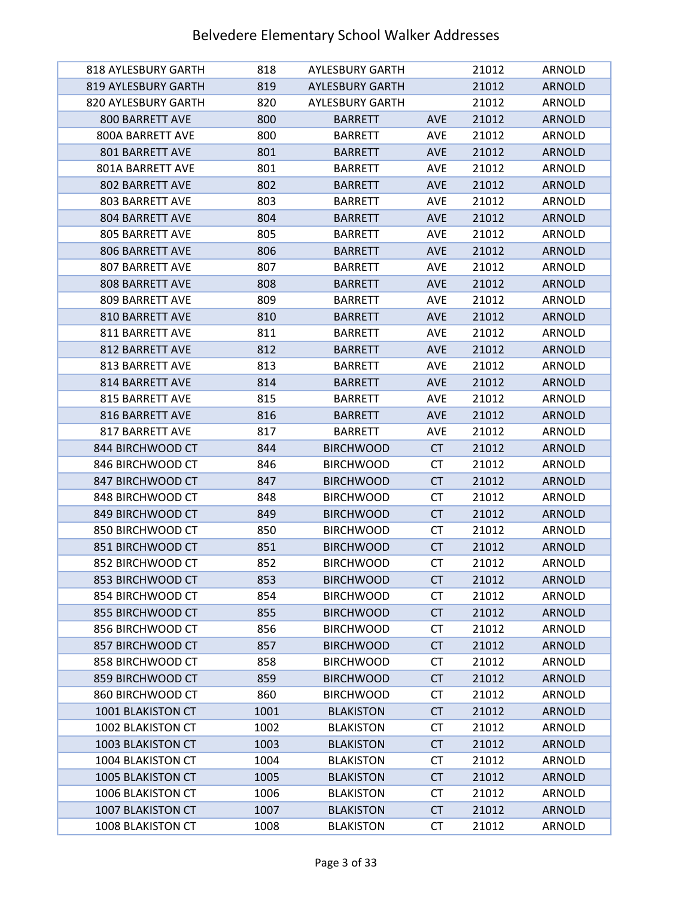| 818 AYLESBURY GARTH    | 818  | <b>AYLESBURY GARTH</b> |            | 21012 | ARNOLD        |
|------------------------|------|------------------------|------------|-------|---------------|
| 819 AYLESBURY GARTH    | 819  | <b>AYLESBURY GARTH</b> |            | 21012 | <b>ARNOLD</b> |
| 820 AYLESBURY GARTH    | 820  | <b>AYLESBURY GARTH</b> |            | 21012 | ARNOLD        |
| 800 BARRETT AVE        | 800  | <b>BARRETT</b>         | <b>AVE</b> | 21012 | <b>ARNOLD</b> |
| 800A BARRETT AVE       | 800  | <b>BARRETT</b>         | <b>AVE</b> | 21012 | ARNOLD        |
| 801 BARRETT AVE        | 801  | <b>BARRETT</b>         | <b>AVE</b> | 21012 | <b>ARNOLD</b> |
| 801A BARRETT AVE       | 801  | <b>BARRETT</b>         | <b>AVE</b> | 21012 | ARNOLD        |
| 802 BARRETT AVE        | 802  | <b>BARRETT</b>         | <b>AVE</b> | 21012 | <b>ARNOLD</b> |
| <b>803 BARRETT AVE</b> | 803  | <b>BARRETT</b>         | <b>AVE</b> | 21012 | ARNOLD        |
| <b>804 BARRETT AVE</b> | 804  | <b>BARRETT</b>         | <b>AVE</b> | 21012 | <b>ARNOLD</b> |
| <b>805 BARRETT AVE</b> | 805  | <b>BARRETT</b>         | <b>AVE</b> | 21012 | ARNOLD        |
| 806 BARRETT AVE        | 806  | <b>BARRETT</b>         | <b>AVE</b> | 21012 | <b>ARNOLD</b> |
| 807 BARRETT AVE        | 807  | <b>BARRETT</b>         | <b>AVE</b> | 21012 | ARNOLD        |
| <b>808 BARRETT AVE</b> | 808  | <b>BARRETT</b>         | <b>AVE</b> | 21012 | <b>ARNOLD</b> |
| 809 BARRETT AVE        | 809  | <b>BARRETT</b>         | <b>AVE</b> | 21012 | <b>ARNOLD</b> |
| 810 BARRETT AVE        | 810  | <b>BARRETT</b>         | <b>AVE</b> | 21012 | <b>ARNOLD</b> |
| 811 BARRETT AVE        | 811  | <b>BARRETT</b>         | <b>AVE</b> | 21012 | ARNOLD        |
| <b>812 BARRETT AVE</b> | 812  | <b>BARRETT</b>         | <b>AVE</b> | 21012 | <b>ARNOLD</b> |
| 813 BARRETT AVE        | 813  | <b>BARRETT</b>         | <b>AVE</b> | 21012 | <b>ARNOLD</b> |
| 814 BARRETT AVE        | 814  | <b>BARRETT</b>         | <b>AVE</b> | 21012 | <b>ARNOLD</b> |
| <b>815 BARRETT AVE</b> | 815  | <b>BARRETT</b>         | <b>AVE</b> | 21012 | ARNOLD        |
| 816 BARRETT AVE        | 816  | <b>BARRETT</b>         | <b>AVE</b> | 21012 | <b>ARNOLD</b> |
| 817 BARRETT AVE        | 817  | <b>BARRETT</b>         | AVE        | 21012 | ARNOLD        |
| 844 BIRCHWOOD CT       | 844  | <b>BIRCHWOOD</b>       | <b>CT</b>  | 21012 | <b>ARNOLD</b> |
| 846 BIRCHWOOD CT       | 846  | <b>BIRCHWOOD</b>       | <b>CT</b>  | 21012 | <b>ARNOLD</b> |
| 847 BIRCHWOOD CT       | 847  | <b>BIRCHWOOD</b>       | <b>CT</b>  | 21012 | <b>ARNOLD</b> |
| 848 BIRCHWOOD CT       | 848  | <b>BIRCHWOOD</b>       | СT         | 21012 | ARNOLD        |
| 849 BIRCHWOOD CT       | 849  | <b>BIRCHWOOD</b>       | <b>CT</b>  | 21012 | <b>ARNOLD</b> |
| 850 BIRCHWOOD CT       | 850  | <b>BIRCHWOOD</b>       | СT         | 21012 | <b>ARNOLD</b> |
| 851 BIRCHWOOD CT       | 851  | <b>BIRCHWOOD</b>       | <b>CT</b>  | 21012 | <b>ARNOLD</b> |
| 852 BIRCHWOOD CT       | 852  | <b>BIRCHWOOD</b>       | <b>CT</b>  | 21012 | <b>ARNOLD</b> |
| 853 BIRCHWOOD CT       | 853  | <b>BIRCHWOOD</b>       | <b>CT</b>  | 21012 | <b>ARNOLD</b> |
| 854 BIRCHWOOD CT       | 854  | <b>BIRCHWOOD</b>       | <b>CT</b>  | 21012 | ARNOLD        |
| 855 BIRCHWOOD CT       | 855  | <b>BIRCHWOOD</b>       | <b>CT</b>  | 21012 | <b>ARNOLD</b> |
| 856 BIRCHWOOD CT       | 856  | <b>BIRCHWOOD</b>       | <b>CT</b>  | 21012 | ARNOLD        |
| 857 BIRCHWOOD CT       | 857  | <b>BIRCHWOOD</b>       | <b>CT</b>  | 21012 | <b>ARNOLD</b> |
| 858 BIRCHWOOD CT       | 858  | <b>BIRCHWOOD</b>       | <b>CT</b>  | 21012 | ARNOLD        |
| 859 BIRCHWOOD CT       | 859  | <b>BIRCHWOOD</b>       | <b>CT</b>  | 21012 | <b>ARNOLD</b> |
| 860 BIRCHWOOD CT       | 860  | <b>BIRCHWOOD</b>       | <b>CT</b>  | 21012 | ARNOLD        |
| 1001 BLAKISTON CT      | 1001 | <b>BLAKISTON</b>       | <b>CT</b>  | 21012 | <b>ARNOLD</b> |
| 1002 BLAKISTON CT      | 1002 | <b>BLAKISTON</b>       | <b>CT</b>  | 21012 | ARNOLD        |
| 1003 BLAKISTON CT      | 1003 | <b>BLAKISTON</b>       | CT         | 21012 | <b>ARNOLD</b> |
| 1004 BLAKISTON CT      | 1004 | <b>BLAKISTON</b>       | СT         | 21012 | ARNOLD        |
| 1005 BLAKISTON CT      | 1005 | <b>BLAKISTON</b>       | <b>CT</b>  | 21012 | <b>ARNOLD</b> |
| 1006 BLAKISTON CT      | 1006 | <b>BLAKISTON</b>       | <b>CT</b>  | 21012 | ARNOLD        |
| 1007 BLAKISTON CT      | 1007 | <b>BLAKISTON</b>       | <b>CT</b>  | 21012 | <b>ARNOLD</b> |
| 1008 BLAKISTON CT      | 1008 | <b>BLAKISTON</b>       | <b>CT</b>  | 21012 | ARNOLD        |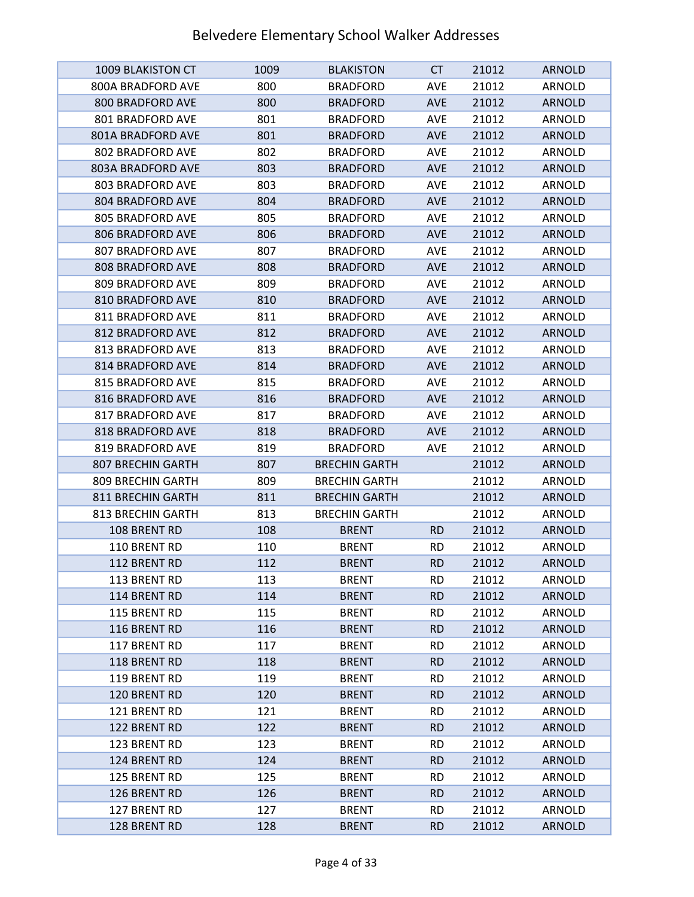| <b>1009 BLAKISTON CT</b> | 1009 | <b>BLAKISTON</b>     | <b>CT</b>  | 21012 | <b>ARNOLD</b> |
|--------------------------|------|----------------------|------------|-------|---------------|
| 800A BRADFORD AVE        | 800  | <b>BRADFORD</b>      | <b>AVE</b> | 21012 | ARNOLD        |
| 800 BRADFORD AVE         | 800  | <b>BRADFORD</b>      | <b>AVE</b> | 21012 | <b>ARNOLD</b> |
| 801 BRADFORD AVE         | 801  | <b>BRADFORD</b>      | <b>AVE</b> | 21012 | ARNOLD        |
| 801A BRADFORD AVE        | 801  | <b>BRADFORD</b>      | <b>AVE</b> | 21012 | <b>ARNOLD</b> |
| 802 BRADFORD AVE         | 802  | <b>BRADFORD</b>      | <b>AVE</b> | 21012 | ARNOLD        |
| 803A BRADFORD AVE        | 803  | <b>BRADFORD</b>      | <b>AVE</b> | 21012 | <b>ARNOLD</b> |
| 803 BRADFORD AVE         | 803  | <b>BRADFORD</b>      | <b>AVE</b> | 21012 | ARNOLD        |
| 804 BRADFORD AVE         | 804  | <b>BRADFORD</b>      | <b>AVE</b> | 21012 | <b>ARNOLD</b> |
| <b>805 BRADFORD AVE</b>  | 805  | <b>BRADFORD</b>      | <b>AVE</b> | 21012 | <b>ARNOLD</b> |
| 806 BRADFORD AVE         | 806  | <b>BRADFORD</b>      | <b>AVE</b> | 21012 | <b>ARNOLD</b> |
| 807 BRADFORD AVE         | 807  | <b>BRADFORD</b>      | <b>AVE</b> | 21012 | ARNOLD        |
| 808 BRADFORD AVE         | 808  | <b>BRADFORD</b>      | <b>AVE</b> | 21012 | <b>ARNOLD</b> |
| 809 BRADFORD AVE         | 809  | <b>BRADFORD</b>      | <b>AVE</b> | 21012 | ARNOLD        |
| 810 BRADFORD AVE         | 810  | <b>BRADFORD</b>      | <b>AVE</b> | 21012 | <b>ARNOLD</b> |
| 811 BRADFORD AVE         | 811  | <b>BRADFORD</b>      | <b>AVE</b> | 21012 | ARNOLD        |
| 812 BRADFORD AVE         | 812  | <b>BRADFORD</b>      | <b>AVE</b> | 21012 | <b>ARNOLD</b> |
| 813 BRADFORD AVE         | 813  | <b>BRADFORD</b>      | <b>AVE</b> | 21012 | ARNOLD        |
| 814 BRADFORD AVE         | 814  | <b>BRADFORD</b>      | <b>AVE</b> | 21012 | <b>ARNOLD</b> |
| 815 BRADFORD AVE         | 815  | <b>BRADFORD</b>      | <b>AVE</b> | 21012 | ARNOLD        |
| 816 BRADFORD AVE         | 816  | <b>BRADFORD</b>      | <b>AVE</b> | 21012 | <b>ARNOLD</b> |
| 817 BRADFORD AVE         | 817  | <b>BRADFORD</b>      | <b>AVE</b> | 21012 | ARNOLD        |
| 818 BRADFORD AVE         | 818  | <b>BRADFORD</b>      | <b>AVE</b> | 21012 | <b>ARNOLD</b> |
| 819 BRADFORD AVE         | 819  | <b>BRADFORD</b>      | <b>AVE</b> | 21012 | ARNOLD        |
| <b>807 BRECHIN GARTH</b> | 807  | <b>BRECHIN GARTH</b> |            | 21012 | <b>ARNOLD</b> |
| 809 BRECHIN GARTH        | 809  | <b>BRECHIN GARTH</b> |            | 21012 | ARNOLD        |
| 811 BRECHIN GARTH        | 811  | <b>BRECHIN GARTH</b> |            | 21012 | <b>ARNOLD</b> |
| 813 BRECHIN GARTH        | 813  | <b>BRECHIN GARTH</b> |            | 21012 | ARNOLD        |
| 108 BRENT RD             | 108  | <b>BRENT</b>         | <b>RD</b>  | 21012 | <b>ARNOLD</b> |
| 110 BRENT RD             | 110  | <b>BRENT</b>         | <b>RD</b>  | 21012 | ARNOLD        |
| 112 BRENT RD             | 112  | <b>BRENT</b>         | <b>RD</b>  | 21012 | <b>ARNOLD</b> |
| 113 BRENT RD             | 113  | <b>BRENT</b>         | <b>RD</b>  | 21012 | ARNOLD        |
| 114 BRENT RD             | 114  | <b>BRENT</b>         | <b>RD</b>  | 21012 | <b>ARNOLD</b> |
| 115 BRENT RD             | 115  | <b>BRENT</b>         | <b>RD</b>  | 21012 | ARNOLD        |
| 116 BRENT RD             | 116  | <b>BRENT</b>         | <b>RD</b>  | 21012 | <b>ARNOLD</b> |
| 117 BRENT RD             | 117  | <b>BRENT</b>         | <b>RD</b>  | 21012 | ARNOLD        |
| 118 BRENT RD             | 118  | <b>BRENT</b>         | <b>RD</b>  | 21012 | <b>ARNOLD</b> |
| 119 BRENT RD             | 119  | <b>BRENT</b>         | <b>RD</b>  | 21012 | ARNOLD        |
| 120 BRENT RD             | 120  | <b>BRENT</b>         | <b>RD</b>  | 21012 | <b>ARNOLD</b> |
| 121 BRENT RD             | 121  | <b>BRENT</b>         | <b>RD</b>  | 21012 | ARNOLD        |
| 122 BRENT RD             | 122  | <b>BRENT</b>         | <b>RD</b>  | 21012 | <b>ARNOLD</b> |
| 123 BRENT RD             | 123  | <b>BRENT</b>         | <b>RD</b>  | 21012 | ARNOLD        |
| 124 BRENT RD             | 124  | <b>BRENT</b>         | <b>RD</b>  | 21012 | <b>ARNOLD</b> |
| 125 BRENT RD             | 125  | <b>BRENT</b>         | <b>RD</b>  | 21012 | ARNOLD        |
| 126 BRENT RD             | 126  | <b>BRENT</b>         | <b>RD</b>  | 21012 | <b>ARNOLD</b> |
| 127 BRENT RD             | 127  | <b>BRENT</b>         | <b>RD</b>  | 21012 | ARNOLD        |
| 128 BRENT RD             | 128  | <b>BRENT</b>         | <b>RD</b>  | 21012 | <b>ARNOLD</b> |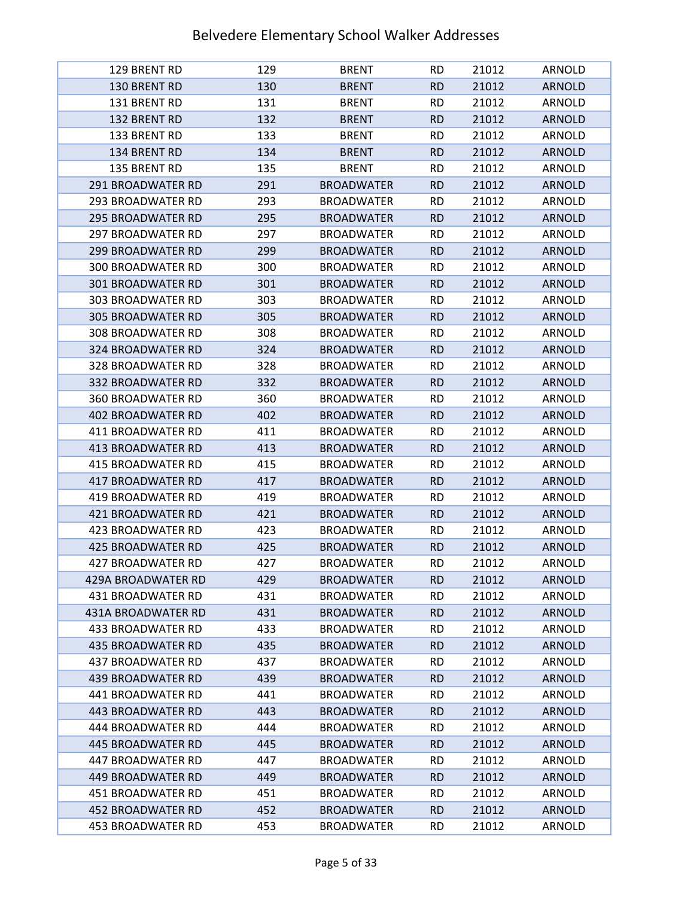| 129 BRENT RD                           | 129        | <b>BRENT</b>                           | <b>RD</b>              | 21012          | ARNOLD                  |
|----------------------------------------|------------|----------------------------------------|------------------------|----------------|-------------------------|
| 130 BRENT RD                           | 130        | <b>BRENT</b>                           | <b>RD</b>              | 21012          | <b>ARNOLD</b>           |
| 131 BRENT RD                           | 131        | <b>BRENT</b>                           | <b>RD</b>              | 21012          | ARNOLD                  |
| 132 BRENT RD                           | 132        | <b>BRENT</b>                           | <b>RD</b>              | 21012          | <b>ARNOLD</b>           |
| 133 BRENT RD                           | 133        | <b>BRENT</b>                           | <b>RD</b>              | 21012          | ARNOLD                  |
| 134 BRENT RD                           | 134        | <b>BRENT</b>                           | <b>RD</b>              | 21012          | <b>ARNOLD</b>           |
| 135 BRENT RD                           | 135        | <b>BRENT</b>                           | <b>RD</b>              | 21012          | ARNOLD                  |
| <b>291 BROADWATER RD</b>               | 291        | <b>BROADWATER</b>                      | <b>RD</b>              | 21012          | <b>ARNOLD</b>           |
| 293 BROADWATER RD                      | 293        | <b>BROADWATER</b>                      | <b>RD</b>              | 21012          | ARNOLD                  |
| <b>295 BROADWATER RD</b>               | 295        | <b>BROADWATER</b>                      | <b>RD</b>              | 21012          | <b>ARNOLD</b>           |
| <b>297 BROADWATER RD</b>               | 297        | <b>BROADWATER</b>                      | <b>RD</b>              | 21012          | ARNOLD                  |
| <b>299 BROADWATER RD</b>               | 299        | <b>BROADWATER</b>                      | <b>RD</b>              | 21012          | <b>ARNOLD</b>           |
| <b>300 BROADWATER RD</b>               | 300        | <b>BROADWATER</b>                      | <b>RD</b>              | 21012          | ARNOLD                  |
| <b>301 BROADWATER RD</b>               | 301        | <b>BROADWATER</b>                      | <b>RD</b>              | 21012          | <b>ARNOLD</b>           |
| 303 BROADWATER RD                      | 303        | <b>BROADWATER</b>                      | <b>RD</b>              | 21012          | ARNOLD                  |
| <b>305 BROADWATER RD</b>               | 305        | <b>BROADWATER</b>                      | <b>RD</b>              | 21012          | <b>ARNOLD</b>           |
| <b>308 BROADWATER RD</b>               | 308        | <b>BROADWATER</b>                      | <b>RD</b>              | 21012          | ARNOLD                  |
| 324 BROADWATER RD                      | 324        | <b>BROADWATER</b>                      | <b>RD</b>              | 21012          | <b>ARNOLD</b>           |
| 328 BROADWATER RD                      | 328        | <b>BROADWATER</b>                      | <b>RD</b>              | 21012          | ARNOLD                  |
| <b>332 BROADWATER RD</b>               | 332        | <b>BROADWATER</b>                      | <b>RD</b>              | 21012          | <b>ARNOLD</b>           |
| <b>360 BROADWATER RD</b>               | 360        | <b>BROADWATER</b>                      | <b>RD</b>              | 21012          | ARNOLD                  |
| <b>402 BROADWATER RD</b>               | 402        | <b>BROADWATER</b>                      | <b>RD</b>              | 21012          | <b>ARNOLD</b>           |
| 411 BROADWATER RD                      | 411        | <b>BROADWATER</b>                      | <b>RD</b>              | 21012          | ARNOLD                  |
| <b>413 BROADWATER RD</b>               | 413        | <b>BROADWATER</b>                      | <b>RD</b>              | 21012          | <b>ARNOLD</b>           |
| <b>415 BROADWATER RD</b>               | 415        | <b>BROADWATER</b>                      | <b>RD</b>              | 21012          | ARNOLD                  |
| <b>417 BROADWATER RD</b>               | 417        | <b>BROADWATER</b>                      | <b>RD</b>              | 21012          | <b>ARNOLD</b>           |
| 419 BROADWATER RD                      | 419        | <b>BROADWATER</b>                      | <b>RD</b>              | 21012          | ARNOLD                  |
| <b>421 BROADWATER RD</b>               | 421        | <b>BROADWATER</b>                      | <b>RD</b>              | 21012          | <b>ARNOLD</b>           |
| <b>423 BROADWATER RD</b>               | 423        | <b>BROADWATER</b>                      | <b>RD</b>              | 21012          | <b>ARNOLD</b>           |
| <b>425 BROADWATER RD</b>               | 425        | <b>BROADWATER</b>                      | <b>RD</b>              | 21012          | <b>ARNOLD</b>           |
| 427 BROADWATER RD                      | 427        | <b>BROADWATER</b>                      | <b>RD</b>              | 21012          | <b>ARNOLD</b>           |
| 429A BROADWATER RD                     | 429        | <b>BROADWATER</b>                      | <b>RD</b>              | 21012          | <b>ARNOLD</b>           |
| 431 BROADWATER RD                      | 431        | <b>BROADWATER</b>                      | RD.                    | 21012          | ARNOLD                  |
| 431A BROADWATER RD                     | 431        | <b>BROADWATER</b>                      | <b>RD</b>              | 21012          | <b>ARNOLD</b>           |
| 433 BROADWATER RD                      | 433        | <b>BROADWATER</b>                      | <b>RD</b>              | 21012          | ARNOLD                  |
| <b>435 BROADWATER RD</b>               | 435        | <b>BROADWATER</b>                      | <b>RD</b>              | 21012          | <b>ARNOLD</b>           |
| 437 BROADWATER RD                      | 437        | <b>BROADWATER</b>                      | <b>RD</b>              | 21012          | ARNOLD                  |
| 439 BROADWATER RD                      | 439        | <b>BROADWATER</b>                      | <b>RD</b>              | 21012          | <b>ARNOLD</b>           |
| 441 BROADWATER RD                      | 441        | <b>BROADWATER</b>                      | <b>RD</b>              | 21012<br>21012 | ARNOLD                  |
| 443 BROADWATER RD                      | 443        | <b>BROADWATER</b>                      | <b>RD</b>              |                | <b>ARNOLD</b>           |
| 444 BROADWATER RD                      | 444        | <b>BROADWATER</b>                      | <b>RD</b>              | 21012          | ARNOLD                  |
| 445 BROADWATER RD<br>447 BROADWATER RD | 445        | <b>BROADWATER</b><br><b>BROADWATER</b> | <b>RD</b>              | 21012<br>21012 | <b>ARNOLD</b>           |
| <b>449 BROADWATER RD</b>               | 447<br>449 | <b>BROADWATER</b>                      | <b>RD</b><br><b>RD</b> | 21012          | ARNOLD<br><b>ARNOLD</b> |
| 451 BROADWATER RD                      | 451        | <b>BROADWATER</b>                      | <b>RD</b>              | 21012          | ARNOLD                  |
| <b>452 BROADWATER RD</b>               | 452        | <b>BROADWATER</b>                      | <b>RD</b>              | 21012          | <b>ARNOLD</b>           |
| 453 BROADWATER RD                      | 453        | <b>BROADWATER</b>                      | <b>RD</b>              | 21012          | ARNOLD                  |
|                                        |            |                                        |                        |                |                         |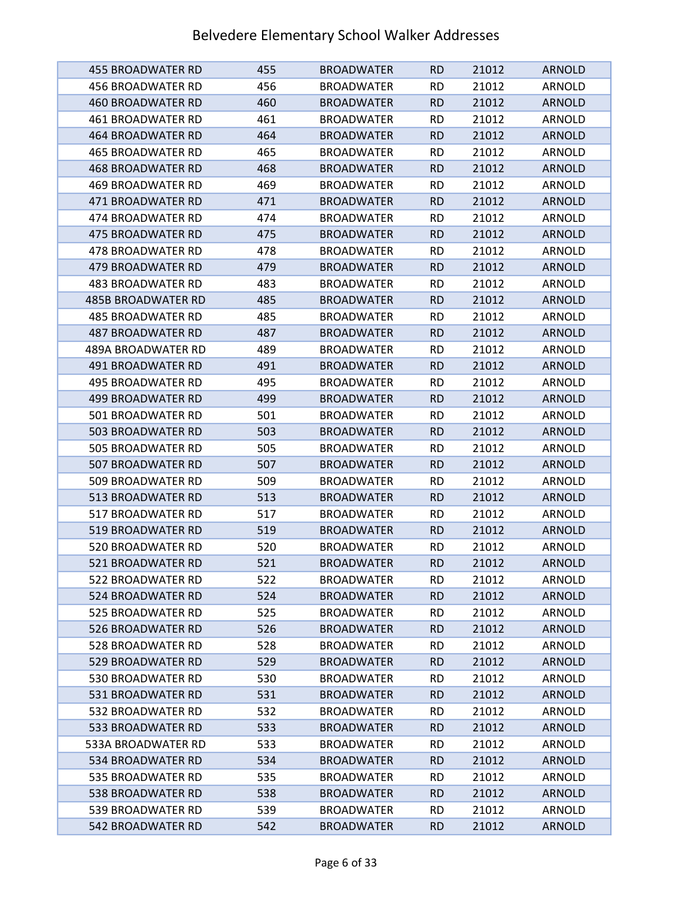| 455 BROADWATER RD         | 455 | <b>BROADWATER</b> | <b>RD</b> | 21012 | <b>ARNOLD</b> |
|---------------------------|-----|-------------------|-----------|-------|---------------|
| 456 BROADWATER RD         | 456 | <b>BROADWATER</b> | <b>RD</b> | 21012 | ARNOLD        |
| <b>460 BROADWATER RD</b>  | 460 | <b>BROADWATER</b> | <b>RD</b> | 21012 | <b>ARNOLD</b> |
| <b>461 BROADWATER RD</b>  | 461 | <b>BROADWATER</b> | <b>RD</b> | 21012 | ARNOLD        |
| 464 BROADWATER RD         | 464 | <b>BROADWATER</b> | <b>RD</b> | 21012 | <b>ARNOLD</b> |
| <b>465 BROADWATER RD</b>  | 465 | <b>BROADWATER</b> | <b>RD</b> | 21012 | ARNOLD        |
| 468 BROADWATER RD         | 468 | <b>BROADWATER</b> | <b>RD</b> | 21012 | <b>ARNOLD</b> |
| 469 BROADWATER RD         | 469 | <b>BROADWATER</b> | <b>RD</b> | 21012 | ARNOLD        |
| 471 BROADWATER RD         | 471 | <b>BROADWATER</b> | <b>RD</b> | 21012 | <b>ARNOLD</b> |
| 474 BROADWATER RD         | 474 | <b>BROADWATER</b> | <b>RD</b> | 21012 | ARNOLD        |
| <b>475 BROADWATER RD</b>  | 475 | <b>BROADWATER</b> | <b>RD</b> | 21012 | <b>ARNOLD</b> |
| 478 BROADWATER RD         | 478 | <b>BROADWATER</b> | <b>RD</b> | 21012 | ARNOLD        |
| <b>479 BROADWATER RD</b>  | 479 | <b>BROADWATER</b> | <b>RD</b> | 21012 | <b>ARNOLD</b> |
| 483 BROADWATER RD         | 483 | <b>BROADWATER</b> | <b>RD</b> | 21012 | ARNOLD        |
| <b>485B BROADWATER RD</b> | 485 | <b>BROADWATER</b> | <b>RD</b> | 21012 | <b>ARNOLD</b> |
| 485 BROADWATER RD         | 485 | <b>BROADWATER</b> | <b>RD</b> | 21012 | ARNOLD        |
| <b>487 BROADWATER RD</b>  | 487 | <b>BROADWATER</b> | <b>RD</b> | 21012 | <b>ARNOLD</b> |
| <b>489A BROADWATER RD</b> | 489 | <b>BROADWATER</b> | <b>RD</b> | 21012 | ARNOLD        |
| 491 BROADWATER RD         | 491 | <b>BROADWATER</b> | <b>RD</b> | 21012 | <b>ARNOLD</b> |
| 495 BROADWATER RD         | 495 | <b>BROADWATER</b> | <b>RD</b> | 21012 | <b>ARNOLD</b> |
| 499 BROADWATER RD         | 499 | <b>BROADWATER</b> | <b>RD</b> | 21012 | <b>ARNOLD</b> |
| 501 BROADWATER RD         | 501 | <b>BROADWATER</b> | <b>RD</b> | 21012 | ARNOLD        |
| 503 BROADWATER RD         | 503 | <b>BROADWATER</b> | <b>RD</b> | 21012 | <b>ARNOLD</b> |
| 505 BROADWATER RD         | 505 | <b>BROADWATER</b> | <b>RD</b> | 21012 | ARNOLD        |
| 507 BROADWATER RD         | 507 | <b>BROADWATER</b> | <b>RD</b> | 21012 | <b>ARNOLD</b> |
| 509 BROADWATER RD         | 509 | <b>BROADWATER</b> | <b>RD</b> | 21012 | ARNOLD        |
| 513 BROADWATER RD         | 513 | <b>BROADWATER</b> | <b>RD</b> | 21012 | <b>ARNOLD</b> |
| 517 BROADWATER RD         | 517 | <b>BROADWATER</b> | <b>RD</b> | 21012 | ARNOLD        |
| 519 BROADWATER RD         | 519 | <b>BROADWATER</b> | <b>RD</b> | 21012 | <b>ARNOLD</b> |
| 520 BROADWATER RD         | 520 | <b>BROADWATER</b> | <b>RD</b> | 21012 | <b>ARNOLD</b> |
| <b>521 BROADWATER RD</b>  | 521 | <b>BROADWATER</b> | <b>RD</b> | 21012 | <b>ARNOLD</b> |
| 522 BROADWATER RD         | 522 | <b>BROADWATER</b> | <b>RD</b> | 21012 | ARNOLD        |
| 524 BROADWATER RD         | 524 | <b>BROADWATER</b> | <b>RD</b> | 21012 | <b>ARNOLD</b> |
| 525 BROADWATER RD         | 525 | <b>BROADWATER</b> | <b>RD</b> | 21012 | ARNOLD        |
| 526 BROADWATER RD         | 526 | <b>BROADWATER</b> | <b>RD</b> | 21012 | <b>ARNOLD</b> |
| 528 BROADWATER RD         | 528 | <b>BROADWATER</b> | <b>RD</b> | 21012 | ARNOLD        |
| 529 BROADWATER RD         | 529 | <b>BROADWATER</b> | <b>RD</b> | 21012 | <b>ARNOLD</b> |
| 530 BROADWATER RD         | 530 | <b>BROADWATER</b> | <b>RD</b> | 21012 | <b>ARNOLD</b> |
| 531 BROADWATER RD         | 531 | <b>BROADWATER</b> | <b>RD</b> | 21012 | <b>ARNOLD</b> |
| 532 BROADWATER RD         | 532 | <b>BROADWATER</b> | <b>RD</b> | 21012 | ARNOLD        |
| 533 BROADWATER RD         | 533 | <b>BROADWATER</b> | <b>RD</b> | 21012 | <b>ARNOLD</b> |
| 533A BROADWATER RD        | 533 | <b>BROADWATER</b> | <b>RD</b> | 21012 | ARNOLD        |
| 534 BROADWATER RD         | 534 | <b>BROADWATER</b> | <b>RD</b> | 21012 | <b>ARNOLD</b> |
| 535 BROADWATER RD         | 535 | <b>BROADWATER</b> | <b>RD</b> | 21012 | ARNOLD        |
| 538 BROADWATER RD         | 538 | <b>BROADWATER</b> | <b>RD</b> | 21012 | <b>ARNOLD</b> |
| 539 BROADWATER RD         | 539 | <b>BROADWATER</b> | <b>RD</b> | 21012 | ARNOLD        |
| 542 BROADWATER RD         | 542 | <b>BROADWATER</b> | <b>RD</b> | 21012 | <b>ARNOLD</b> |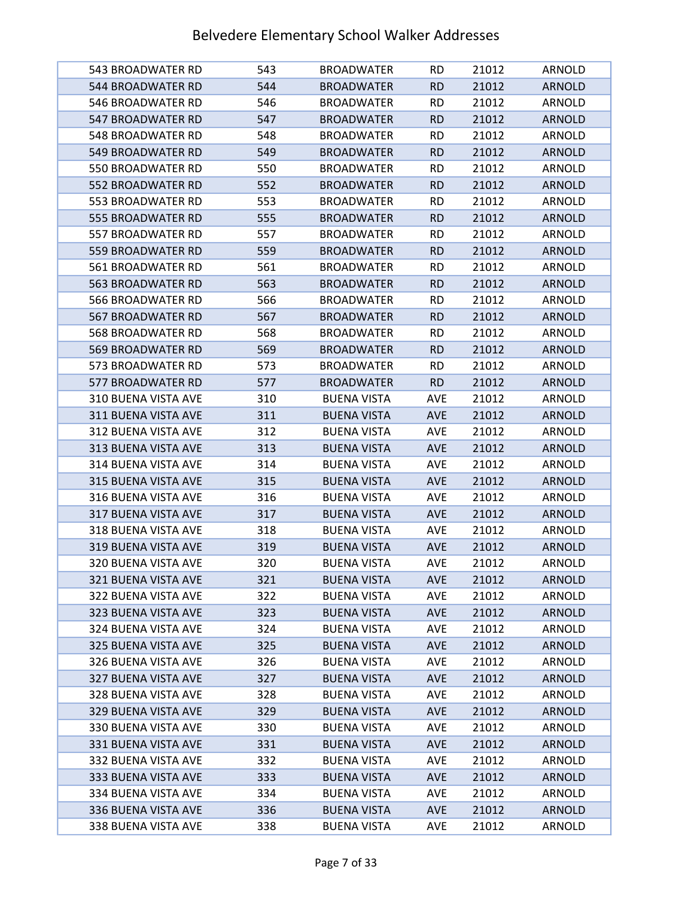| 543 BROADWATER RD          | 543 | <b>BROADWATER</b>  | <b>RD</b>  | 21012 | ARNOLD        |
|----------------------------|-----|--------------------|------------|-------|---------------|
| 544 BROADWATER RD          | 544 | <b>BROADWATER</b>  | <b>RD</b>  | 21012 | <b>ARNOLD</b> |
| 546 BROADWATER RD          | 546 | <b>BROADWATER</b>  | <b>RD</b>  | 21012 | ARNOLD        |
| 547 BROADWATER RD          | 547 | <b>BROADWATER</b>  | <b>RD</b>  | 21012 | <b>ARNOLD</b> |
| 548 BROADWATER RD          | 548 | <b>BROADWATER</b>  | <b>RD</b>  | 21012 | ARNOLD        |
| 549 BROADWATER RD          | 549 | <b>BROADWATER</b>  | <b>RD</b>  | 21012 | <b>ARNOLD</b> |
| 550 BROADWATER RD          | 550 | <b>BROADWATER</b>  | <b>RD</b>  | 21012 | ARNOLD        |
| 552 BROADWATER RD          | 552 | <b>BROADWATER</b>  | <b>RD</b>  | 21012 | <b>ARNOLD</b> |
| 553 BROADWATER RD          | 553 | <b>BROADWATER</b>  | <b>RD</b>  | 21012 | <b>ARNOLD</b> |
| 555 BROADWATER RD          | 555 | <b>BROADWATER</b>  | <b>RD</b>  | 21012 | <b>ARNOLD</b> |
| 557 BROADWATER RD          | 557 | <b>BROADWATER</b>  | <b>RD</b>  | 21012 | ARNOLD        |
| 559 BROADWATER RD          | 559 | <b>BROADWATER</b>  | <b>RD</b>  | 21012 | <b>ARNOLD</b> |
| 561 BROADWATER RD          | 561 | <b>BROADWATER</b>  | <b>RD</b>  | 21012 | ARNOLD        |
| 563 BROADWATER RD          | 563 | <b>BROADWATER</b>  | <b>RD</b>  | 21012 | <b>ARNOLD</b> |
| 566 BROADWATER RD          | 566 | <b>BROADWATER</b>  | <b>RD</b>  | 21012 | ARNOLD        |
| 567 BROADWATER RD          | 567 | <b>BROADWATER</b>  | <b>RD</b>  | 21012 | <b>ARNOLD</b> |
| 568 BROADWATER RD          | 568 | <b>BROADWATER</b>  | <b>RD</b>  | 21012 | ARNOLD        |
| 569 BROADWATER RD          | 569 | <b>BROADWATER</b>  | <b>RD</b>  | 21012 | <b>ARNOLD</b> |
| 573 BROADWATER RD          | 573 | <b>BROADWATER</b>  | <b>RD</b>  | 21012 | ARNOLD        |
| 577 BROADWATER RD          | 577 | <b>BROADWATER</b>  | <b>RD</b>  | 21012 | <b>ARNOLD</b> |
| <b>310 BUENA VISTA AVE</b> | 310 | <b>BUENA VISTA</b> | <b>AVE</b> | 21012 | ARNOLD        |
| 311 BUENA VISTA AVE        | 311 | <b>BUENA VISTA</b> | <b>AVE</b> | 21012 | <b>ARNOLD</b> |
| 312 BUENA VISTA AVE        | 312 | <b>BUENA VISTA</b> | AVE        | 21012 | ARNOLD        |
| 313 BUENA VISTA AVE        | 313 | <b>BUENA VISTA</b> | <b>AVE</b> | 21012 | <b>ARNOLD</b> |
| 314 BUENA VISTA AVE        | 314 | <b>BUENA VISTA</b> | <b>AVE</b> | 21012 | ARNOLD        |
| 315 BUENA VISTA AVE        | 315 | <b>BUENA VISTA</b> | <b>AVE</b> | 21012 | <b>ARNOLD</b> |
| 316 BUENA VISTA AVE        | 316 | <b>BUENA VISTA</b> | <b>AVE</b> | 21012 | ARNOLD        |
| 317 BUENA VISTA AVE        | 317 | <b>BUENA VISTA</b> | <b>AVE</b> | 21012 | <b>ARNOLD</b> |
| <b>318 BUENA VISTA AVE</b> | 318 | <b>BUENA VISTA</b> | AVE        | 21012 | <b>ARNOLD</b> |
| 319 BUENA VISTA AVE        | 319 | <b>BUENA VISTA</b> | <b>AVE</b> | 21012 | <b>ARNOLD</b> |
| 320 BUENA VISTA AVE        | 320 | <b>BUENA VISTA</b> | <b>AVE</b> | 21012 | ARNOLD        |
| 321 BUENA VISTA AVE        | 321 | <b>BUENA VISTA</b> | <b>AVE</b> | 21012 | <b>ARNOLD</b> |
| 322 BUENA VISTA AVE        | 322 | <b>BUENA VISTA</b> | <b>AVE</b> | 21012 | ARNOLD        |
| 323 BUENA VISTA AVE        | 323 | <b>BUENA VISTA</b> | <b>AVE</b> | 21012 | <b>ARNOLD</b> |
| 324 BUENA VISTA AVE        | 324 | <b>BUENA VISTA</b> | <b>AVE</b> | 21012 | ARNOLD        |
| 325 BUENA VISTA AVE        | 325 | <b>BUENA VISTA</b> | <b>AVE</b> | 21012 | <b>ARNOLD</b> |
| 326 BUENA VISTA AVE        | 326 | <b>BUENA VISTA</b> | <b>AVE</b> | 21012 | ARNOLD        |
| 327 BUENA VISTA AVE        | 327 | <b>BUENA VISTA</b> | <b>AVE</b> | 21012 | <b>ARNOLD</b> |
| 328 BUENA VISTA AVE        | 328 | <b>BUENA VISTA</b> | AVE        | 21012 | ARNOLD        |
| 329 BUENA VISTA AVE        | 329 | <b>BUENA VISTA</b> | <b>AVE</b> | 21012 | <b>ARNOLD</b> |
| 330 BUENA VISTA AVE        | 330 | <b>BUENA VISTA</b> | <b>AVE</b> | 21012 | ARNOLD        |
| 331 BUENA VISTA AVE        | 331 | <b>BUENA VISTA</b> | <b>AVE</b> | 21012 | <b>ARNOLD</b> |
| 332 BUENA VISTA AVE        | 332 | <b>BUENA VISTA</b> | <b>AVE</b> | 21012 | ARNOLD        |
| 333 BUENA VISTA AVE        | 333 | <b>BUENA VISTA</b> | <b>AVE</b> | 21012 | <b>ARNOLD</b> |
| 334 BUENA VISTA AVE        | 334 | <b>BUENA VISTA</b> | <b>AVE</b> | 21012 | ARNOLD        |
| 336 BUENA VISTA AVE        | 336 | <b>BUENA VISTA</b> | <b>AVE</b> | 21012 | <b>ARNOLD</b> |
| 338 BUENA VISTA AVE        | 338 | <b>BUENA VISTA</b> | <b>AVE</b> | 21012 | ARNOLD        |
|                            |     |                    |            |       |               |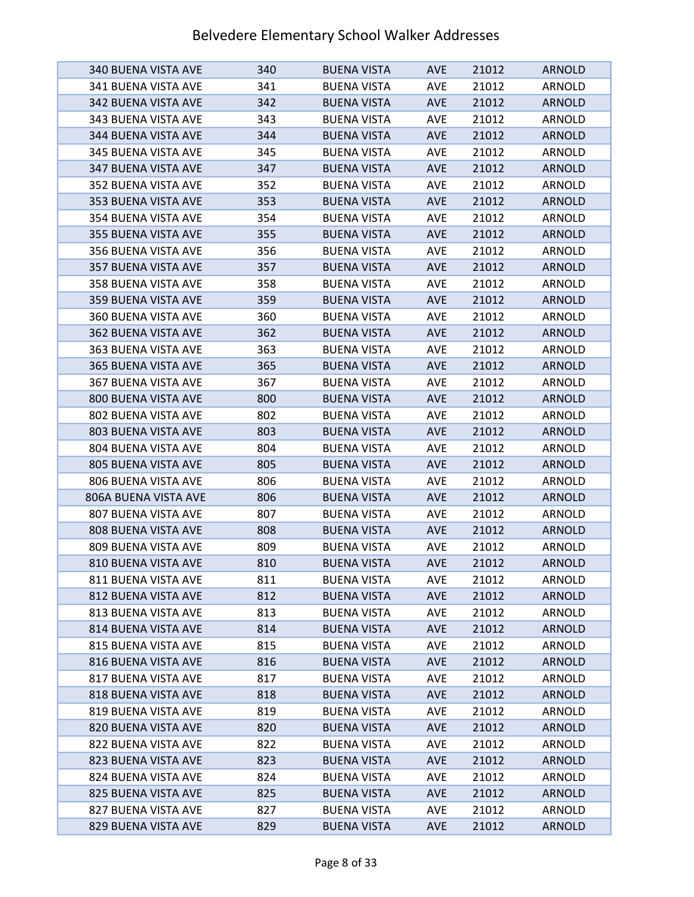| 340 BUENA VISTA AVE        | 340 | <b>BUENA VISTA</b> | <b>AVE</b> | 21012 | <b>ARNOLD</b> |
|----------------------------|-----|--------------------|------------|-------|---------------|
| 341 BUENA VISTA AVE        | 341 | <b>BUENA VISTA</b> | <b>AVE</b> | 21012 | ARNOLD        |
| 342 BUENA VISTA AVE        | 342 | <b>BUENA VISTA</b> | <b>AVE</b> | 21012 | <b>ARNOLD</b> |
| 343 BUENA VISTA AVE        | 343 | <b>BUENA VISTA</b> | <b>AVE</b> | 21012 | ARNOLD        |
| 344 BUENA VISTA AVE        | 344 | <b>BUENA VISTA</b> | <b>AVE</b> | 21012 | <b>ARNOLD</b> |
| 345 BUENA VISTA AVE        | 345 | <b>BUENA VISTA</b> | <b>AVE</b> | 21012 | ARNOLD        |
| 347 BUENA VISTA AVE        | 347 | <b>BUENA VISTA</b> | <b>AVE</b> | 21012 | <b>ARNOLD</b> |
| 352 BUENA VISTA AVE        | 352 | <b>BUENA VISTA</b> | <b>AVE</b> | 21012 | ARNOLD        |
| 353 BUENA VISTA AVE        | 353 | <b>BUENA VISTA</b> | <b>AVE</b> | 21012 | <b>ARNOLD</b> |
| 354 BUENA VISTA AVE        | 354 | <b>BUENA VISTA</b> | <b>AVE</b> | 21012 | <b>ARNOLD</b> |
| 355 BUENA VISTA AVE        | 355 | <b>BUENA VISTA</b> | <b>AVE</b> | 21012 | <b>ARNOLD</b> |
| 356 BUENA VISTA AVE        | 356 | <b>BUENA VISTA</b> | <b>AVE</b> | 21012 | ARNOLD        |
| 357 BUENA VISTA AVE        | 357 | <b>BUENA VISTA</b> | <b>AVE</b> | 21012 | <b>ARNOLD</b> |
| 358 BUENA VISTA AVE        | 358 | <b>BUENA VISTA</b> | <b>AVE</b> | 21012 | ARNOLD        |
| 359 BUENA VISTA AVE        | 359 | <b>BUENA VISTA</b> | <b>AVE</b> | 21012 | <b>ARNOLD</b> |
| 360 BUENA VISTA AVE        | 360 | <b>BUENA VISTA</b> | <b>AVE</b> | 21012 | ARNOLD        |
| <b>362 BUENA VISTA AVE</b> | 362 | <b>BUENA VISTA</b> | <b>AVE</b> | 21012 | <b>ARNOLD</b> |
| 363 BUENA VISTA AVE        | 363 | <b>BUENA VISTA</b> | <b>AVE</b> | 21012 | ARNOLD        |
| 365 BUENA VISTA AVE        | 365 | <b>BUENA VISTA</b> | <b>AVE</b> | 21012 | <b>ARNOLD</b> |
| 367 BUENA VISTA AVE        | 367 | <b>BUENA VISTA</b> | <b>AVE</b> | 21012 | ARNOLD        |
| 800 BUENA VISTA AVE        | 800 | <b>BUENA VISTA</b> | <b>AVE</b> | 21012 | <b>ARNOLD</b> |
| 802 BUENA VISTA AVE        | 802 | <b>BUENA VISTA</b> | <b>AVE</b> | 21012 | ARNOLD        |
| 803 BUENA VISTA AVE        | 803 | <b>BUENA VISTA</b> | <b>AVE</b> | 21012 | <b>ARNOLD</b> |
| 804 BUENA VISTA AVE        | 804 | <b>BUENA VISTA</b> | <b>AVE</b> | 21012 | ARNOLD        |
| 805 BUENA VISTA AVE        | 805 | <b>BUENA VISTA</b> | <b>AVE</b> | 21012 | <b>ARNOLD</b> |
| 806 BUENA VISTA AVE        | 806 | <b>BUENA VISTA</b> | <b>AVE</b> | 21012 | ARNOLD        |
| 806A BUENA VISTA AVE       | 806 | <b>BUENA VISTA</b> | <b>AVE</b> | 21012 | <b>ARNOLD</b> |
| 807 BUENA VISTA AVE        | 807 | <b>BUENA VISTA</b> | <b>AVE</b> | 21012 | ARNOLD        |
| 808 BUENA VISTA AVE        | 808 | <b>BUENA VISTA</b> | <b>AVE</b> | 21012 | <b>ARNOLD</b> |
| 809 BUENA VISTA AVE        | 809 | <b>BUENA VISTA</b> | <b>AVE</b> | 21012 | ARNOLD        |
| 810 BUENA VISTA AVE        | 810 | <b>BUENA VISTA</b> | <b>AVE</b> | 21012 | <b>ARNOLD</b> |
| 811 BUENA VISTA AVE        | 811 | <b>BUENA VISTA</b> | <b>AVE</b> | 21012 | ARNOLD        |
| 812 BUENA VISTA AVE        | 812 | <b>BUENA VISTA</b> | <b>AVE</b> | 21012 | <b>ARNOLD</b> |
| 813 BUENA VISTA AVE        | 813 | <b>BUENA VISTA</b> | AVE        | 21012 | ARNOLD        |
| 814 BUENA VISTA AVE        | 814 | <b>BUENA VISTA</b> | <b>AVE</b> | 21012 | <b>ARNOLD</b> |
| 815 BUENA VISTA AVE        | 815 | <b>BUENA VISTA</b> | <b>AVE</b> | 21012 | <b>ARNOLD</b> |
| 816 BUENA VISTA AVE        | 816 | <b>BUENA VISTA</b> | <b>AVE</b> | 21012 | <b>ARNOLD</b> |
| 817 BUENA VISTA AVE        | 817 | <b>BUENA VISTA</b> | AVE        | 21012 | ARNOLD        |
| 818 BUENA VISTA AVE        | 818 | <b>BUENA VISTA</b> | <b>AVE</b> | 21012 | <b>ARNOLD</b> |
| 819 BUENA VISTA AVE        | 819 | <b>BUENA VISTA</b> | <b>AVE</b> | 21012 | ARNOLD        |
| 820 BUENA VISTA AVE        | 820 | <b>BUENA VISTA</b> | <b>AVE</b> | 21012 | <b>ARNOLD</b> |
| 822 BUENA VISTA AVE        | 822 | <b>BUENA VISTA</b> | <b>AVE</b> | 21012 | ARNOLD        |
| 823 BUENA VISTA AVE        | 823 | <b>BUENA VISTA</b> | <b>AVE</b> | 21012 | <b>ARNOLD</b> |
| 824 BUENA VISTA AVE        | 824 | <b>BUENA VISTA</b> | <b>AVE</b> | 21012 | ARNOLD        |
| 825 BUENA VISTA AVE        | 825 | <b>BUENA VISTA</b> | <b>AVE</b> | 21012 | <b>ARNOLD</b> |
| 827 BUENA VISTA AVE        | 827 | <b>BUENA VISTA</b> | <b>AVE</b> | 21012 | ARNOLD        |
| 829 BUENA VISTA AVE        | 829 | <b>BUENA VISTA</b> | <b>AVE</b> | 21012 | <b>ARNOLD</b> |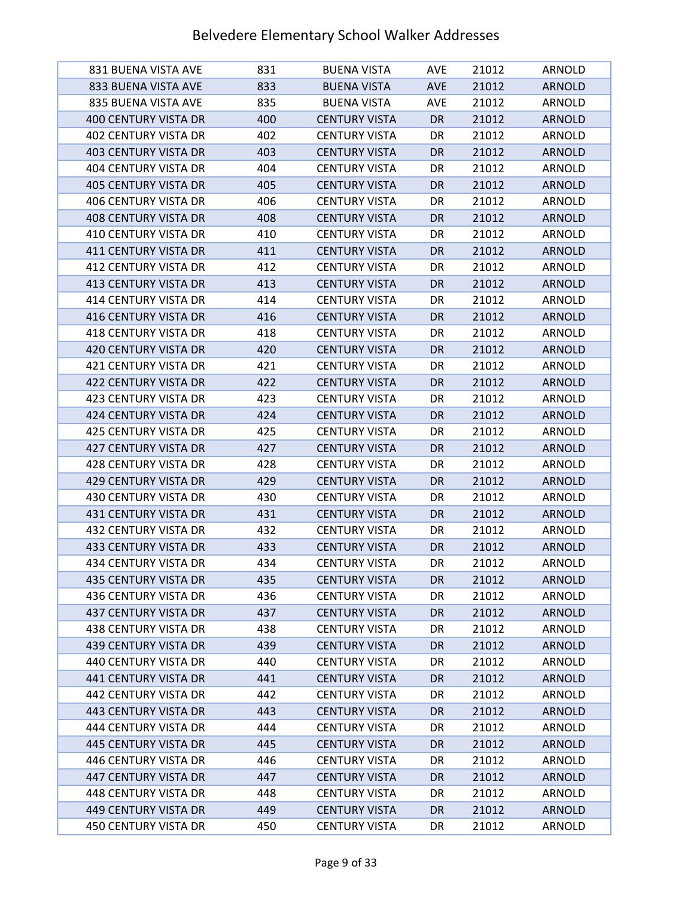| 831 BUENA VISTA AVE         | 831 | <b>BUENA VISTA</b>   | <b>AVE</b> | 21012 | ARNOLD        |
|-----------------------------|-----|----------------------|------------|-------|---------------|
| 833 BUENA VISTA AVE         | 833 | <b>BUENA VISTA</b>   | <b>AVE</b> | 21012 | <b>ARNOLD</b> |
| 835 BUENA VISTA AVE         | 835 | <b>BUENA VISTA</b>   | AVE        | 21012 | ARNOLD        |
| <b>400 CENTURY VISTA DR</b> | 400 | <b>CENTURY VISTA</b> | <b>DR</b>  | 21012 | <b>ARNOLD</b> |
| 402 CENTURY VISTA DR        | 402 | <b>CENTURY VISTA</b> | DR         | 21012 | ARNOLD        |
| <b>403 CENTURY VISTA DR</b> | 403 | <b>CENTURY VISTA</b> | DR.        | 21012 | <b>ARNOLD</b> |
| <b>404 CENTURY VISTA DR</b> | 404 | <b>CENTURY VISTA</b> | DR         | 21012 | ARNOLD        |
| <b>405 CENTURY VISTA DR</b> | 405 | <b>CENTURY VISTA</b> | DR         | 21012 | <b>ARNOLD</b> |
| 406 CENTURY VISTA DR        | 406 | <b>CENTURY VISTA</b> | DR         | 21012 | ARNOLD        |
| 408 CENTURY VISTA DR        | 408 | <b>CENTURY VISTA</b> | DR.        | 21012 | <b>ARNOLD</b> |
| 410 CENTURY VISTA DR        | 410 | <b>CENTURY VISTA</b> | DR         | 21012 | ARNOLD        |
| 411 CENTURY VISTA DR        | 411 | <b>CENTURY VISTA</b> | DR         | 21012 | <b>ARNOLD</b> |
| 412 CENTURY VISTA DR        | 412 | <b>CENTURY VISTA</b> | DR         | 21012 | ARNOLD        |
| <b>413 CENTURY VISTA DR</b> | 413 | <b>CENTURY VISTA</b> | <b>DR</b>  | 21012 | <b>ARNOLD</b> |
| 414 CENTURY VISTA DR        | 414 | <b>CENTURY VISTA</b> | DR         | 21012 | ARNOLD        |
| 416 CENTURY VISTA DR        | 416 | <b>CENTURY VISTA</b> | <b>DR</b>  | 21012 | <b>ARNOLD</b> |
| <b>418 CENTURY VISTA DR</b> | 418 | <b>CENTURY VISTA</b> | DR         | 21012 | <b>ARNOLD</b> |
| <b>420 CENTURY VISTA DR</b> | 420 | <b>CENTURY VISTA</b> | <b>DR</b>  | 21012 | <b>ARNOLD</b> |
| 421 CENTURY VISTA DR        | 421 | <b>CENTURY VISTA</b> | DR         | 21012 | ARNOLD        |
| <b>422 CENTURY VISTA DR</b> | 422 | <b>CENTURY VISTA</b> | DR         | 21012 | <b>ARNOLD</b> |
| 423 CENTURY VISTA DR        | 423 | <b>CENTURY VISTA</b> | DR         | 21012 | ARNOLD        |
| 424 CENTURY VISTA DR        | 424 | <b>CENTURY VISTA</b> | DR         | 21012 | <b>ARNOLD</b> |
| 425 CENTURY VISTA DR        | 425 | <b>CENTURY VISTA</b> | DR         | 21012 | ARNOLD        |
| <b>427 CENTURY VISTA DR</b> | 427 | <b>CENTURY VISTA</b> | DR         | 21012 | <b>ARNOLD</b> |
| 428 CENTURY VISTA DR        | 428 | <b>CENTURY VISTA</b> | DR         | 21012 | ARNOLD        |
| 429 CENTURY VISTA DR        | 429 | <b>CENTURY VISTA</b> | <b>DR</b>  | 21012 | <b>ARNOLD</b> |
| 430 CENTURY VISTA DR        | 430 | <b>CENTURY VISTA</b> | DR         | 21012 | ARNOLD        |
| <b>431 CENTURY VISTA DR</b> | 431 | <b>CENTURY VISTA</b> | <b>DR</b>  | 21012 | <b>ARNOLD</b> |
| 432 CENTURY VISTA DR        | 432 | <b>CENTURY VISTA</b> | DR         | 21012 | ARNOLD        |
| 433 CENTURY VISTA DR        | 433 | <b>CENTURY VISTA</b> | <b>DR</b>  | 21012 | <b>ARNOLD</b> |
| 434 CENTURY VISTA DR        | 434 | <b>CENTURY VISTA</b> | DR         | 21012 | ARNOLD        |
| 435 CENTURY VISTA DR        | 435 | <b>CENTURY VISTA</b> | DR         | 21012 | <b>ARNOLD</b> |
| 436 CENTURY VISTA DR        | 436 | <b>CENTURY VISTA</b> | DR         | 21012 | ARNOLD        |
| <b>437 CENTURY VISTA DR</b> | 437 | <b>CENTURY VISTA</b> | DR.        | 21012 | <b>ARNOLD</b> |
| <b>438 CENTURY VISTA DR</b> | 438 | <b>CENTURY VISTA</b> | DR         | 21012 | ARNOLD        |
| <b>439 CENTURY VISTA DR</b> | 439 | <b>CENTURY VISTA</b> | <b>DR</b>  | 21012 | <b>ARNOLD</b> |
| 440 CENTURY VISTA DR        | 440 | <b>CENTURY VISTA</b> | DR         | 21012 | ARNOLD        |
| 441 CENTURY VISTA DR        | 441 | <b>CENTURY VISTA</b> | <b>DR</b>  | 21012 | <b>ARNOLD</b> |
| 442 CENTURY VISTA DR        | 442 | <b>CENTURY VISTA</b> | DR         | 21012 | ARNOLD        |
| 443 CENTURY VISTA DR        | 443 | <b>CENTURY VISTA</b> | DR         | 21012 | <b>ARNOLD</b> |
| 444 CENTURY VISTA DR        | 444 | <b>CENTURY VISTA</b> | DR         | 21012 | ARNOLD        |
| 445 CENTURY VISTA DR        | 445 | <b>CENTURY VISTA</b> | <b>DR</b>  | 21012 | <b>ARNOLD</b> |
| 446 CENTURY VISTA DR        | 446 | <b>CENTURY VISTA</b> | DR         | 21012 | ARNOLD        |
| 447 CENTURY VISTA DR        | 447 | <b>CENTURY VISTA</b> | DR         | 21012 | <b>ARNOLD</b> |
| 448 CENTURY VISTA DR        | 448 | <b>CENTURY VISTA</b> | DR         | 21012 | ARNOLD        |
| 449 CENTURY VISTA DR        | 449 | <b>CENTURY VISTA</b> | DR         | 21012 | <b>ARNOLD</b> |
| 450 CENTURY VISTA DR        | 450 | <b>CENTURY VISTA</b> | DR         | 21012 | ARNOLD        |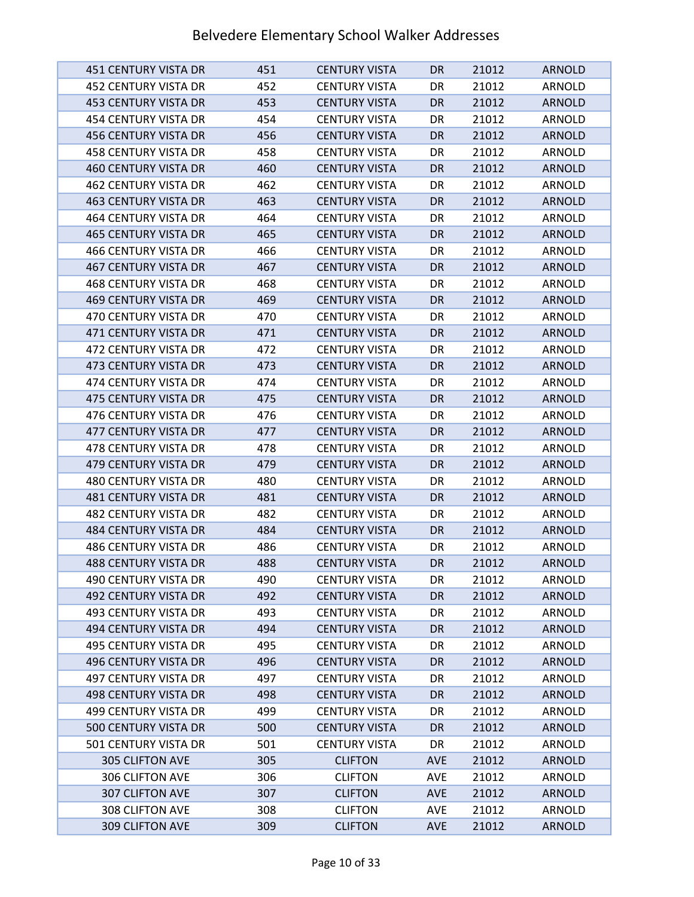| 451 CENTURY VISTA DR        | 451 | <b>CENTURY VISTA</b> | DR.        | 21012 | <b>ARNOLD</b> |
|-----------------------------|-----|----------------------|------------|-------|---------------|
| 452 CENTURY VISTA DR        | 452 | <b>CENTURY VISTA</b> | DR         | 21012 | ARNOLD        |
| 453 CENTURY VISTA DR        | 453 | <b>CENTURY VISTA</b> | DR.        | 21012 | <b>ARNOLD</b> |
| 454 CENTURY VISTA DR        | 454 | <b>CENTURY VISTA</b> | DR         | 21012 | ARNOLD        |
| <b>456 CENTURY VISTA DR</b> | 456 | <b>CENTURY VISTA</b> | <b>DR</b>  | 21012 | <b>ARNOLD</b> |
| 458 CENTURY VISTA DR        | 458 | <b>CENTURY VISTA</b> | DR         | 21012 | ARNOLD        |
| <b>460 CENTURY VISTA DR</b> | 460 | <b>CENTURY VISTA</b> | <b>DR</b>  | 21012 | <b>ARNOLD</b> |
| 462 CENTURY VISTA DR        | 462 | <b>CENTURY VISTA</b> | DR         | 21012 | ARNOLD        |
| <b>463 CENTURY VISTA DR</b> | 463 | <b>CENTURY VISTA</b> | <b>DR</b>  | 21012 | <b>ARNOLD</b> |
| <b>464 CENTURY VISTA DR</b> | 464 | <b>CENTURY VISTA</b> | DR         | 21012 | ARNOLD        |
| <b>465 CENTURY VISTA DR</b> | 465 | <b>CENTURY VISTA</b> | <b>DR</b>  | 21012 | <b>ARNOLD</b> |
| 466 CENTURY VISTA DR        | 466 | <b>CENTURY VISTA</b> | DR         | 21012 | ARNOLD        |
| <b>467 CENTURY VISTA DR</b> | 467 | <b>CENTURY VISTA</b> | DR         | 21012 | <b>ARNOLD</b> |
| 468 CENTURY VISTA DR        | 468 | <b>CENTURY VISTA</b> | DR         | 21012 | ARNOLD        |
| 469 CENTURY VISTA DR        | 469 | <b>CENTURY VISTA</b> | <b>DR</b>  | 21012 | <b>ARNOLD</b> |
| 470 CENTURY VISTA DR        | 470 | <b>CENTURY VISTA</b> | DR         | 21012 | ARNOLD        |
| 471 CENTURY VISTA DR        | 471 | <b>CENTURY VISTA</b> | <b>DR</b>  | 21012 | <b>ARNOLD</b> |
| 472 CENTURY VISTA DR        | 472 | <b>CENTURY VISTA</b> | DR         | 21012 | ARNOLD        |
| 473 CENTURY VISTA DR        | 473 | <b>CENTURY VISTA</b> | <b>DR</b>  | 21012 | <b>ARNOLD</b> |
| 474 CENTURY VISTA DR        | 474 | <b>CENTURY VISTA</b> | DR         | 21012 | ARNOLD        |
| 475 CENTURY VISTA DR        | 475 | <b>CENTURY VISTA</b> | <b>DR</b>  | 21012 | <b>ARNOLD</b> |
| 476 CENTURY VISTA DR        | 476 | <b>CENTURY VISTA</b> | DR         | 21012 | ARNOLD        |
| 477 CENTURY VISTA DR        | 477 | <b>CENTURY VISTA</b> | <b>DR</b>  | 21012 | <b>ARNOLD</b> |
| 478 CENTURY VISTA DR        | 478 | <b>CENTURY VISTA</b> | DR         | 21012 | ARNOLD        |
| 479 CENTURY VISTA DR        | 479 | <b>CENTURY VISTA</b> | DR         | 21012 | <b>ARNOLD</b> |
| 480 CENTURY VISTA DR        | 480 | <b>CENTURY VISTA</b> | DR         | 21012 | ARNOLD        |
| 481 CENTURY VISTA DR        | 481 | <b>CENTURY VISTA</b> | <b>DR</b>  | 21012 | <b>ARNOLD</b> |
| 482 CENTURY VISTA DR        | 482 | <b>CENTURY VISTA</b> | DR         | 21012 | ARNOLD        |
| <b>484 CENTURY VISTA DR</b> | 484 | <b>CENTURY VISTA</b> | <b>DR</b>  | 21012 | <b>ARNOLD</b> |
| <b>486 CENTURY VISTA DR</b> | 486 | <b>CENTURY VISTA</b> | DR         | 21012 | ARNOLD        |
| <b>488 CENTURY VISTA DR</b> | 488 | <b>CENTURY VISTA</b> | <b>DR</b>  | 21012 | <b>ARNOLD</b> |
| 490 CENTURY VISTA DR        | 490 | <b>CENTURY VISTA</b> | DR         | 21012 | ARNOLD        |
| 492 CENTURY VISTA DR        | 492 | <b>CENTURY VISTA</b> | DR         | 21012 | <b>ARNOLD</b> |
| 493 CENTURY VISTA DR        | 493 | <b>CENTURY VISTA</b> | DR         | 21012 | ARNOLD        |
| 494 CENTURY VISTA DR        | 494 | <b>CENTURY VISTA</b> | <b>DR</b>  | 21012 | <b>ARNOLD</b> |
| 495 CENTURY VISTA DR        | 495 | <b>CENTURY VISTA</b> | DR         | 21012 | ARNOLD        |
| 496 CENTURY VISTA DR        | 496 | <b>CENTURY VISTA</b> | DR         | 21012 | <b>ARNOLD</b> |
| 497 CENTURY VISTA DR        | 497 | <b>CENTURY VISTA</b> | DR         | 21012 | ARNOLD        |
| 498 CENTURY VISTA DR        | 498 | <b>CENTURY VISTA</b> | DR         | 21012 | <b>ARNOLD</b> |
| 499 CENTURY VISTA DR        | 499 | <b>CENTURY VISTA</b> | DR         | 21012 | ARNOLD        |
| <b>500 CENTURY VISTA DR</b> | 500 | <b>CENTURY VISTA</b> | DR         | 21012 | <b>ARNOLD</b> |
| 501 CENTURY VISTA DR        | 501 | <b>CENTURY VISTA</b> | DR         | 21012 | ARNOLD        |
| 305 CLIFTON AVE             | 305 | <b>CLIFTON</b>       | <b>AVE</b> | 21012 | <b>ARNOLD</b> |
| 306 CLIFTON AVE             | 306 | <b>CLIFTON</b>       | <b>AVE</b> | 21012 | ARNOLD        |
| 307 CLIFTON AVE             | 307 | <b>CLIFTON</b>       | <b>AVE</b> | 21012 | <b>ARNOLD</b> |
| 308 CLIFTON AVE             | 308 | <b>CLIFTON</b>       | <b>AVE</b> | 21012 | ARNOLD        |
| 309 CLIFTON AVE             | 309 | <b>CLIFTON</b>       | <b>AVE</b> | 21012 | <b>ARNOLD</b> |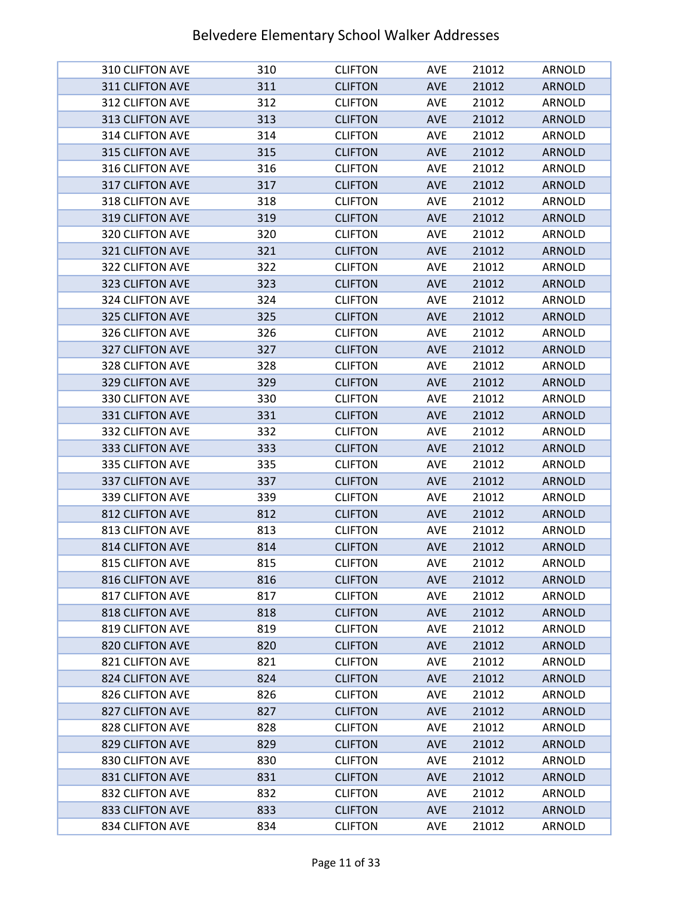| 310 CLIFTON AVE        | 310 | <b>CLIFTON</b> | AVE        | 21012 | <b>ARNOLD</b> |
|------------------------|-----|----------------|------------|-------|---------------|
| 311 CLIFTON AVE        | 311 | <b>CLIFTON</b> | <b>AVE</b> | 21012 | <b>ARNOLD</b> |
| 312 CLIFTON AVE        | 312 | <b>CLIFTON</b> | <b>AVE</b> | 21012 | <b>ARNOLD</b> |
| 313 CLIFTON AVE        | 313 | <b>CLIFTON</b> | <b>AVE</b> | 21012 | <b>ARNOLD</b> |
| 314 CLIFTON AVE        | 314 | <b>CLIFTON</b> | <b>AVE</b> | 21012 | <b>ARNOLD</b> |
| 315 CLIFTON AVE        | 315 | <b>CLIFTON</b> | <b>AVE</b> | 21012 | <b>ARNOLD</b> |
| 316 CLIFTON AVE        | 316 | <b>CLIFTON</b> | <b>AVE</b> | 21012 | ARNOLD        |
| 317 CLIFTON AVE        | 317 | <b>CLIFTON</b> | <b>AVE</b> | 21012 | <b>ARNOLD</b> |
| 318 CLIFTON AVE        | 318 | <b>CLIFTON</b> | AVE        | 21012 | <b>ARNOLD</b> |
| 319 CLIFTON AVE        | 319 | <b>CLIFTON</b> | <b>AVE</b> | 21012 | <b>ARNOLD</b> |
| 320 CLIFTON AVE        | 320 | <b>CLIFTON</b> | <b>AVE</b> | 21012 | ARNOLD        |
| 321 CLIFTON AVE        | 321 | <b>CLIFTON</b> | <b>AVE</b> | 21012 | <b>ARNOLD</b> |
| 322 CLIFTON AVE        | 322 | <b>CLIFTON</b> | <b>AVE</b> | 21012 | ARNOLD        |
| 323 CLIFTON AVE        | 323 | <b>CLIFTON</b> | <b>AVE</b> | 21012 | <b>ARNOLD</b> |
| 324 CLIFTON AVE        | 324 | <b>CLIFTON</b> | <b>AVE</b> | 21012 | ARNOLD        |
| 325 CLIFTON AVE        | 325 | <b>CLIFTON</b> | <b>AVE</b> | 21012 | <b>ARNOLD</b> |
| 326 CLIFTON AVE        | 326 | <b>CLIFTON</b> | AVE        | 21012 | <b>ARNOLD</b> |
| 327 CLIFTON AVE        | 327 | <b>CLIFTON</b> | <b>AVE</b> | 21012 | <b>ARNOLD</b> |
| 328 CLIFTON AVE        | 328 | <b>CLIFTON</b> | <b>AVE</b> | 21012 | ARNOLD        |
| 329 CLIFTON AVE        | 329 | <b>CLIFTON</b> | <b>AVE</b> | 21012 | <b>ARNOLD</b> |
| 330 CLIFTON AVE        | 330 | <b>CLIFTON</b> | AVE        | 21012 | ARNOLD        |
| 331 CLIFTON AVE        | 331 | <b>CLIFTON</b> | <b>AVE</b> | 21012 | <b>ARNOLD</b> |
| 332 CLIFTON AVE        | 332 | <b>CLIFTON</b> | AVE        | 21012 | ARNOLD        |
| 333 CLIFTON AVE        | 333 | <b>CLIFTON</b> | <b>AVE</b> | 21012 | <b>ARNOLD</b> |
| 335 CLIFTON AVE        | 335 | <b>CLIFTON</b> | <b>AVE</b> | 21012 | ARNOLD        |
| 337 CLIFTON AVE        | 337 | <b>CLIFTON</b> | <b>AVE</b> | 21012 | <b>ARNOLD</b> |
| 339 CLIFTON AVE        | 339 | <b>CLIFTON</b> | AVE        | 21012 | ARNOLD        |
| 812 CLIFTON AVE        | 812 | <b>CLIFTON</b> | <b>AVE</b> | 21012 | <b>ARNOLD</b> |
| 813 CLIFTON AVE        | 813 | <b>CLIFTON</b> | <b>AVE</b> | 21012 | <b>ARNOLD</b> |
| 814 CLIFTON AVE        | 814 | <b>CLIFTON</b> | AVE        | 21012 | <b>ARNOLD</b> |
| 815 CLIFTON AVE        | 815 | <b>CLIFTON</b> | AVE        | 21012 | ARNOLD        |
| 816 CLIFTON AVE        | 816 | <b>CLIFTON</b> | <b>AVE</b> | 21012 | <b>ARNOLD</b> |
| 817 CLIFTON AVE        | 817 | <b>CLIFTON</b> | <b>AVE</b> | 21012 | ARNOLD        |
| 818 CLIFTON AVE        | 818 | <b>CLIFTON</b> | <b>AVE</b> | 21012 | <b>ARNOLD</b> |
| 819 CLIFTON AVE        | 819 | <b>CLIFTON</b> | <b>AVE</b> | 21012 | <b>ARNOLD</b> |
| 820 CLIFTON AVE        | 820 | <b>CLIFTON</b> | <b>AVE</b> | 21012 | <b>ARNOLD</b> |
| 821 CLIFTON AVE        | 821 | <b>CLIFTON</b> | <b>AVE</b> | 21012 | ARNOLD        |
| 824 CLIFTON AVE        | 824 | <b>CLIFTON</b> | <b>AVE</b> | 21012 | <b>ARNOLD</b> |
| 826 CLIFTON AVE        | 826 | <b>CLIFTON</b> | <b>AVE</b> | 21012 | ARNOLD        |
| <b>827 CLIFTON AVE</b> | 827 | <b>CLIFTON</b> | <b>AVE</b> | 21012 | <b>ARNOLD</b> |
| 828 CLIFTON AVE        | 828 | <b>CLIFTON</b> | <b>AVE</b> | 21012 | ARNOLD        |
| 829 CLIFTON AVE        | 829 | <b>CLIFTON</b> | <b>AVE</b> | 21012 | <b>ARNOLD</b> |
| 830 CLIFTON AVE        | 830 | <b>CLIFTON</b> | <b>AVE</b> | 21012 | ARNOLD        |
| 831 CLIFTON AVE        | 831 | <b>CLIFTON</b> | <b>AVE</b> | 21012 | <b>ARNOLD</b> |
| 832 CLIFTON AVE        | 832 | <b>CLIFTON</b> | <b>AVE</b> | 21012 | ARNOLD        |
| 833 CLIFTON AVE        | 833 | <b>CLIFTON</b> | <b>AVE</b> | 21012 | <b>ARNOLD</b> |
| 834 CLIFTON AVE        | 834 | <b>CLIFTON</b> | <b>AVE</b> | 21012 | ARNOLD        |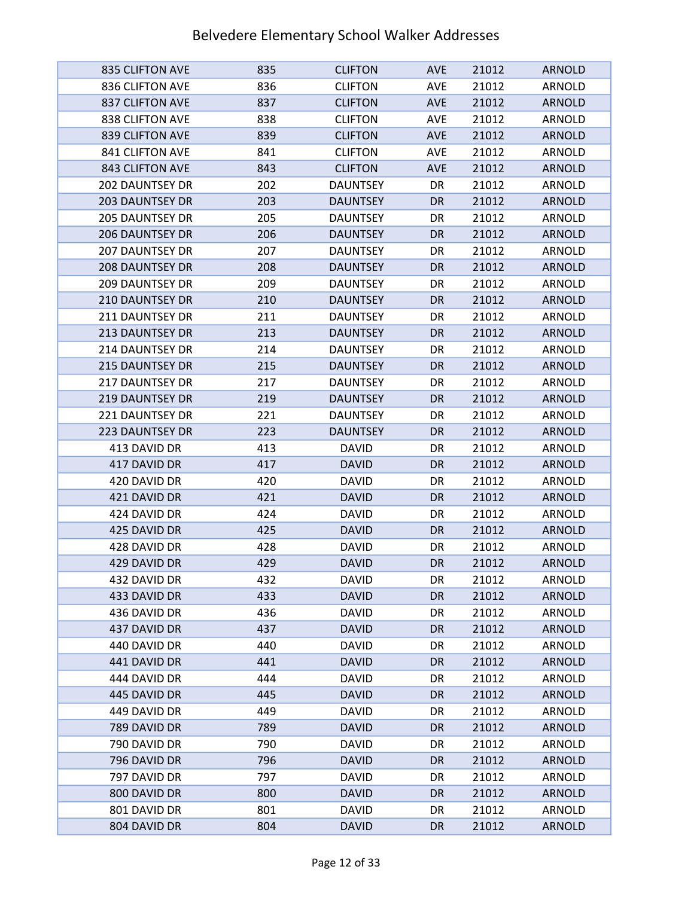| 835 CLIFTON AVE        | 835 | <b>CLIFTON</b>  | <b>AVE</b> | 21012 | <b>ARNOLD</b> |
|------------------------|-----|-----------------|------------|-------|---------------|
| 836 CLIFTON AVE        | 836 | <b>CLIFTON</b>  | AVE        | 21012 | ARNOLD        |
| 837 CLIFTON AVE        | 837 | <b>CLIFTON</b>  | <b>AVE</b> | 21012 | <b>ARNOLD</b> |
| 838 CLIFTON AVE        | 838 | <b>CLIFTON</b>  | <b>AVE</b> | 21012 | ARNOLD        |
| 839 CLIFTON AVE        | 839 | <b>CLIFTON</b>  | <b>AVE</b> | 21012 | <b>ARNOLD</b> |
| 841 CLIFTON AVE        | 841 | <b>CLIFTON</b>  | <b>AVE</b> | 21012 | ARNOLD        |
| 843 CLIFTON AVE        | 843 | <b>CLIFTON</b>  | <b>AVE</b> | 21012 | <b>ARNOLD</b> |
| <b>202 DAUNTSEY DR</b> | 202 | <b>DAUNTSEY</b> | DR         | 21012 | ARNOLD        |
| <b>203 DAUNTSEY DR</b> | 203 | <b>DAUNTSEY</b> | <b>DR</b>  | 21012 | <b>ARNOLD</b> |
| <b>205 DAUNTSEY DR</b> | 205 | <b>DAUNTSEY</b> | DR         | 21012 | ARNOLD        |
| <b>206 DAUNTSEY DR</b> | 206 | <b>DAUNTSEY</b> | <b>DR</b>  | 21012 | <b>ARNOLD</b> |
| <b>207 DAUNTSEY DR</b> | 207 | <b>DAUNTSEY</b> | DR         | 21012 | ARNOLD        |
| <b>208 DAUNTSEY DR</b> | 208 | <b>DAUNTSEY</b> | <b>DR</b>  | 21012 | <b>ARNOLD</b> |
| <b>209 DAUNTSEY DR</b> | 209 | <b>DAUNTSEY</b> | DR         | 21012 | ARNOLD        |
| 210 DAUNTSEY DR        | 210 | <b>DAUNTSEY</b> | DR         | 21012 | <b>ARNOLD</b> |
| <b>211 DAUNTSEY DR</b> | 211 | <b>DAUNTSEY</b> | DR         | 21012 | ARNOLD        |
| 213 DAUNTSEY DR        | 213 | <b>DAUNTSEY</b> | <b>DR</b>  | 21012 | <b>ARNOLD</b> |
| 214 DAUNTSEY DR        | 214 | <b>DAUNTSEY</b> | DR         | 21012 | ARNOLD        |
| <b>215 DAUNTSEY DR</b> | 215 | <b>DAUNTSEY</b> | <b>DR</b>  | 21012 | <b>ARNOLD</b> |
| <b>217 DAUNTSEY DR</b> | 217 | <b>DAUNTSEY</b> | DR         | 21012 | ARNOLD        |
| <b>219 DAUNTSEY DR</b> | 219 | <b>DAUNTSEY</b> | <b>DR</b>  | 21012 | <b>ARNOLD</b> |
| 221 DAUNTSEY DR        | 221 | <b>DAUNTSEY</b> | DR         | 21012 | ARNOLD        |
| <b>223 DAUNTSEY DR</b> | 223 | <b>DAUNTSEY</b> | <b>DR</b>  | 21012 | <b>ARNOLD</b> |
| 413 DAVID DR           | 413 | <b>DAVID</b>    | DR         | 21012 | ARNOLD        |
| 417 DAVID DR           | 417 | <b>DAVID</b>    | DR         | 21012 | <b>ARNOLD</b> |
| 420 DAVID DR           | 420 | <b>DAVID</b>    | DR         | 21012 | ARNOLD        |
| 421 DAVID DR           | 421 | <b>DAVID</b>    | DR         | 21012 | <b>ARNOLD</b> |
| 424 DAVID DR           | 424 | <b>DAVID</b>    | DR         | 21012 | ARNOLD        |
| 425 DAVID DR           | 425 | <b>DAVID</b>    | DR         | 21012 | <b>ARNOLD</b> |
| 428 DAVID DR           | 428 | <b>DAVID</b>    | DR         | 21012 | ARNOLD        |
| 429 DAVID DR           | 429 | <b>DAVID</b>    | <b>DR</b>  | 21012 | <b>ARNOLD</b> |
| 432 DAVID DR           | 432 | <b>DAVID</b>    | DR         | 21012 | ARNOLD        |
| 433 DAVID DR           | 433 | <b>DAVID</b>    | DR         | 21012 | <b>ARNOLD</b> |
| 436 DAVID DR           | 436 | <b>DAVID</b>    | DR         | 21012 | ARNOLD        |
| 437 DAVID DR           | 437 | <b>DAVID</b>    | <b>DR</b>  | 21012 | <b>ARNOLD</b> |
| 440 DAVID DR           | 440 | <b>DAVID</b>    | DR         | 21012 | ARNOLD        |
| 441 DAVID DR           | 441 | <b>DAVID</b>    | DR         | 21012 | <b>ARNOLD</b> |
| 444 DAVID DR           | 444 | <b>DAVID</b>    | DR         | 21012 | ARNOLD        |
| 445 DAVID DR           | 445 | <b>DAVID</b>    | DR         | 21012 | <b>ARNOLD</b> |
| 449 DAVID DR           | 449 | <b>DAVID</b>    | DR         | 21012 | ARNOLD        |
| 789 DAVID DR           | 789 | <b>DAVID</b>    | DR         | 21012 | <b>ARNOLD</b> |
| 790 DAVID DR           | 790 | <b>DAVID</b>    | DR         | 21012 | ARNOLD        |
| 796 DAVID DR           | 796 | <b>DAVID</b>    | DR         | 21012 | <b>ARNOLD</b> |
| 797 DAVID DR           | 797 | <b>DAVID</b>    | DR         | 21012 | ARNOLD        |
| 800 DAVID DR           | 800 | <b>DAVID</b>    | DR         | 21012 | <b>ARNOLD</b> |
| 801 DAVID DR           | 801 | <b>DAVID</b>    | DR         | 21012 | ARNOLD        |
| 804 DAVID DR           | 804 | <b>DAVID</b>    | DR         | 21012 | <b>ARNOLD</b> |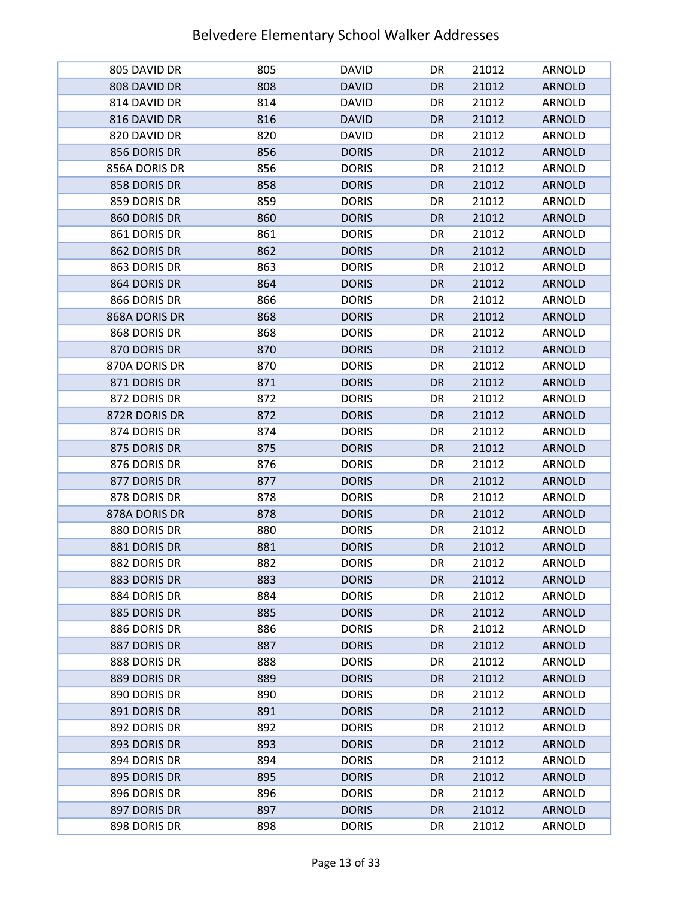| 805 DAVID DR  | 805 | <b>DAVID</b> | DR        | 21012 | ARNOLD        |
|---------------|-----|--------------|-----------|-------|---------------|
| 808 DAVID DR  | 808 | <b>DAVID</b> | <b>DR</b> | 21012 | <b>ARNOLD</b> |
| 814 DAVID DR  | 814 | <b>DAVID</b> | DR        | 21012 | ARNOLD        |
| 816 DAVID DR  | 816 | <b>DAVID</b> | <b>DR</b> | 21012 | <b>ARNOLD</b> |
| 820 DAVID DR  | 820 | <b>DAVID</b> | DR        | 21012 | ARNOLD        |
| 856 DORIS DR  | 856 | <b>DORIS</b> | <b>DR</b> | 21012 | <b>ARNOLD</b> |
| 856A DORIS DR | 856 | <b>DORIS</b> | DR        | 21012 | ARNOLD        |
| 858 DORIS DR  | 858 | <b>DORIS</b> | DR        | 21012 | <b>ARNOLD</b> |
| 859 DORIS DR  | 859 | <b>DORIS</b> | DR        | 21012 | ARNOLD        |
| 860 DORIS DR  | 860 | <b>DORIS</b> | DR        | 21012 | <b>ARNOLD</b> |
| 861 DORIS DR  | 861 | <b>DORIS</b> | DR        | 21012 | ARNOLD        |
| 862 DORIS DR  | 862 | <b>DORIS</b> | <b>DR</b> | 21012 | <b>ARNOLD</b> |
| 863 DORIS DR  | 863 | <b>DORIS</b> | DR        | 21012 | ARNOLD        |
| 864 DORIS DR  | 864 | <b>DORIS</b> | DR        | 21012 | <b>ARNOLD</b> |
| 866 DORIS DR  | 866 | <b>DORIS</b> | DR        | 21012 | ARNOLD        |
| 868A DORIS DR | 868 | <b>DORIS</b> | DR        | 21012 | <b>ARNOLD</b> |
| 868 DORIS DR  | 868 | <b>DORIS</b> | DR        | 21012 | ARNOLD        |
| 870 DORIS DR  | 870 | <b>DORIS</b> | <b>DR</b> | 21012 | <b>ARNOLD</b> |
| 870A DORIS DR | 870 | <b>DORIS</b> | DR        | 21012 | ARNOLD        |
| 871 DORIS DR  | 871 | <b>DORIS</b> | DR        | 21012 | <b>ARNOLD</b> |
| 872 DORIS DR  | 872 | <b>DORIS</b> | DR        | 21012 | ARNOLD        |
| 872R DORIS DR | 872 | <b>DORIS</b> | DR        | 21012 | <b>ARNOLD</b> |
| 874 DORIS DR  | 874 | <b>DORIS</b> | DR        | 21012 | ARNOLD        |
| 875 DORIS DR  | 875 | <b>DORIS</b> | DR.       | 21012 | <b>ARNOLD</b> |
| 876 DORIS DR  | 876 | <b>DORIS</b> | DR        | 21012 | ARNOLD        |
| 877 DORIS DR  | 877 | <b>DORIS</b> | DR        | 21012 | <b>ARNOLD</b> |
| 878 DORIS DR  | 878 | <b>DORIS</b> | DR        | 21012 | ARNOLD        |
| 878A DORIS DR | 878 | <b>DORIS</b> | <b>DR</b> | 21012 | <b>ARNOLD</b> |
| 880 DORIS DR  | 880 | <b>DORIS</b> | DR        | 21012 | ARNOLD        |
| 881 DORIS DR  | 881 | <b>DORIS</b> | <b>DR</b> | 21012 | <b>ARNOLD</b> |
| 882 DORIS DR  | 882 | <b>DORIS</b> | DR        | 21012 | ARNOLD        |
| 883 DORIS DR  | 883 | <b>DORIS</b> | DR        | 21012 | <b>ARNOLD</b> |
| 884 DORIS DR  | 884 | <b>DORIS</b> | DR        | 21012 | ARNOLD        |
| 885 DORIS DR  | 885 | <b>DORIS</b> | DR        | 21012 | <b>ARNOLD</b> |
| 886 DORIS DR  | 886 | <b>DORIS</b> | DR        | 21012 | ARNOLD        |
| 887 DORIS DR  | 887 | <b>DORIS</b> | DR        | 21012 | <b>ARNOLD</b> |
| 888 DORIS DR  | 888 | <b>DORIS</b> | DR        | 21012 | ARNOLD        |
| 889 DORIS DR  | 889 | <b>DORIS</b> | DR        | 21012 | <b>ARNOLD</b> |
| 890 DORIS DR  | 890 | <b>DORIS</b> | DR        | 21012 | ARNOLD        |
| 891 DORIS DR  | 891 | <b>DORIS</b> | DR        | 21012 | <b>ARNOLD</b> |
| 892 DORIS DR  | 892 | <b>DORIS</b> | DR        | 21012 | ARNOLD        |
| 893 DORIS DR  | 893 | <b>DORIS</b> | DR        | 21012 | <b>ARNOLD</b> |
| 894 DORIS DR  | 894 | <b>DORIS</b> | DR        | 21012 | ARNOLD        |
| 895 DORIS DR  | 895 | <b>DORIS</b> | DR        | 21012 | <b>ARNOLD</b> |
| 896 DORIS DR  | 896 | <b>DORIS</b> | DR        | 21012 | ARNOLD        |
| 897 DORIS DR  | 897 | <b>DORIS</b> | DR        | 21012 | <b>ARNOLD</b> |
| 898 DORIS DR  | 898 | <b>DORIS</b> | DR        | 21012 | ARNOLD        |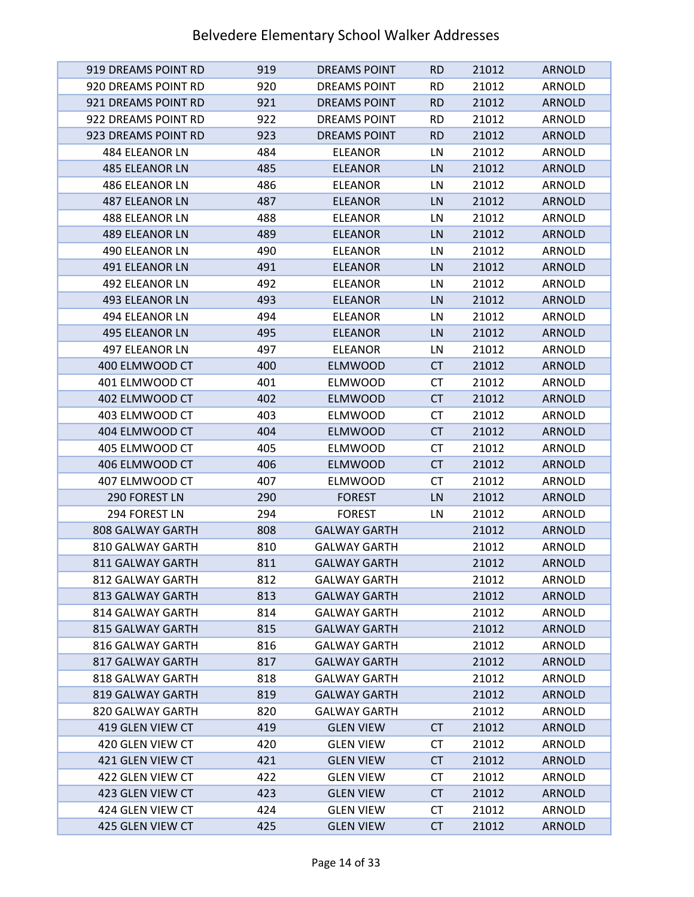| 919 DREAMS POINT RD   | 919 | <b>DREAMS POINT</b> | <b>RD</b> | 21012 | <b>ARNOLD</b> |
|-----------------------|-----|---------------------|-----------|-------|---------------|
| 920 DREAMS POINT RD   | 920 | DREAMS POINT        | <b>RD</b> | 21012 | ARNOLD        |
| 921 DREAMS POINT RD   | 921 | <b>DREAMS POINT</b> | <b>RD</b> | 21012 | <b>ARNOLD</b> |
| 922 DREAMS POINT RD   | 922 | <b>DREAMS POINT</b> | <b>RD</b> | 21012 | ARNOLD        |
| 923 DREAMS POINT RD   | 923 | <b>DREAMS POINT</b> | <b>RD</b> | 21012 | <b>ARNOLD</b> |
| 484 ELEANOR LN        | 484 | <b>ELEANOR</b>      | LN        | 21012 | ARNOLD        |
| <b>485 ELEANOR LN</b> | 485 | <b>ELEANOR</b>      | LN        | 21012 | <b>ARNOLD</b> |
| <b>486 ELEANOR LN</b> | 486 | <b>ELEANOR</b>      | LN        | 21012 | ARNOLD        |
| <b>487 ELEANOR LN</b> | 487 | <b>ELEANOR</b>      | LN        | 21012 | <b>ARNOLD</b> |
| <b>488 ELEANOR LN</b> | 488 | <b>ELEANOR</b>      | LN        | 21012 | ARNOLD        |
| <b>489 ELEANOR LN</b> | 489 | <b>ELEANOR</b>      | LN        | 21012 | <b>ARNOLD</b> |
| 490 ELEANOR LN        | 490 | <b>ELEANOR</b>      | LN        | 21012 | ARNOLD        |
| 491 ELEANOR LN        | 491 | <b>ELEANOR</b>      | LN        | 21012 | <b>ARNOLD</b> |
| <b>492 ELEANOR LN</b> | 492 | <b>ELEANOR</b>      | LN        | 21012 | ARNOLD        |
| <b>493 ELEANOR LN</b> | 493 | <b>ELEANOR</b>      | LN        | 21012 | <b>ARNOLD</b> |
| 494 ELEANOR LN        | 494 | <b>ELEANOR</b>      | LN        | 21012 | <b>ARNOLD</b> |
| 495 ELEANOR LN        | 495 | <b>ELEANOR</b>      | LN        | 21012 | <b>ARNOLD</b> |
| <b>497 ELEANOR LN</b> | 497 | <b>ELEANOR</b>      | LN        | 21012 | <b>ARNOLD</b> |
| 400 ELMWOOD CT        | 400 | <b>ELMWOOD</b>      | <b>CT</b> | 21012 | <b>ARNOLD</b> |
| 401 ELMWOOD CT        | 401 | <b>ELMWOOD</b>      | СT        | 21012 | ARNOLD        |
| 402 ELMWOOD CT        | 402 | <b>ELMWOOD</b>      | <b>CT</b> | 21012 | <b>ARNOLD</b> |
| 403 ELMWOOD CT        | 403 | <b>ELMWOOD</b>      | СT        | 21012 | ARNOLD        |
| 404 ELMWOOD CT        | 404 | <b>ELMWOOD</b>      | <b>CT</b> | 21012 | <b>ARNOLD</b> |
| 405 ELMWOOD CT        | 405 | <b>ELMWOOD</b>      | <b>CT</b> | 21012 | ARNOLD        |
| 406 ELMWOOD CT        | 406 | <b>ELMWOOD</b>      | <b>CT</b> | 21012 | <b>ARNOLD</b> |
| 407 ELMWOOD CT        | 407 | <b>ELMWOOD</b>      | СT        | 21012 | ARNOLD        |
| 290 FOREST LN         | 290 | <b>FOREST</b>       | LN        | 21012 | <b>ARNOLD</b> |
| 294 FOREST LN         | 294 | <b>FOREST</b>       | LN        | 21012 | ARNOLD        |
| 808 GALWAY GARTH      | 808 | <b>GALWAY GARTH</b> |           | 21012 | <b>ARNOLD</b> |
| 810 GALWAY GARTH      | 810 | <b>GALWAY GARTH</b> |           | 21012 | <b>ARNOLD</b> |
| 811 GALWAY GARTH      | 811 | <b>GALWAY GARTH</b> |           | 21012 | <b>ARNOLD</b> |
| 812 GALWAY GARTH      | 812 | <b>GALWAY GARTH</b> |           | 21012 | ARNOLD        |
| 813 GALWAY GARTH      | 813 | <b>GALWAY GARTH</b> |           | 21012 | <b>ARNOLD</b> |
| 814 GALWAY GARTH      | 814 | <b>GALWAY GARTH</b> |           | 21012 | ARNOLD        |
| 815 GALWAY GARTH      | 815 | <b>GALWAY GARTH</b> |           | 21012 | <b>ARNOLD</b> |
| 816 GALWAY GARTH      | 816 | <b>GALWAY GARTH</b> |           | 21012 | ARNOLD        |
| 817 GALWAY GARTH      | 817 | <b>GALWAY GARTH</b> |           | 21012 | <b>ARNOLD</b> |
| 818 GALWAY GARTH      | 818 | <b>GALWAY GARTH</b> |           | 21012 | ARNOLD        |
| 819 GALWAY GARTH      | 819 | <b>GALWAY GARTH</b> |           | 21012 | <b>ARNOLD</b> |
| 820 GALWAY GARTH      | 820 | <b>GALWAY GARTH</b> |           | 21012 | ARNOLD        |
| 419 GLEN VIEW CT      | 419 | <b>GLEN VIEW</b>    | <b>CT</b> | 21012 | ARNOLD        |
| 420 GLEN VIEW CT      | 420 | <b>GLEN VIEW</b>    | <b>CT</b> | 21012 | ARNOLD        |
| 421 GLEN VIEW CT      | 421 | <b>GLEN VIEW</b>    | <b>CT</b> | 21012 | <b>ARNOLD</b> |
| 422 GLEN VIEW CT      | 422 | <b>GLEN VIEW</b>    | <b>CT</b> | 21012 | ARNOLD        |
| 423 GLEN VIEW CT      | 423 | <b>GLEN VIEW</b>    | <b>CT</b> | 21012 | <b>ARNOLD</b> |
| 424 GLEN VIEW CT      | 424 | <b>GLEN VIEW</b>    | <b>CT</b> | 21012 | ARNOLD        |
| 425 GLEN VIEW CT      | 425 | <b>GLEN VIEW</b>    | <b>CT</b> | 21012 | <b>ARNOLD</b> |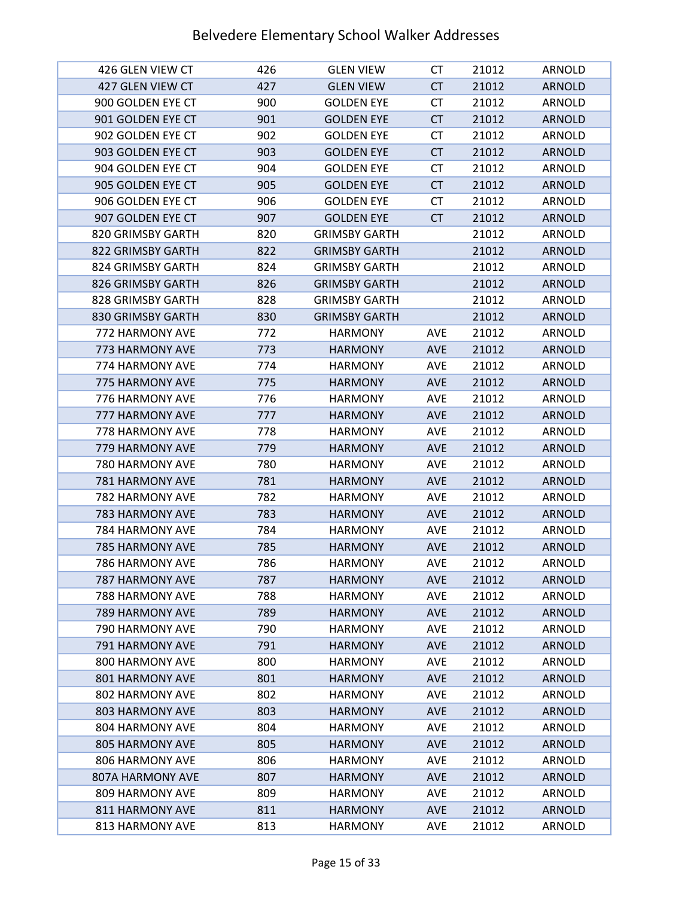| 426 GLEN VIEW CT       | 426 | <b>GLEN VIEW</b>     | СT         | 21012 | ARNOLD        |
|------------------------|-----|----------------------|------------|-------|---------------|
| 427 GLEN VIEW CT       | 427 | <b>GLEN VIEW</b>     | <b>CT</b>  | 21012 | <b>ARNOLD</b> |
| 900 GOLDEN EYE CT      | 900 | <b>GOLDEN EYE</b>    | <b>CT</b>  | 21012 | ARNOLD        |
| 901 GOLDEN EYE CT      | 901 | <b>GOLDEN EYE</b>    | <b>CT</b>  | 21012 | <b>ARNOLD</b> |
| 902 GOLDEN EYE CT      | 902 | <b>GOLDEN EYE</b>    | <b>CT</b>  | 21012 | ARNOLD        |
| 903 GOLDEN EYE CT      | 903 | <b>GOLDEN EYE</b>    | CT         | 21012 | <b>ARNOLD</b> |
| 904 GOLDEN EYE CT      | 904 | <b>GOLDEN EYE</b>    | СT         | 21012 | ARNOLD        |
| 905 GOLDEN EYE CT      | 905 | <b>GOLDEN EYE</b>    | <b>CT</b>  | 21012 | <b>ARNOLD</b> |
| 906 GOLDEN EYE CT      | 906 | <b>GOLDEN EYE</b>    | <b>CT</b>  | 21012 | ARNOLD        |
| 907 GOLDEN EYE CT      | 907 | <b>GOLDEN EYE</b>    | <b>CT</b>  | 21012 | <b>ARNOLD</b> |
| 820 GRIMSBY GARTH      | 820 | <b>GRIMSBY GARTH</b> |            | 21012 | ARNOLD        |
| 822 GRIMSBY GARTH      | 822 | <b>GRIMSBY GARTH</b> |            | 21012 | <b>ARNOLD</b> |
| 824 GRIMSBY GARTH      | 824 | <b>GRIMSBY GARTH</b> |            | 21012 | ARNOLD        |
| 826 GRIMSBY GARTH      | 826 | <b>GRIMSBY GARTH</b> |            | 21012 | <b>ARNOLD</b> |
| 828 GRIMSBY GARTH      | 828 | <b>GRIMSBY GARTH</b> |            | 21012 | ARNOLD        |
| 830 GRIMSBY GARTH      | 830 | <b>GRIMSBY GARTH</b> |            | 21012 | <b>ARNOLD</b> |
| 772 HARMONY AVE        | 772 | <b>HARMONY</b>       | <b>AVE</b> | 21012 | ARNOLD        |
| 773 HARMONY AVE        | 773 | <b>HARMONY</b>       | <b>AVE</b> | 21012 | <b>ARNOLD</b> |
| 774 HARMONY AVE        | 774 | <b>HARMONY</b>       | <b>AVE</b> | 21012 | ARNOLD        |
| 775 HARMONY AVE        | 775 | <b>HARMONY</b>       | <b>AVE</b> | 21012 | <b>ARNOLD</b> |
| 776 HARMONY AVE        | 776 | <b>HARMONY</b>       | AVE        | 21012 | ARNOLD        |
| 777 HARMONY AVE        | 777 | <b>HARMONY</b>       | <b>AVE</b> | 21012 | <b>ARNOLD</b> |
| 778 HARMONY AVE        | 778 | <b>HARMONY</b>       | <b>AVE</b> | 21012 | ARNOLD        |
| 779 HARMONY AVE        | 779 | <b>HARMONY</b>       | <b>AVE</b> | 21012 | <b>ARNOLD</b> |
| 780 HARMONY AVE        | 780 | <b>HARMONY</b>       | <b>AVE</b> | 21012 | ARNOLD        |
| 781 HARMONY AVE        | 781 | <b>HARMONY</b>       | <b>AVE</b> | 21012 | <b>ARNOLD</b> |
| 782 HARMONY AVE        | 782 | <b>HARMONY</b>       | AVE        | 21012 | ARNOLD        |
| <b>783 HARMONY AVE</b> | 783 | <b>HARMONY</b>       | <b>AVE</b> | 21012 | <b>ARNOLD</b> |
| 784 HARMONY AVE        | 784 | <b>HARMONY</b>       | <b>AVE</b> | 21012 | ARNOLD        |
| 785 HARMONY AVE        | 785 | <b>HARMONY</b>       | <b>AVE</b> | 21012 | <b>ARNOLD</b> |
| 786 HARMONY AVE        | 786 | <b>HARMONY</b>       | <b>AVE</b> | 21012 | ARNOLD        |
| <b>787 HARMONY AVE</b> | 787 | <b>HARMONY</b>       | <b>AVE</b> | 21012 | <b>ARNOLD</b> |
| 788 HARMONY AVE        | 788 | <b>HARMONY</b>       | AVE        | 21012 | ARNOLD        |
| <b>789 HARMONY AVE</b> | 789 | <b>HARMONY</b>       | <b>AVE</b> | 21012 | <b>ARNOLD</b> |
| 790 HARMONY AVE        | 790 | <b>HARMONY</b>       | <b>AVE</b> | 21012 | ARNOLD        |
| 791 HARMONY AVE        | 791 | <b>HARMONY</b>       | <b>AVE</b> | 21012 | <b>ARNOLD</b> |
| 800 HARMONY AVE        | 800 | <b>HARMONY</b>       | <b>AVE</b> | 21012 | ARNOLD        |
| 801 HARMONY AVE        | 801 | <b>HARMONY</b>       | <b>AVE</b> | 21012 | <b>ARNOLD</b> |
| 802 HARMONY AVE        | 802 | <b>HARMONY</b>       | <b>AVE</b> | 21012 | ARNOLD        |
| <b>803 HARMONY AVE</b> | 803 | <b>HARMONY</b>       | <b>AVE</b> | 21012 | <b>ARNOLD</b> |
| 804 HARMONY AVE        | 804 | <b>HARMONY</b>       | <b>AVE</b> | 21012 | ARNOLD        |
| <b>805 HARMONY AVE</b> | 805 | <b>HARMONY</b>       | <b>AVE</b> | 21012 | <b>ARNOLD</b> |
| 806 HARMONY AVE        | 806 | <b>HARMONY</b>       | <b>AVE</b> | 21012 | ARNOLD        |
| 807A HARMONY AVE       | 807 | <b>HARMONY</b>       | <b>AVE</b> | 21012 | <b>ARNOLD</b> |
| 809 HARMONY AVE        | 809 | <b>HARMONY</b>       | <b>AVE</b> | 21012 | ARNOLD        |
| 811 HARMONY AVE        | 811 | <b>HARMONY</b>       | <b>AVE</b> | 21012 | <b>ARNOLD</b> |
| 813 HARMONY AVE        | 813 | <b>HARMONY</b>       | <b>AVE</b> | 21012 | ARNOLD        |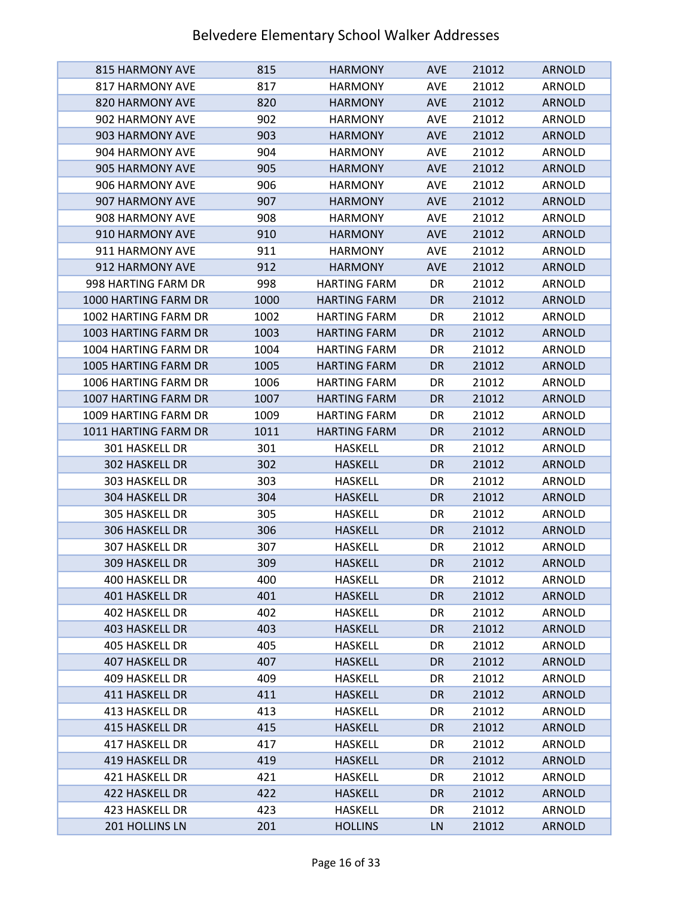| <b>815 HARMONY AVE</b> | 815  | <b>HARMONY</b>      | <b>AVE</b> | 21012 | <b>ARNOLD</b> |
|------------------------|------|---------------------|------------|-------|---------------|
| 817 HARMONY AVE        | 817  | <b>HARMONY</b>      | <b>AVE</b> | 21012 | ARNOLD        |
| 820 HARMONY AVE        | 820  | <b>HARMONY</b>      | <b>AVE</b> | 21012 | <b>ARNOLD</b> |
| 902 HARMONY AVE        | 902  | <b>HARMONY</b>      | <b>AVE</b> | 21012 | ARNOLD        |
| 903 HARMONY AVE        | 903  | <b>HARMONY</b>      | <b>AVE</b> | 21012 | <b>ARNOLD</b> |
| 904 HARMONY AVE        | 904  | <b>HARMONY</b>      | <b>AVE</b> | 21012 | ARNOLD        |
| 905 HARMONY AVE        | 905  | <b>HARMONY</b>      | <b>AVE</b> | 21012 | <b>ARNOLD</b> |
| 906 HARMONY AVE        | 906  | <b>HARMONY</b>      | <b>AVE</b> | 21012 | ARNOLD        |
| 907 HARMONY AVE        | 907  | <b>HARMONY</b>      | <b>AVE</b> | 21012 | <b>ARNOLD</b> |
| 908 HARMONY AVE        | 908  | <b>HARMONY</b>      | <b>AVE</b> | 21012 | ARNOLD        |
| 910 HARMONY AVE        | 910  | <b>HARMONY</b>      | <b>AVE</b> | 21012 | <b>ARNOLD</b> |
| 911 HARMONY AVE        | 911  | <b>HARMONY</b>      | <b>AVE</b> | 21012 | ARNOLD        |
| 912 HARMONY AVE        | 912  | <b>HARMONY</b>      | <b>AVE</b> | 21012 | <b>ARNOLD</b> |
| 998 HARTING FARM DR    | 998  | <b>HARTING FARM</b> | DR         | 21012 | ARNOLD        |
| 1000 HARTING FARM DR   | 1000 | <b>HARTING FARM</b> | DR         | 21012 | <b>ARNOLD</b> |
| 1002 HARTING FARM DR   | 1002 | <b>HARTING FARM</b> | DR         | 21012 | ARNOLD        |
| 1003 HARTING FARM DR   | 1003 | <b>HARTING FARM</b> | <b>DR</b>  | 21012 | <b>ARNOLD</b> |
| 1004 HARTING FARM DR   | 1004 | <b>HARTING FARM</b> | DR         | 21012 | ARNOLD        |
| 1005 HARTING FARM DR   | 1005 | <b>HARTING FARM</b> | DR         | 21012 | <b>ARNOLD</b> |
| 1006 HARTING FARM DR   | 1006 | <b>HARTING FARM</b> | DR         | 21012 | ARNOLD        |
| 1007 HARTING FARM DR   | 1007 | <b>HARTING FARM</b> | DR         | 21012 | <b>ARNOLD</b> |
| 1009 HARTING FARM DR   | 1009 | <b>HARTING FARM</b> | DR         | 21012 | ARNOLD        |
| 1011 HARTING FARM DR   | 1011 | <b>HARTING FARM</b> | <b>DR</b>  | 21012 | <b>ARNOLD</b> |
| 301 HASKELL DR         | 301  | <b>HASKELL</b>      | DR         | 21012 | ARNOLD        |
| 302 HASKELL DR         | 302  | <b>HASKELL</b>      | <b>DR</b>  | 21012 | <b>ARNOLD</b> |
| 303 HASKELL DR         | 303  | <b>HASKELL</b>      | DR         | 21012 | ARNOLD        |
| 304 HASKELL DR         | 304  | <b>HASKELL</b>      | DR         | 21012 | <b>ARNOLD</b> |
| 305 HASKELL DR         | 305  | <b>HASKELL</b>      | DR         | 21012 | ARNOLD        |
| <b>306 HASKELL DR</b>  | 306  | <b>HASKELL</b>      | DR         | 21012 | <b>ARNOLD</b> |
| 307 HASKELL DR         | 307  | <b>HASKELL</b>      | DR         | 21012 | ARNOLD        |
| <b>309 HASKELL DR</b>  | 309  | <b>HASKELL</b>      | <b>DR</b>  | 21012 | <b>ARNOLD</b> |
| 400 HASKELL DR         | 400  | <b>HASKELL</b>      | DR         | 21012 | ARNOLD        |
| 401 HASKELL DR         | 401  | <b>HASKELL</b>      | DR         | 21012 | <b>ARNOLD</b> |
| 402 HASKELL DR         | 402  | <b>HASKELL</b>      | DR         | 21012 | <b>ARNOLD</b> |
| 403 HASKELL DR         | 403  | <b>HASKELL</b>      | DR         | 21012 | <b>ARNOLD</b> |
| 405 HASKELL DR         | 405  | <b>HASKELL</b>      | DR         | 21012 | ARNOLD        |
| 407 HASKELL DR         | 407  | <b>HASKELL</b>      | DR         | 21012 | <b>ARNOLD</b> |
| 409 HASKELL DR         | 409  | HASKELL             | DR         | 21012 | ARNOLD        |
| 411 HASKELL DR         | 411  | <b>HASKELL</b>      | DR         | 21012 | <b>ARNOLD</b> |
| 413 HASKELL DR         | 413  | <b>HASKELL</b>      | DR         | 21012 | ARNOLD        |
| 415 HASKELL DR         | 415  | <b>HASKELL</b>      | DR         | 21012 | <b>ARNOLD</b> |
| 417 HASKELL DR         | 417  | <b>HASKELL</b>      | DR         | 21012 | ARNOLD        |
| 419 HASKELL DR         | 419  | <b>HASKELL</b>      | DR         | 21012 | <b>ARNOLD</b> |
| 421 HASKELL DR         | 421  | <b>HASKELL</b>      | DR         | 21012 | ARNOLD        |
| 422 HASKELL DR         | 422  | <b>HASKELL</b>      | DR         | 21012 | <b>ARNOLD</b> |
| 423 HASKELL DR         | 423  | <b>HASKELL</b>      | DR         | 21012 | ARNOLD        |
| 201 HOLLINS LN         | 201  | <b>HOLLINS</b>      | LN         | 21012 | <b>ARNOLD</b> |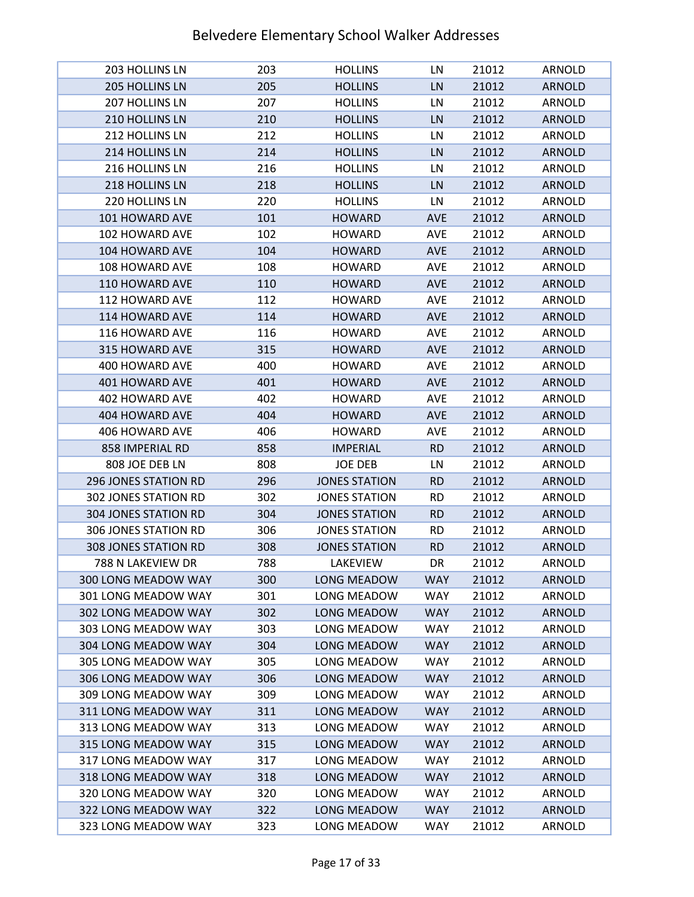| <b>203 HOLLINS LN</b>       | 203 | <b>HOLLINS</b>       | LN         | 21012 | ARNOLD        |
|-----------------------------|-----|----------------------|------------|-------|---------------|
| 205 HOLLINS LN              | 205 | <b>HOLLINS</b>       | LN         | 21012 | <b>ARNOLD</b> |
| 207 HOLLINS LN              | 207 | <b>HOLLINS</b>       | LN         | 21012 | ARNOLD        |
| 210 HOLLINS LN              | 210 | <b>HOLLINS</b>       | LN         | 21012 | <b>ARNOLD</b> |
| 212 HOLLINS LN              | 212 | <b>HOLLINS</b>       | LN         | 21012 | ARNOLD        |
| 214 HOLLINS LN              | 214 | <b>HOLLINS</b>       | LN         | 21012 | <b>ARNOLD</b> |
| 216 HOLLINS LN              | 216 | <b>HOLLINS</b>       | LN         | 21012 | ARNOLD        |
| 218 HOLLINS LN              | 218 | <b>HOLLINS</b>       | LN         | 21012 | <b>ARNOLD</b> |
| 220 HOLLINS LN              | 220 | <b>HOLLINS</b>       | LN         | 21012 | ARNOLD        |
| 101 HOWARD AVE              | 101 | <b>HOWARD</b>        | <b>AVE</b> | 21012 | <b>ARNOLD</b> |
| 102 HOWARD AVE              | 102 | <b>HOWARD</b>        | <b>AVE</b> | 21012 | ARNOLD        |
| 104 HOWARD AVE              | 104 | <b>HOWARD</b>        | <b>AVE</b> | 21012 | <b>ARNOLD</b> |
| 108 HOWARD AVE              | 108 | <b>HOWARD</b>        | AVE        | 21012 | ARNOLD        |
| 110 HOWARD AVE              | 110 | <b>HOWARD</b>        | <b>AVE</b> | 21012 | <b>ARNOLD</b> |
| 112 HOWARD AVE              | 112 | <b>HOWARD</b>        | <b>AVE</b> | 21012 | ARNOLD        |
| 114 HOWARD AVE              | 114 | <b>HOWARD</b>        | <b>AVE</b> | 21012 | <b>ARNOLD</b> |
| 116 HOWARD AVE              | 116 | <b>HOWARD</b>        | AVE        | 21012 | <b>ARNOLD</b> |
| 315 HOWARD AVE              | 315 | <b>HOWARD</b>        | <b>AVE</b> | 21012 | <b>ARNOLD</b> |
| 400 HOWARD AVE              | 400 | <b>HOWARD</b>        | <b>AVE</b> | 21012 | ARNOLD        |
| 401 HOWARD AVE              | 401 | <b>HOWARD</b>        | <b>AVE</b> | 21012 | <b>ARNOLD</b> |
| 402 HOWARD AVE              | 402 | <b>HOWARD</b>        | AVE        | 21012 | ARNOLD        |
| 404 HOWARD AVE              | 404 | <b>HOWARD</b>        | <b>AVE</b> | 21012 | <b>ARNOLD</b> |
| 406 HOWARD AVE              | 406 | <b>HOWARD</b>        | AVE        | 21012 | ARNOLD        |
| 858 IMPERIAL RD             | 858 | <b>IMPERIAL</b>      | <b>RD</b>  | 21012 | <b>ARNOLD</b> |
| 808 JOE DEB LN              | 808 | <b>JOE DEB</b>       | LN         | 21012 | ARNOLD        |
| <b>296 JONES STATION RD</b> | 296 | <b>JONES STATION</b> | <b>RD</b>  | 21012 | <b>ARNOLD</b> |
| 302 JONES STATION RD        | 302 | <b>JONES STATION</b> | <b>RD</b>  | 21012 | ARNOLD        |
| <b>304 JONES STATION RD</b> | 304 | <b>JONES STATION</b> | <b>RD</b>  | 21012 | <b>ARNOLD</b> |
| <b>306 JONES STATION RD</b> | 306 | <b>JONES STATION</b> | <b>RD</b>  | 21012 | ARNOLD        |
| <b>308 JONES STATION RD</b> | 308 | <b>JONES STATION</b> | <b>RD</b>  | 21012 | <b>ARNOLD</b> |
| 788 N LAKEVIEW DR           | 788 | LAKEVIEW             | DR         | 21012 | <b>ARNOLD</b> |
| 300 LONG MEADOW WAY         | 300 | LONG MEADOW          | <b>WAY</b> | 21012 | <b>ARNOLD</b> |
| 301 LONG MEADOW WAY         | 301 | LONG MEADOW          | <b>WAY</b> | 21012 | ARNOLD        |
| 302 LONG MEADOW WAY         | 302 | LONG MEADOW          | <b>WAY</b> | 21012 | <b>ARNOLD</b> |
| 303 LONG MEADOW WAY         | 303 | LONG MEADOW          | <b>WAY</b> | 21012 | ARNOLD        |
| 304 LONG MEADOW WAY         | 304 | <b>LONG MEADOW</b>   | <b>WAY</b> | 21012 | <b>ARNOLD</b> |
| 305 LONG MEADOW WAY         | 305 | LONG MEADOW          | <b>WAY</b> | 21012 | ARNOLD        |
| 306 LONG MEADOW WAY         | 306 | LONG MEADOW          | <b>WAY</b> | 21012 | <b>ARNOLD</b> |
| 309 LONG MEADOW WAY         | 309 | LONG MEADOW          | <b>WAY</b> | 21012 | ARNOLD        |
| 311 LONG MEADOW WAY         | 311 | LONG MEADOW          | <b>WAY</b> | 21012 | <b>ARNOLD</b> |
| 313 LONG MEADOW WAY         | 313 | LONG MEADOW          | <b>WAY</b> | 21012 | ARNOLD        |
| 315 LONG MEADOW WAY         | 315 | LONG MEADOW          | <b>WAY</b> | 21012 | <b>ARNOLD</b> |
| 317 LONG MEADOW WAY         | 317 | LONG MEADOW          | <b>WAY</b> | 21012 | ARNOLD        |
| 318 LONG MEADOW WAY         | 318 | LONG MEADOW          | <b>WAY</b> | 21012 | <b>ARNOLD</b> |
| 320 LONG MEADOW WAY         | 320 | LONG MEADOW          | <b>WAY</b> | 21012 | ARNOLD        |
| 322 LONG MEADOW WAY         | 322 | LONG MEADOW          | <b>WAY</b> | 21012 | <b>ARNOLD</b> |
| 323 LONG MEADOW WAY         | 323 | LONG MEADOW          | <b>WAY</b> | 21012 | ARNOLD        |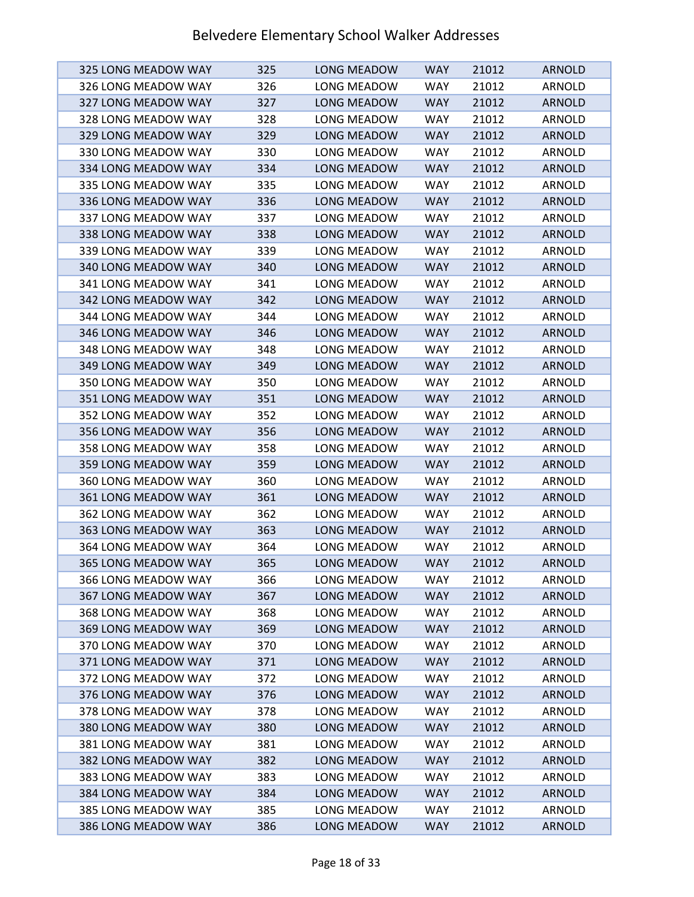| 325 LONG MEADOW WAY        | 325 | LONG MEADOW        | <b>WAY</b> | 21012 | <b>ARNOLD</b> |
|----------------------------|-----|--------------------|------------|-------|---------------|
| 326 LONG MEADOW WAY        | 326 | LONG MEADOW        | <b>WAY</b> | 21012 | ARNOLD        |
| 327 LONG MEADOW WAY        | 327 | <b>LONG MEADOW</b> | <b>WAY</b> | 21012 | <b>ARNOLD</b> |
| 328 LONG MEADOW WAY        | 328 | LONG MEADOW        | <b>WAY</b> | 21012 | ARNOLD        |
| 329 LONG MEADOW WAY        | 329 | LONG MEADOW        | <b>WAY</b> | 21012 | <b>ARNOLD</b> |
| 330 LONG MEADOW WAY        | 330 | LONG MEADOW        | <b>WAY</b> | 21012 | ARNOLD        |
| 334 LONG MEADOW WAY        | 334 | LONG MEADOW        | <b>WAY</b> | 21012 | <b>ARNOLD</b> |
| 335 LONG MEADOW WAY        | 335 | LONG MEADOW        | <b>WAY</b> | 21012 | ARNOLD        |
| 336 LONG MEADOW WAY        | 336 | LONG MEADOW        | <b>WAY</b> | 21012 | <b>ARNOLD</b> |
| 337 LONG MEADOW WAY        | 337 | LONG MEADOW        | <b>WAY</b> | 21012 | ARNOLD        |
| 338 LONG MEADOW WAY        | 338 | LONG MEADOW        | <b>WAY</b> | 21012 | <b>ARNOLD</b> |
| 339 LONG MEADOW WAY        | 339 | LONG MEADOW        | <b>WAY</b> | 21012 | ARNOLD        |
| 340 LONG MEADOW WAY        | 340 | <b>LONG MEADOW</b> | <b>WAY</b> | 21012 | <b>ARNOLD</b> |
| 341 LONG MEADOW WAY        | 341 | LONG MEADOW        | <b>WAY</b> | 21012 | ARNOLD        |
| 342 LONG MEADOW WAY        | 342 | LONG MEADOW        | <b>WAY</b> | 21012 | <b>ARNOLD</b> |
| 344 LONG MEADOW WAY        | 344 | LONG MEADOW        | <b>WAY</b> | 21012 | ARNOLD        |
| 346 LONG MEADOW WAY        | 346 | <b>LONG MEADOW</b> | <b>WAY</b> | 21012 | <b>ARNOLD</b> |
| 348 LONG MEADOW WAY        | 348 | LONG MEADOW        | <b>WAY</b> | 21012 | ARNOLD        |
| 349 LONG MEADOW WAY        | 349 | <b>LONG MEADOW</b> | <b>WAY</b> | 21012 | <b>ARNOLD</b> |
| 350 LONG MEADOW WAY        | 350 | LONG MEADOW        | <b>WAY</b> | 21012 | ARNOLD        |
| 351 LONG MEADOW WAY        | 351 | LONG MEADOW        | <b>WAY</b> | 21012 | <b>ARNOLD</b> |
| 352 LONG MEADOW WAY        | 352 | LONG MEADOW        | <b>WAY</b> | 21012 | ARNOLD        |
| 356 LONG MEADOW WAY        | 356 | LONG MEADOW        | <b>WAY</b> | 21012 | <b>ARNOLD</b> |
| 358 LONG MEADOW WAY        | 358 | LONG MEADOW        | <b>WAY</b> | 21012 | ARNOLD        |
| 359 LONG MEADOW WAY        | 359 | <b>LONG MEADOW</b> | <b>WAY</b> | 21012 | <b>ARNOLD</b> |
| 360 LONG MEADOW WAY        | 360 | LONG MEADOW        | <b>WAY</b> | 21012 | ARNOLD        |
| 361 LONG MEADOW WAY        | 361 | LONG MEADOW        | <b>WAY</b> | 21012 | <b>ARNOLD</b> |
| 362 LONG MEADOW WAY        | 362 | LONG MEADOW        | <b>WAY</b> | 21012 | ARNOLD        |
| 363 LONG MEADOW WAY        | 363 | <b>LONG MEADOW</b> | <b>WAY</b> | 21012 | <b>ARNOLD</b> |
| 364 LONG MEADOW WAY        | 364 | LONG MEADOW        | <b>WAY</b> | 21012 | ARNOLD        |
| <b>365 LONG MEADOW WAY</b> | 365 | <b>LONG MEADOW</b> | <b>WAY</b> | 21012 | <b>ARNOLD</b> |
| 366 LONG MEADOW WAY        | 366 | LONG MEADOW        | <b>WAY</b> | 21012 | ARNOLD        |
| 367 LONG MEADOW WAY        | 367 | LONG MEADOW        | <b>WAY</b> | 21012 | <b>ARNOLD</b> |
| 368 LONG MEADOW WAY        | 368 | LONG MEADOW        | <b>WAY</b> | 21012 | ARNOLD        |
| 369 LONG MEADOW WAY        | 369 | <b>LONG MEADOW</b> | <b>WAY</b> | 21012 | <b>ARNOLD</b> |
| 370 LONG MEADOW WAY        | 370 | LONG MEADOW        | <b>WAY</b> | 21012 | ARNOLD        |
| 371 LONG MEADOW WAY        | 371 | LONG MEADOW        | <b>WAY</b> | 21012 | <b>ARNOLD</b> |
| 372 LONG MEADOW WAY        | 372 | LONG MEADOW        | <b>WAY</b> | 21012 | ARNOLD        |
| 376 LONG MEADOW WAY        | 376 | LONG MEADOW        | <b>WAY</b> | 21012 | <b>ARNOLD</b> |
| 378 LONG MEADOW WAY        | 378 | LONG MEADOW        | <b>WAY</b> | 21012 | ARNOLD        |
| 380 LONG MEADOW WAY        | 380 | LONG MEADOW        | <b>WAY</b> | 21012 | <b>ARNOLD</b> |
| 381 LONG MEADOW WAY        | 381 | LONG MEADOW        | <b>WAY</b> | 21012 | ARNOLD        |
| 382 LONG MEADOW WAY        | 382 | LONG MEADOW        | <b>WAY</b> | 21012 | <b>ARNOLD</b> |
| 383 LONG MEADOW WAY        | 383 | LONG MEADOW        | <b>WAY</b> | 21012 | ARNOLD        |
| 384 LONG MEADOW WAY        | 384 | LONG MEADOW        | <b>WAY</b> | 21012 | <b>ARNOLD</b> |
| 385 LONG MEADOW WAY        | 385 | LONG MEADOW        | <b>WAY</b> | 21012 | ARNOLD        |
| 386 LONG MEADOW WAY        | 386 | LONG MEADOW        | <b>WAY</b> | 21012 | <b>ARNOLD</b> |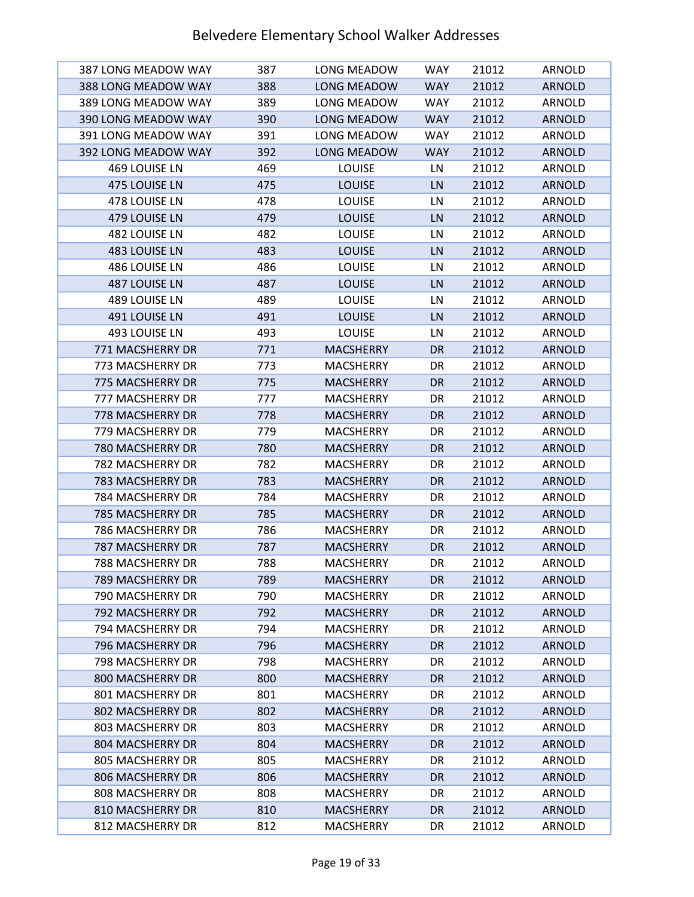| 387 LONG MEADOW WAY | 387 | LONG MEADOW      | <b>WAY</b> | 21012 | ARNOLD        |
|---------------------|-----|------------------|------------|-------|---------------|
| 388 LONG MEADOW WAY | 388 | LONG MEADOW      | <b>WAY</b> | 21012 | <b>ARNOLD</b> |
| 389 LONG MEADOW WAY | 389 | LONG MEADOW      | <b>WAY</b> | 21012 | ARNOLD        |
| 390 LONG MEADOW WAY | 390 | LONG MEADOW      | <b>WAY</b> | 21012 | <b>ARNOLD</b> |
| 391 LONG MEADOW WAY | 391 | LONG MEADOW      | <b>WAY</b> | 21012 | ARNOLD        |
| 392 LONG MEADOW WAY | 392 | LONG MEADOW      | <b>WAY</b> | 21012 | <b>ARNOLD</b> |
| 469 LOUISE LN       | 469 | LOUISE           | LN         | 21012 | ARNOLD        |
| 475 LOUISE LN       | 475 | <b>LOUISE</b>    | LN         | 21012 | <b>ARNOLD</b> |
| 478 LOUISE LN       | 478 | LOUISE           | LN         | 21012 | ARNOLD        |
| 479 LOUISE LN       | 479 | <b>LOUISE</b>    | LN         | 21012 | <b>ARNOLD</b> |
| 482 LOUISE LN       | 482 | LOUISE           | LN         | 21012 | ARNOLD        |
| 483 LOUISE LN       | 483 | <b>LOUISE</b>    | LN         | 21012 | <b>ARNOLD</b> |
| 486 LOUISE LN       | 486 | LOUISE           | LN         | 21012 | ARNOLD        |
| 487 LOUISE LN       | 487 | <b>LOUISE</b>    | LN         | 21012 | <b>ARNOLD</b> |
| 489 LOUISE LN       | 489 | LOUISE           | LN         | 21012 | ARNOLD        |
| 491 LOUISE LN       | 491 | <b>LOUISE</b>    | LN         | 21012 | <b>ARNOLD</b> |
| 493 LOUISE LN       | 493 | LOUISE           | LN         | 21012 | ARNOLD        |
| 771 MACSHERRY DR    | 771 | <b>MACSHERRY</b> | <b>DR</b>  | 21012 | <b>ARNOLD</b> |
| 773 MACSHERRY DR    | 773 | <b>MACSHERRY</b> | DR         | 21012 | ARNOLD        |
| 775 MACSHERRY DR    | 775 | <b>MACSHERRY</b> | DR         | 21012 | <b>ARNOLD</b> |
| 777 MACSHERRY DR    | 777 | <b>MACSHERRY</b> | DR         | 21012 | ARNOLD        |
| 778 MACSHERRY DR    | 778 | <b>MACSHERRY</b> | <b>DR</b>  | 21012 | <b>ARNOLD</b> |
| 779 MACSHERRY DR    | 779 | <b>MACSHERRY</b> | DR         | 21012 | ARNOLD        |
| 780 MACSHERRY DR    | 780 | <b>MACSHERRY</b> | DR         | 21012 | <b>ARNOLD</b> |
| 782 MACSHERRY DR    | 782 | <b>MACSHERRY</b> | DR         | 21012 | ARNOLD        |
| 783 MACSHERRY DR    | 783 | <b>MACSHERRY</b> | <b>DR</b>  | 21012 | <b>ARNOLD</b> |
| 784 MACSHERRY DR    | 784 | <b>MACSHERRY</b> | DR         | 21012 | ARNOLD        |
| 785 MACSHERRY DR    | 785 | <b>MACSHERRY</b> | <b>DR</b>  | 21012 | <b>ARNOLD</b> |
| 786 MACSHERRY DR    | 786 | <b>MACSHERRY</b> | DR         | 21012 | ARNOLD        |
| 787 MACSHERRY DR    | 787 | <b>MACSHERRY</b> | <b>DR</b>  | 21012 | <b>ARNOLD</b> |
| 788 MACSHERRY DR    | 788 | <b>MACSHERRY</b> | DR         | 21012 | <b>ARNOLD</b> |
| 789 MACSHERRY DR    | 789 | <b>MACSHERRY</b> | DR.        | 21012 | <b>ARNOLD</b> |
| 790 MACSHERRY DR    | 790 | <b>MACSHERRY</b> | DR         | 21012 | ARNOLD        |
| 792 MACSHERRY DR    | 792 | <b>MACSHERRY</b> | DR         | 21012 | <b>ARNOLD</b> |
| 794 MACSHERRY DR    | 794 | <b>MACSHERRY</b> | DR         | 21012 | ARNOLD        |
| 796 MACSHERRY DR    | 796 | <b>MACSHERRY</b> | DR         | 21012 | <b>ARNOLD</b> |
| 798 MACSHERRY DR    | 798 | <b>MACSHERRY</b> | DR         | 21012 | ARNOLD        |
| 800 MACSHERRY DR    | 800 | <b>MACSHERRY</b> | DR         | 21012 | <b>ARNOLD</b> |
| 801 MACSHERRY DR    | 801 | <b>MACSHERRY</b> | DR         | 21012 | ARNOLD        |
| 802 MACSHERRY DR    | 802 | <b>MACSHERRY</b> | DR         | 21012 | <b>ARNOLD</b> |
| 803 MACSHERRY DR    | 803 | <b>MACSHERRY</b> | DR         | 21012 | ARNOLD        |
| 804 MACSHERRY DR    | 804 | <b>MACSHERRY</b> | DR         | 21012 | <b>ARNOLD</b> |
| 805 MACSHERRY DR    | 805 | <b>MACSHERRY</b> | DR         | 21012 | ARNOLD        |
| 806 MACSHERRY DR    | 806 | <b>MACSHERRY</b> | DR         | 21012 | <b>ARNOLD</b> |
| 808 MACSHERRY DR    | 808 | <b>MACSHERRY</b> | DR         | 21012 | ARNOLD        |
| 810 MACSHERRY DR    | 810 | <b>MACSHERRY</b> | DR         | 21012 | <b>ARNOLD</b> |
| 812 MACSHERRY DR    | 812 | <b>MACSHERRY</b> | DR         | 21012 | ARNOLD        |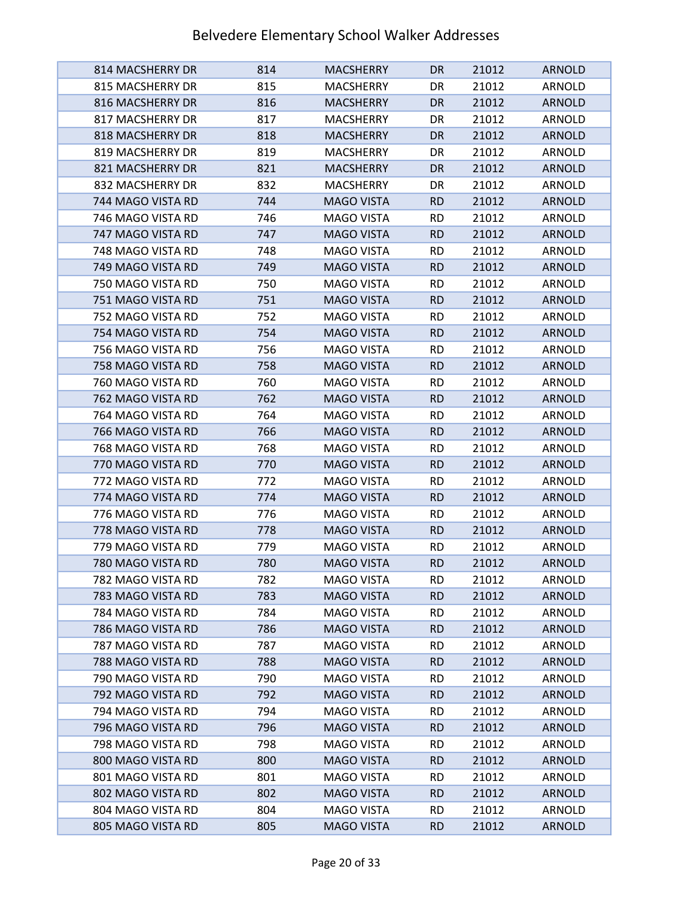| 814 MACSHERRY DR  | 814 | <b>MACSHERRY</b>  | DR.       | 21012 | <b>ARNOLD</b> |
|-------------------|-----|-------------------|-----------|-------|---------------|
| 815 MACSHERRY DR  | 815 | <b>MACSHERRY</b>  | DR        | 21012 | ARNOLD        |
| 816 MACSHERRY DR  | 816 | <b>MACSHERRY</b>  | DR.       | 21012 | <b>ARNOLD</b> |
| 817 MACSHERRY DR  | 817 | <b>MACSHERRY</b>  | DR        | 21012 | ARNOLD        |
| 818 MACSHERRY DR  | 818 | <b>MACSHERRY</b>  | <b>DR</b> | 21012 | <b>ARNOLD</b> |
| 819 MACSHERRY DR  | 819 | MACSHERRY         | DR        | 21012 | ARNOLD        |
| 821 MACSHERRY DR  | 821 | <b>MACSHERRY</b>  | DR.       | 21012 | ARNOLD        |
| 832 MACSHERRY DR  | 832 | <b>MACSHERRY</b>  | DR        | 21012 | ARNOLD        |
| 744 MAGO VISTA RD | 744 | <b>MAGO VISTA</b> | <b>RD</b> | 21012 | <b>ARNOLD</b> |
| 746 MAGO VISTA RD | 746 | <b>MAGO VISTA</b> | <b>RD</b> | 21012 | ARNOLD        |
| 747 MAGO VISTA RD | 747 | <b>MAGO VISTA</b> | <b>RD</b> | 21012 | <b>ARNOLD</b> |
| 748 MAGO VISTA RD | 748 | <b>MAGO VISTA</b> | <b>RD</b> | 21012 | ARNOLD        |
| 749 MAGO VISTA RD | 749 | <b>MAGO VISTA</b> | <b>RD</b> | 21012 | <b>ARNOLD</b> |
| 750 MAGO VISTA RD | 750 | <b>MAGO VISTA</b> | <b>RD</b> | 21012 | ARNOLD        |
| 751 MAGO VISTA RD | 751 | <b>MAGO VISTA</b> | <b>RD</b> | 21012 | <b>ARNOLD</b> |
| 752 MAGO VISTA RD | 752 | <b>MAGO VISTA</b> | RD.       | 21012 | ARNOLD        |
| 754 MAGO VISTA RD | 754 | <b>MAGO VISTA</b> | <b>RD</b> | 21012 | <b>ARNOLD</b> |
| 756 MAGO VISTA RD | 756 | <b>MAGO VISTA</b> | <b>RD</b> | 21012 | ARNOLD        |
| 758 MAGO VISTA RD | 758 | <b>MAGO VISTA</b> | <b>RD</b> | 21012 | <b>ARNOLD</b> |
| 760 MAGO VISTA RD | 760 | <b>MAGO VISTA</b> | <b>RD</b> | 21012 | ARNOLD        |
| 762 MAGO VISTA RD | 762 | <b>MAGO VISTA</b> | <b>RD</b> | 21012 | <b>ARNOLD</b> |
| 764 MAGO VISTA RD | 764 | MAGO VISTA        | <b>RD</b> | 21012 | ARNOLD        |
| 766 MAGO VISTA RD | 766 | <b>MAGO VISTA</b> | <b>RD</b> | 21012 | <b>ARNOLD</b> |
| 768 MAGO VISTA RD | 768 | MAGO VISTA        | <b>RD</b> | 21012 | ARNOLD        |
| 770 MAGO VISTA RD | 770 | <b>MAGO VISTA</b> | <b>RD</b> | 21012 | <b>ARNOLD</b> |
| 772 MAGO VISTA RD | 772 | MAGO VISTA        | <b>RD</b> | 21012 | ARNOLD        |
| 774 MAGO VISTA RD | 774 | <b>MAGO VISTA</b> | <b>RD</b> | 21012 | <b>ARNOLD</b> |
| 776 MAGO VISTA RD | 776 | MAGO VISTA        | <b>RD</b> | 21012 | ARNOLD        |
| 778 MAGO VISTA RD | 778 | <b>MAGO VISTA</b> | <b>RD</b> | 21012 | <b>ARNOLD</b> |
| 779 MAGO VISTA RD | 779 | <b>MAGO VISTA</b> | <b>RD</b> | 21012 | ARNOLD        |
| 780 MAGO VISTA RD | 780 | <b>MAGO VISTA</b> | <b>RD</b> | 21012 | <b>ARNOLD</b> |
| 782 MAGO VISTA RD | 782 | <b>MAGO VISTA</b> | <b>RD</b> | 21012 | ARNOLD        |
| 783 MAGO VISTA RD | 783 | <b>MAGO VISTA</b> | <b>RD</b> | 21012 | <b>ARNOLD</b> |
| 784 MAGO VISTA RD | 784 | <b>MAGO VISTA</b> | <b>RD</b> | 21012 | ARNOLD        |
| 786 MAGO VISTA RD | 786 | <b>MAGO VISTA</b> | <b>RD</b> | 21012 | <b>ARNOLD</b> |
| 787 MAGO VISTA RD | 787 | <b>MAGO VISTA</b> | <b>RD</b> | 21012 | ARNOLD        |
| 788 MAGO VISTA RD | 788 | <b>MAGO VISTA</b> | <b>RD</b> | 21012 | <b>ARNOLD</b> |
| 790 MAGO VISTA RD | 790 | <b>MAGO VISTA</b> | <b>RD</b> | 21012 | ARNOLD        |
| 792 MAGO VISTA RD | 792 | <b>MAGO VISTA</b> | <b>RD</b> | 21012 | <b>ARNOLD</b> |
| 794 MAGO VISTA RD | 794 | <b>MAGO VISTA</b> | <b>RD</b> | 21012 | ARNOLD        |
| 796 MAGO VISTA RD | 796 | <b>MAGO VISTA</b> | <b>RD</b> | 21012 | <b>ARNOLD</b> |
| 798 MAGO VISTA RD | 798 | <b>MAGO VISTA</b> | <b>RD</b> | 21012 | ARNOLD        |
| 800 MAGO VISTA RD | 800 | <b>MAGO VISTA</b> | <b>RD</b> | 21012 | <b>ARNOLD</b> |
| 801 MAGO VISTA RD | 801 | <b>MAGO VISTA</b> | <b>RD</b> | 21012 | ARNOLD        |
| 802 MAGO VISTA RD | 802 | <b>MAGO VISTA</b> | <b>RD</b> | 21012 | <b>ARNOLD</b> |
| 804 MAGO VISTA RD | 804 | <b>MAGO VISTA</b> | <b>RD</b> | 21012 | ARNOLD        |
| 805 MAGO VISTA RD | 805 | <b>MAGO VISTA</b> | <b>RD</b> | 21012 | <b>ARNOLD</b> |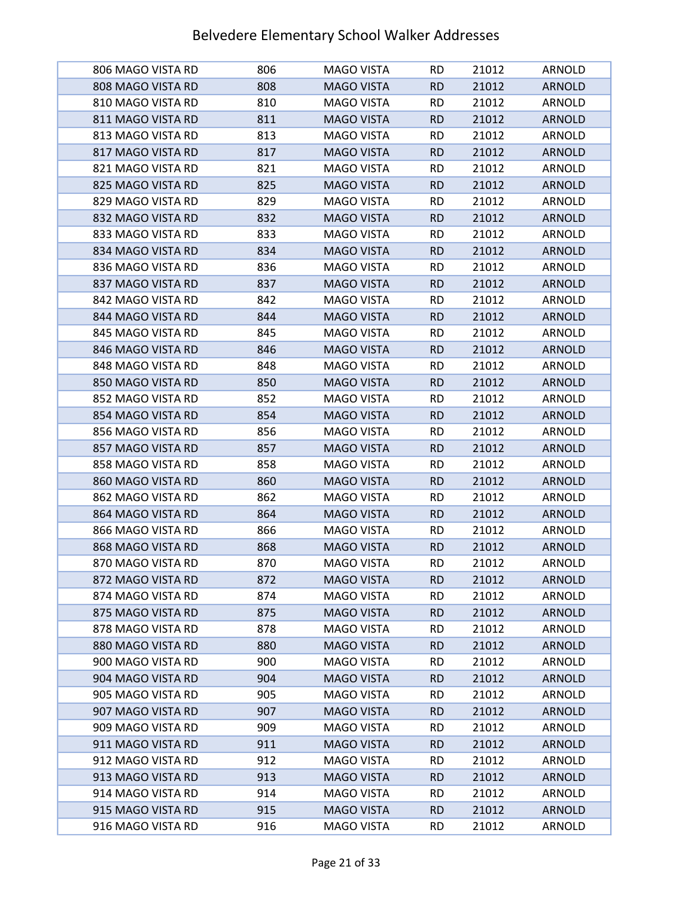| 806 MAGO VISTA RD | 806 | MAGO VISTA        | <b>RD</b> | 21012 | ARNOLD        |
|-------------------|-----|-------------------|-----------|-------|---------------|
| 808 MAGO VISTA RD | 808 | <b>MAGO VISTA</b> | <b>RD</b> | 21012 | <b>ARNOLD</b> |
| 810 MAGO VISTA RD | 810 | <b>MAGO VISTA</b> | <b>RD</b> | 21012 | ARNOLD        |
| 811 MAGO VISTA RD | 811 | <b>MAGO VISTA</b> | <b>RD</b> | 21012 | <b>ARNOLD</b> |
| 813 MAGO VISTA RD | 813 | MAGO VISTA        | <b>RD</b> | 21012 | ARNOLD        |
| 817 MAGO VISTA RD | 817 | <b>MAGO VISTA</b> | <b>RD</b> | 21012 | <b>ARNOLD</b> |
| 821 MAGO VISTA RD | 821 | MAGO VISTA        | RD.       | 21012 | ARNOLD        |
| 825 MAGO VISTA RD | 825 | <b>MAGO VISTA</b> | <b>RD</b> | 21012 | <b>ARNOLD</b> |
| 829 MAGO VISTA RD | 829 | MAGO VISTA        | <b>RD</b> | 21012 | ARNOLD        |
| 832 MAGO VISTA RD | 832 | <b>MAGO VISTA</b> | <b>RD</b> | 21012 | <b>ARNOLD</b> |
| 833 MAGO VISTA RD | 833 | <b>MAGO VISTA</b> | <b>RD</b> | 21012 | ARNOLD        |
| 834 MAGO VISTA RD | 834 | <b>MAGO VISTA</b> | <b>RD</b> | 21012 | <b>ARNOLD</b> |
| 836 MAGO VISTA RD | 836 | MAGO VISTA        | <b>RD</b> | 21012 | ARNOLD        |
| 837 MAGO VISTA RD | 837 | <b>MAGO VISTA</b> | <b>RD</b> | 21012 | <b>ARNOLD</b> |
| 842 MAGO VISTA RD | 842 | <b>MAGO VISTA</b> | <b>RD</b> | 21012 | <b>ARNOLD</b> |
| 844 MAGO VISTA RD | 844 | <b>MAGO VISTA</b> | <b>RD</b> | 21012 | <b>ARNOLD</b> |
| 845 MAGO VISTA RD | 845 | MAGO VISTA        | <b>RD</b> | 21012 | ARNOLD        |
| 846 MAGO VISTA RD | 846 | <b>MAGO VISTA</b> | <b>RD</b> | 21012 | <b>ARNOLD</b> |
| 848 MAGO VISTA RD | 848 | MAGO VISTA        | RD.       | 21012 | ARNOLD        |
| 850 MAGO VISTA RD | 850 | <b>MAGO VISTA</b> | <b>RD</b> | 21012 | <b>ARNOLD</b> |
| 852 MAGO VISTA RD | 852 | MAGO VISTA        | RD.       | 21012 | ARNOLD        |
| 854 MAGO VISTA RD | 854 | <b>MAGO VISTA</b> | <b>RD</b> | 21012 | <b>ARNOLD</b> |
| 856 MAGO VISTA RD | 856 | MAGO VISTA        | <b>RD</b> | 21012 | ARNOLD        |
| 857 MAGO VISTA RD | 857 | <b>MAGO VISTA</b> | <b>RD</b> | 21012 | <b>ARNOLD</b> |
| 858 MAGO VISTA RD | 858 | <b>MAGO VISTA</b> | RD        | 21012 | ARNOLD        |
| 860 MAGO VISTA RD | 860 | <b>MAGO VISTA</b> | <b>RD</b> | 21012 | <b>ARNOLD</b> |
| 862 MAGO VISTA RD | 862 | MAGO VISTA        | <b>RD</b> | 21012 | ARNOLD        |
| 864 MAGO VISTA RD | 864 | <b>MAGO VISTA</b> | <b>RD</b> | 21012 | <b>ARNOLD</b> |
| 866 MAGO VISTA RD | 866 | MAGO VISTA        | RD        | 21012 | <b>ARNOLD</b> |
| 868 MAGO VISTA RD | 868 | <b>MAGO VISTA</b> | <b>RD</b> | 21012 | <b>ARNOLD</b> |
| 870 MAGO VISTA RD | 870 | <b>MAGO VISTA</b> | <b>RD</b> | 21012 | ARNOLD        |
| 872 MAGO VISTA RD | 872 | <b>MAGO VISTA</b> | <b>RD</b> | 21012 | <b>ARNOLD</b> |
| 874 MAGO VISTA RD | 874 | MAGO VISTA        | <b>RD</b> | 21012 | ARNOLD        |
| 875 MAGO VISTA RD | 875 | <b>MAGO VISTA</b> | <b>RD</b> | 21012 | <b>ARNOLD</b> |
| 878 MAGO VISTA RD | 878 | MAGO VISTA        | <b>RD</b> | 21012 | ARNOLD        |
| 880 MAGO VISTA RD | 880 | <b>MAGO VISTA</b> | <b>RD</b> | 21012 | <b>ARNOLD</b> |
| 900 MAGO VISTA RD | 900 | <b>MAGO VISTA</b> | <b>RD</b> | 21012 | ARNOLD        |
| 904 MAGO VISTA RD | 904 | <b>MAGO VISTA</b> | <b>RD</b> | 21012 | <b>ARNOLD</b> |
| 905 MAGO VISTA RD | 905 | MAGO VISTA        | <b>RD</b> | 21012 | ARNOLD        |
| 907 MAGO VISTA RD | 907 | <b>MAGO VISTA</b> | <b>RD</b> | 21012 | <b>ARNOLD</b> |
| 909 MAGO VISTA RD | 909 | MAGO VISTA        | <b>RD</b> | 21012 | ARNOLD        |
| 911 MAGO VISTA RD | 911 | <b>MAGO VISTA</b> | <b>RD</b> | 21012 | <b>ARNOLD</b> |
| 912 MAGO VISTA RD | 912 | <b>MAGO VISTA</b> | <b>RD</b> | 21012 | ARNOLD        |
| 913 MAGO VISTA RD | 913 | <b>MAGO VISTA</b> | <b>RD</b> | 21012 | <b>ARNOLD</b> |
| 914 MAGO VISTA RD | 914 | MAGO VISTA        | RD.       | 21012 | ARNOLD        |
| 915 MAGO VISTA RD | 915 | <b>MAGO VISTA</b> | <b>RD</b> | 21012 | <b>ARNOLD</b> |
| 916 MAGO VISTA RD | 916 | MAGO VISTA        | RD.       | 21012 | ARNOLD        |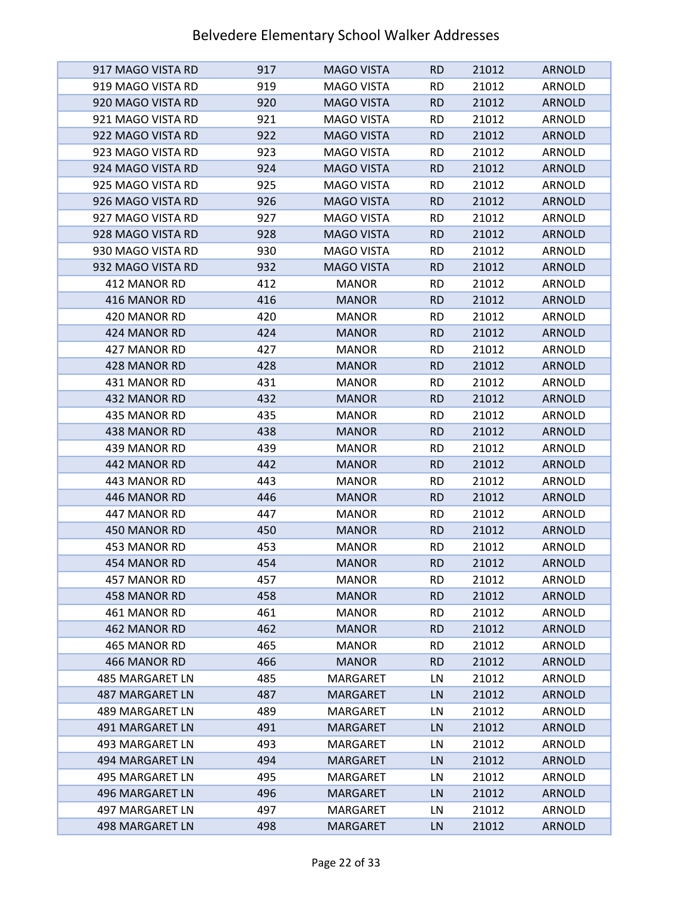| 917 MAGO VISTA RD                  | 917        | <b>MAGO VISTA</b>           | <b>RD</b> | 21012          | ARNOLD                  |
|------------------------------------|------------|-----------------------------|-----------|----------------|-------------------------|
| 919 MAGO VISTA RD                  | 919        | <b>MAGO VISTA</b>           | <b>RD</b> | 21012          | ARNOLD                  |
| 920 MAGO VISTA RD                  | 920        | <b>MAGO VISTA</b>           | <b>RD</b> | 21012          | <b>ARNOLD</b>           |
| 921 MAGO VISTA RD                  | 921        | <b>MAGO VISTA</b>           | <b>RD</b> | 21012          | ARNOLD                  |
| 922 MAGO VISTA RD                  | 922        | <b>MAGO VISTA</b>           | <b>RD</b> | 21012          | <b>ARNOLD</b>           |
| 923 MAGO VISTA RD                  | 923        | <b>MAGO VISTA</b>           | <b>RD</b> | 21012          | ARNOLD                  |
| 924 MAGO VISTA RD                  | 924        | <b>MAGO VISTA</b>           | <b>RD</b> | 21012          | <b>ARNOLD</b>           |
| 925 MAGO VISTA RD                  | 925        | <b>MAGO VISTA</b>           | <b>RD</b> | 21012          | ARNOLD                  |
| 926 MAGO VISTA RD                  | 926        | <b>MAGO VISTA</b>           | <b>RD</b> | 21012          | <b>ARNOLD</b>           |
| 927 MAGO VISTA RD                  | 927        | <b>MAGO VISTA</b>           | <b>RD</b> | 21012          | ARNOLD                  |
| 928 MAGO VISTA RD                  | 928        | <b>MAGO VISTA</b>           | <b>RD</b> | 21012          | <b>ARNOLD</b>           |
| 930 MAGO VISTA RD                  | 930        | <b>MAGO VISTA</b>           | <b>RD</b> | 21012          | ARNOLD                  |
| 932 MAGO VISTA RD                  | 932        | <b>MAGO VISTA</b>           | <b>RD</b> | 21012          | <b>ARNOLD</b>           |
| 412 MANOR RD                       | 412        | <b>MANOR</b>                | <b>RD</b> | 21012          | ARNOLD                  |
| 416 MANOR RD                       | 416        | <b>MANOR</b>                | <b>RD</b> | 21012          | <b>ARNOLD</b>           |
| 420 MANOR RD                       | 420        | <b>MANOR</b>                | <b>RD</b> | 21012          | <b>ARNOLD</b>           |
| 424 MANOR RD                       | 424        | <b>MANOR</b>                | <b>RD</b> | 21012          | <b>ARNOLD</b>           |
| 427 MANOR RD                       | 427        | <b>MANOR</b>                | <b>RD</b> | 21012          | ARNOLD                  |
| 428 MANOR RD                       | 428        | <b>MANOR</b>                | <b>RD</b> | 21012          | <b>ARNOLD</b>           |
| 431 MANOR RD                       | 431        | <b>MANOR</b>                | <b>RD</b> | 21012          | ARNOLD                  |
| 432 MANOR RD                       | 432        | <b>MANOR</b>                | <b>RD</b> | 21012          | <b>ARNOLD</b>           |
| 435 MANOR RD                       | 435        | <b>MANOR</b>                | <b>RD</b> | 21012          | ARNOLD                  |
| 438 MANOR RD                       | 438        | <b>MANOR</b>                | <b>RD</b> | 21012          | <b>ARNOLD</b>           |
| 439 MANOR RD                       | 439        | <b>MANOR</b>                | <b>RD</b> | 21012          | ARNOLD                  |
| 442 MANOR RD                       | 442        | <b>MANOR</b>                | <b>RD</b> | 21012          | <b>ARNOLD</b>           |
| 443 MANOR RD                       | 443        | <b>MANOR</b>                | <b>RD</b> | 21012          | ARNOLD                  |
| 446 MANOR RD                       | 446        | <b>MANOR</b>                | <b>RD</b> | 21012          | <b>ARNOLD</b>           |
| 447 MANOR RD                       | 447        | <b>MANOR</b>                | <b>RD</b> | 21012          | <b>ARNOLD</b>           |
| 450 MANOR RD                       | 450        | <b>MANOR</b>                | <b>RD</b> | 21012          | <b>ARNOLD</b>           |
| 453 MANOR RD                       | 453        | <b>MANOR</b>                | <b>RD</b> | 21012          | ARNOLD                  |
| 454 MANOR RD                       | 454        | <b>MANOR</b>                | <b>RD</b> | 21012          | <b>ARNOLD</b>           |
| 457 MANOR RD                       | 457        | <b>MANOR</b>                | <b>RD</b> | 21012          | ARNOLD                  |
| 458 MANOR RD                       | 458        | <b>MANOR</b>                | <b>RD</b> | 21012          | <b>ARNOLD</b>           |
| 461 MANOR RD                       | 461        | <b>MANOR</b>                | <b>RD</b> | 21012          | ARNOLD                  |
| 462 MANOR RD                       | 462        | <b>MANOR</b>                | <b>RD</b> | 21012          | <b>ARNOLD</b>           |
| 465 MANOR RD                       | 465        | <b>MANOR</b>                | <b>RD</b> | 21012          | ARNOLD                  |
| 466 MANOR RD                       | 466        | <b>MANOR</b>                | <b>RD</b> | 21012          | <b>ARNOLD</b>           |
| 485 MARGARET LN                    | 485        | <b>MARGARET</b>             | LN        | 21012          | ARNOLD                  |
| <b>487 MARGARET LN</b>             | 487        | <b>MARGARET</b>             | LN        | 21012          | <b>ARNOLD</b>           |
| 489 MARGARET LN<br>491 MARGARET LN | 489<br>491 | MARGARET<br><b>MARGARET</b> | LN<br>LN  | 21012<br>21012 | ARNOLD<br><b>ARNOLD</b> |
| 493 MARGARET LN                    | 493        | MARGARET                    | LN        | 21012          | ARNOLD                  |
| 494 MARGARET LN                    | 494        | <b>MARGARET</b>             | LN        | 21012          | <b>ARNOLD</b>           |
| 495 MARGARET LN                    | 495        | MARGARET                    | LN        | 21012          | ARNOLD                  |
| 496 MARGARET LN                    | 496        | <b>MARGARET</b>             | LN        | 21012          | <b>ARNOLD</b>           |
| 497 MARGARET LN                    | 497        | MARGARET                    | LN        | 21012          | ARNOLD                  |
| 498 MARGARET LN                    | 498        | <b>MARGARET</b>             | LN        | 21012          | <b>ARNOLD</b>           |
|                                    |            |                             |           |                |                         |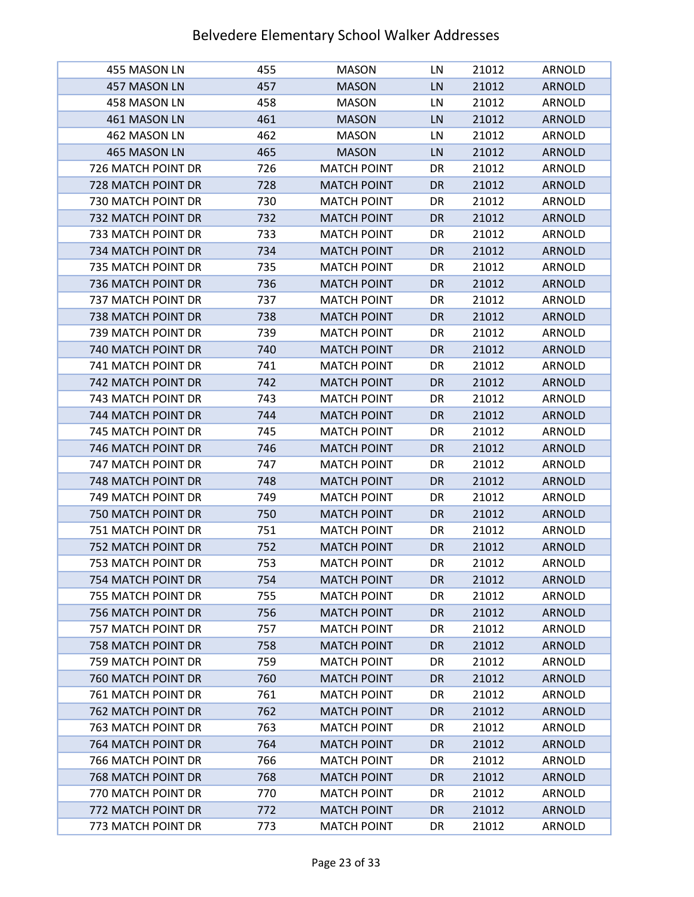| 455 MASON LN              | 455 | <b>MASON</b>       | LN        | 21012 | ARNOLD        |
|---------------------------|-----|--------------------|-----------|-------|---------------|
| 457 MASON LN              | 457 | <b>MASON</b>       | LN        | 21012 | <b>ARNOLD</b> |
| 458 MASON LN              | 458 | <b>MASON</b>       | LN        | 21012 | ARNOLD        |
| 461 MASON LN              | 461 | <b>MASON</b>       | LN        | 21012 | <b>ARNOLD</b> |
| 462 MASON LN              | 462 | <b>MASON</b>       | LN        | 21012 | ARNOLD        |
| 465 MASON LN              | 465 | <b>MASON</b>       | LN        | 21012 | <b>ARNOLD</b> |
| 726 MATCH POINT DR        | 726 | <b>MATCH POINT</b> | DR        | 21012 | ARNOLD        |
| 728 MATCH POINT DR        | 728 | <b>MATCH POINT</b> | <b>DR</b> | 21012 | <b>ARNOLD</b> |
| 730 MATCH POINT DR        | 730 | <b>MATCH POINT</b> | DR        | 21012 | ARNOLD        |
| 732 MATCH POINT DR        | 732 | <b>MATCH POINT</b> | <b>DR</b> | 21012 | <b>ARNOLD</b> |
| 733 MATCH POINT DR        | 733 | <b>MATCH POINT</b> | DR        | 21012 | ARNOLD        |
| 734 MATCH POINT DR        | 734 | <b>MATCH POINT</b> | DR        | 21012 | <b>ARNOLD</b> |
| 735 MATCH POINT DR        | 735 | <b>MATCH POINT</b> | DR        | 21012 | ARNOLD        |
| 736 MATCH POINT DR        | 736 | <b>MATCH POINT</b> | <b>DR</b> | 21012 | <b>ARNOLD</b> |
| 737 MATCH POINT DR        | 737 | <b>MATCH POINT</b> | DR        | 21012 | ARNOLD        |
| 738 MATCH POINT DR        | 738 | <b>MATCH POINT</b> | <b>DR</b> | 21012 | <b>ARNOLD</b> |
| 739 MATCH POINT DR        | 739 | <b>MATCH POINT</b> | DR        | 21012 | ARNOLD        |
| 740 MATCH POINT DR        | 740 | <b>MATCH POINT</b> | <b>DR</b> | 21012 | <b>ARNOLD</b> |
| 741 MATCH POINT DR        | 741 | <b>MATCH POINT</b> | DR        | 21012 | ARNOLD        |
| 742 MATCH POINT DR        | 742 | <b>MATCH POINT</b> | DR.       | 21012 | <b>ARNOLD</b> |
| 743 MATCH POINT DR        | 743 | <b>MATCH POINT</b> | DR        | 21012 | ARNOLD        |
| 744 MATCH POINT DR        | 744 | <b>MATCH POINT</b> | DR        | 21012 | <b>ARNOLD</b> |
| 745 MATCH POINT DR        | 745 | <b>MATCH POINT</b> | DR        | 21012 | ARNOLD        |
| 746 MATCH POINT DR        | 746 | <b>MATCH POINT</b> | <b>DR</b> | 21012 | <b>ARNOLD</b> |
| 747 MATCH POINT DR        | 747 | <b>MATCH POINT</b> | DR        | 21012 | ARNOLD        |
| 748 MATCH POINT DR        | 748 | <b>MATCH POINT</b> | <b>DR</b> | 21012 | <b>ARNOLD</b> |
| 749 MATCH POINT DR        | 749 | <b>MATCH POINT</b> | DR        | 21012 | ARNOLD        |
| 750 MATCH POINT DR        | 750 | <b>MATCH POINT</b> | <b>DR</b> | 21012 | <b>ARNOLD</b> |
| 751 MATCH POINT DR        | 751 | <b>MATCH POINT</b> | DR        | 21012 | ARNOLD        |
| 752 MATCH POINT DR        | 752 | <b>MATCH POINT</b> | <b>DR</b> | 21012 | <b>ARNOLD</b> |
| <b>753 MATCH POINT DR</b> | 753 | <b>MATCH POINT</b> | DR        | 21012 | <b>ARNOLD</b> |
| 754 MATCH POINT DR        | 754 | <b>MATCH POINT</b> | DR        | 21012 | <b>ARNOLD</b> |
| 755 MATCH POINT DR        | 755 | <b>MATCH POINT</b> | DR        | 21012 | ARNOLD        |
| 756 MATCH POINT DR        | 756 | <b>MATCH POINT</b> | DR        | 21012 | <b>ARNOLD</b> |
| 757 MATCH POINT DR        | 757 | <b>MATCH POINT</b> | DR        | 21012 | ARNOLD        |
| 758 MATCH POINT DR        | 758 | <b>MATCH POINT</b> | <b>DR</b> | 21012 | <b>ARNOLD</b> |
| 759 MATCH POINT DR        | 759 | <b>MATCH POINT</b> | DR        | 21012 | ARNOLD        |
| 760 MATCH POINT DR        | 760 | <b>MATCH POINT</b> | DR        | 21012 | <b>ARNOLD</b> |
| 761 MATCH POINT DR        | 761 | <b>MATCH POINT</b> | DR        | 21012 | ARNOLD        |
| 762 MATCH POINT DR        | 762 | <b>MATCH POINT</b> | DR        | 21012 | <b>ARNOLD</b> |
| 763 MATCH POINT DR        | 763 | <b>MATCH POINT</b> | DR        | 21012 | ARNOLD        |
| 764 MATCH POINT DR        | 764 | <b>MATCH POINT</b> | <b>DR</b> | 21012 | <b>ARNOLD</b> |
| 766 MATCH POINT DR        | 766 | <b>MATCH POINT</b> | DR        | 21012 | ARNOLD        |
| 768 MATCH POINT DR        | 768 | <b>MATCH POINT</b> | DR        | 21012 | <b>ARNOLD</b> |
| 770 MATCH POINT DR        | 770 | <b>MATCH POINT</b> | DR        | 21012 | ARNOLD        |
| 772 MATCH POINT DR        | 772 | <b>MATCH POINT</b> | DR        | 21012 | <b>ARNOLD</b> |
| 773 MATCH POINT DR        | 773 | <b>MATCH POINT</b> | DR        | 21012 | ARNOLD        |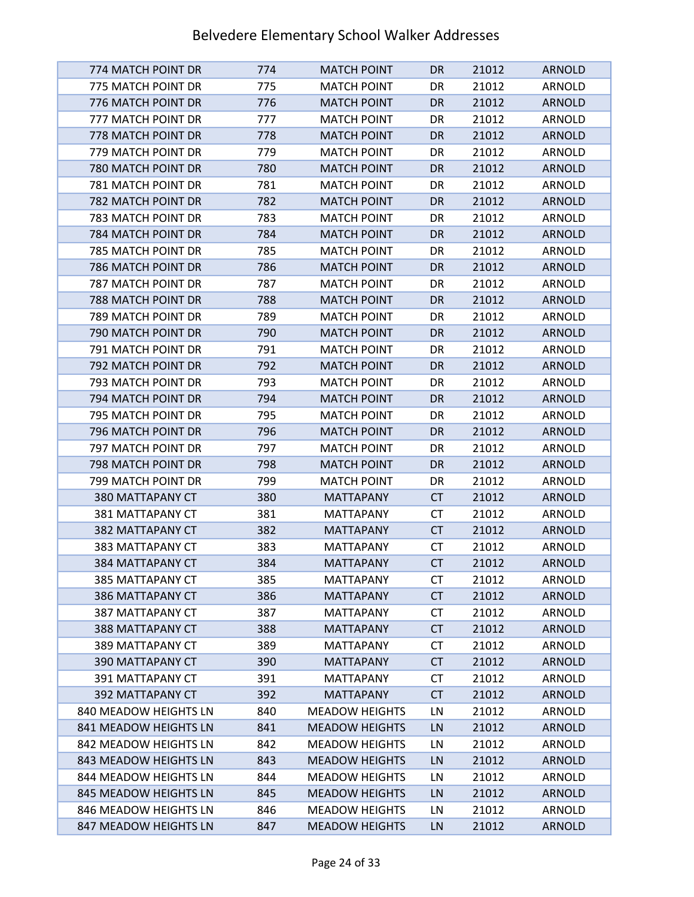| 774 MATCH POINT DR        | 774 | <b>MATCH POINT</b>    | DR.       | 21012 | <b>ARNOLD</b> |
|---------------------------|-----|-----------------------|-----------|-------|---------------|
| 775 MATCH POINT DR        | 775 | <b>MATCH POINT</b>    | DR        | 21012 | ARNOLD        |
| 776 MATCH POINT DR        | 776 | <b>MATCH POINT</b>    | <b>DR</b> | 21012 | <b>ARNOLD</b> |
| 777 MATCH POINT DR        | 777 | <b>MATCH POINT</b>    | DR        | 21012 | ARNOLD        |
| 778 MATCH POINT DR        | 778 | <b>MATCH POINT</b>    | <b>DR</b> | 21012 | <b>ARNOLD</b> |
| 779 MATCH POINT DR        | 779 | <b>MATCH POINT</b>    | DR        | 21012 | ARNOLD        |
| 780 MATCH POINT DR        | 780 | <b>MATCH POINT</b>    | <b>DR</b> | 21012 | <b>ARNOLD</b> |
| 781 MATCH POINT DR        | 781 | <b>MATCH POINT</b>    | DR        | 21012 | ARNOLD        |
| 782 MATCH POINT DR        | 782 | <b>MATCH POINT</b>    | <b>DR</b> | 21012 | <b>ARNOLD</b> |
| 783 MATCH POINT DR        | 783 | <b>MATCH POINT</b>    | DR        | 21012 | ARNOLD        |
| 784 MATCH POINT DR        | 784 | <b>MATCH POINT</b>    | <b>DR</b> | 21012 | <b>ARNOLD</b> |
| 785 MATCH POINT DR        | 785 | <b>MATCH POINT</b>    | DR        | 21012 | ARNOLD        |
| 786 MATCH POINT DR        | 786 | <b>MATCH POINT</b>    | DR.       | 21012 | <b>ARNOLD</b> |
| <b>787 MATCH POINT DR</b> | 787 | <b>MATCH POINT</b>    | DR        | 21012 | ARNOLD        |
| 788 MATCH POINT DR        | 788 | <b>MATCH POINT</b>    | <b>DR</b> | 21012 | <b>ARNOLD</b> |
| 789 MATCH POINT DR        | 789 | <b>MATCH POINT</b>    | DR        | 21012 | ARNOLD        |
| 790 MATCH POINT DR        | 790 | <b>MATCH POINT</b>    | <b>DR</b> | 21012 | <b>ARNOLD</b> |
| 791 MATCH POINT DR        | 791 | <b>MATCH POINT</b>    | DR        | 21012 | ARNOLD        |
| 792 MATCH POINT DR        | 792 | <b>MATCH POINT</b>    | <b>DR</b> | 21012 | <b>ARNOLD</b> |
| 793 MATCH POINT DR        | 793 | <b>MATCH POINT</b>    | DR        | 21012 | ARNOLD        |
| 794 MATCH POINT DR        | 794 | <b>MATCH POINT</b>    | <b>DR</b> | 21012 | <b>ARNOLD</b> |
| 795 MATCH POINT DR        | 795 | <b>MATCH POINT</b>    | DR        | 21012 | ARNOLD        |
| 796 MATCH POINT DR        | 796 | <b>MATCH POINT</b>    | <b>DR</b> | 21012 | <b>ARNOLD</b> |
| 797 MATCH POINT DR        | 797 | <b>MATCH POINT</b>    | DR        | 21012 | ARNOLD        |
| 798 MATCH POINT DR        | 798 | <b>MATCH POINT</b>    | <b>DR</b> | 21012 | <b>ARNOLD</b> |
| 799 MATCH POINT DR        | 799 | <b>MATCH POINT</b>    | DR        | 21012 | ARNOLD        |
| 380 MATTAPANY CT          | 380 | <b>MATTAPANY</b>      | <b>CT</b> | 21012 | <b>ARNOLD</b> |
| 381 MATTAPANY CT          | 381 | <b>MATTAPANY</b>      | <b>CT</b> | 21012 | ARNOLD        |
| 382 MATTAPANY CT          | 382 | <b>MATTAPANY</b>      | <b>CT</b> | 21012 | <b>ARNOLD</b> |
| 383 MATTAPANY CT          | 383 | <b>MATTAPANY</b>      | <b>CT</b> | 21012 | ARNOLD        |
| 384 MATTAPANY CT          | 384 | <b>MATTAPANY</b>      | <b>CT</b> | 21012 | <b>ARNOLD</b> |
| 385 MATTAPANY CT          | 385 | <b>MATTAPANY</b>      | CT        | 21012 | ARNOLD        |
| 386 MATTAPANY CT          | 386 | <b>MATTAPANY</b>      | <b>CT</b> | 21012 | <b>ARNOLD</b> |
| 387 MATTAPANY CT          | 387 | <b>MATTAPANY</b>      | СT        | 21012 | ARNOLD        |
| 388 MATTAPANY CT          | 388 | <b>MATTAPANY</b>      | <b>CT</b> | 21012 | <b>ARNOLD</b> |
| 389 MATTAPANY CT          | 389 | <b>MATTAPANY</b>      | <b>CT</b> | 21012 | ARNOLD        |
| 390 MATTAPANY CT          | 390 | <b>MATTAPANY</b>      | <b>CT</b> | 21012 | <b>ARNOLD</b> |
| 391 MATTAPANY CT          | 391 | <b>MATTAPANY</b>      | <b>CT</b> | 21012 | ARNOLD        |
| <b>392 MATTAPANY CT</b>   | 392 | <b>MATTAPANY</b>      | <b>CT</b> | 21012 | <b>ARNOLD</b> |
| 840 MEADOW HEIGHTS LN     | 840 | <b>MEADOW HEIGHTS</b> | LN        | 21012 | ARNOLD        |
| 841 MEADOW HEIGHTS LN     | 841 | <b>MEADOW HEIGHTS</b> | LN        | 21012 | <b>ARNOLD</b> |
| 842 MEADOW HEIGHTS LN     | 842 | <b>MEADOW HEIGHTS</b> | LN        | 21012 | ARNOLD        |
| 843 MEADOW HEIGHTS LN     | 843 | <b>MEADOW HEIGHTS</b> | LN        | 21012 | <b>ARNOLD</b> |
| 844 MEADOW HEIGHTS LN     | 844 | <b>MEADOW HEIGHTS</b> | LN        | 21012 | ARNOLD        |
| 845 MEADOW HEIGHTS LN     | 845 | <b>MEADOW HEIGHTS</b> | LN        | 21012 | <b>ARNOLD</b> |
| 846 MEADOW HEIGHTS LN     | 846 | <b>MEADOW HEIGHTS</b> | LN        | 21012 | ARNOLD        |
| 847 MEADOW HEIGHTS LN     | 847 | <b>MEADOW HEIGHTS</b> | LN        | 21012 | <b>ARNOLD</b> |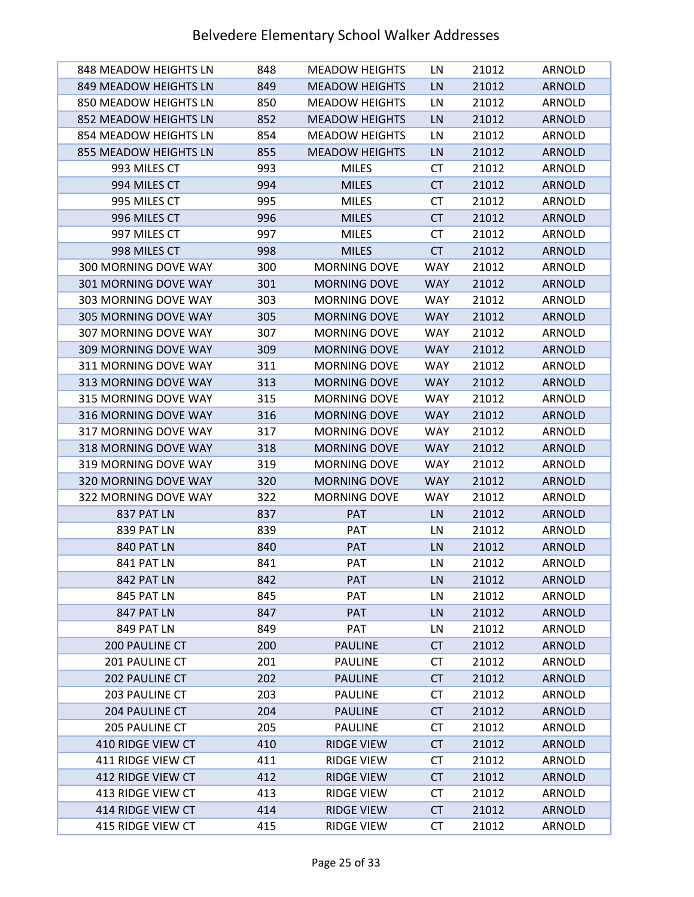| 848 MEADOW HEIGHTS LN       | 848 | <b>MEADOW HEIGHTS</b> | LN         | 21012 | ARNOLD        |
|-----------------------------|-----|-----------------------|------------|-------|---------------|
| 849 MEADOW HEIGHTS LN       | 849 | <b>MEADOW HEIGHTS</b> | LN         | 21012 | <b>ARNOLD</b> |
| 850 MEADOW HEIGHTS LN       | 850 | <b>MEADOW HEIGHTS</b> | LN         | 21012 | ARNOLD        |
| 852 MEADOW HEIGHTS LN       | 852 | <b>MEADOW HEIGHTS</b> | LN         | 21012 | <b>ARNOLD</b> |
| 854 MEADOW HEIGHTS LN       | 854 | <b>MEADOW HEIGHTS</b> | LN         | 21012 | ARNOLD        |
| 855 MEADOW HEIGHTS LN       | 855 | <b>MEADOW HEIGHTS</b> | LN         | 21012 | <b>ARNOLD</b> |
| 993 MILES CT                | 993 | <b>MILES</b>          | СT         | 21012 | ARNOLD        |
| 994 MILES CT                | 994 | <b>MILES</b>          | <b>CT</b>  | 21012 | <b>ARNOLD</b> |
| 995 MILES CT                | 995 | <b>MILES</b>          | <b>CT</b>  | 21012 | ARNOLD        |
| 996 MILES CT                | 996 | <b>MILES</b>          | <b>CT</b>  | 21012 | <b>ARNOLD</b> |
| 997 MILES CT                | 997 | <b>MILES</b>          | <b>CT</b>  | 21012 | ARNOLD        |
| 998 MILES CT                | 998 | <b>MILES</b>          | <b>CT</b>  | 21012 | <b>ARNOLD</b> |
| 300 MORNING DOVE WAY        | 300 | <b>MORNING DOVE</b>   | <b>WAY</b> | 21012 | ARNOLD        |
| <b>301 MORNING DOVE WAY</b> | 301 | <b>MORNING DOVE</b>   | <b>WAY</b> | 21012 | <b>ARNOLD</b> |
| 303 MORNING DOVE WAY        | 303 | <b>MORNING DOVE</b>   | <b>WAY</b> | 21012 | ARNOLD        |
| <b>305 MORNING DOVE WAY</b> | 305 | <b>MORNING DOVE</b>   | <b>WAY</b> | 21012 | <b>ARNOLD</b> |
| <b>307 MORNING DOVE WAY</b> | 307 | <b>MORNING DOVE</b>   | <b>WAY</b> | 21012 | <b>ARNOLD</b> |
| 309 MORNING DOVE WAY        | 309 | <b>MORNING DOVE</b>   | <b>WAY</b> | 21012 | <b>ARNOLD</b> |
| 311 MORNING DOVE WAY        | 311 | <b>MORNING DOVE</b>   | <b>WAY</b> | 21012 | <b>ARNOLD</b> |
| 313 MORNING DOVE WAY        | 313 | <b>MORNING DOVE</b>   | <b>WAY</b> | 21012 | <b>ARNOLD</b> |
| 315 MORNING DOVE WAY        | 315 | <b>MORNING DOVE</b>   | <b>WAY</b> | 21012 | ARNOLD        |
| 316 MORNING DOVE WAY        | 316 | <b>MORNING DOVE</b>   | <b>WAY</b> | 21012 | <b>ARNOLD</b> |
| 317 MORNING DOVE WAY        | 317 | <b>MORNING DOVE</b>   | <b>WAY</b> | 21012 | ARNOLD        |
| 318 MORNING DOVE WAY        | 318 | <b>MORNING DOVE</b>   | <b>WAY</b> | 21012 | <b>ARNOLD</b> |
| 319 MORNING DOVE WAY        | 319 | <b>MORNING DOVE</b>   | <b>WAY</b> | 21012 | ARNOLD        |
| 320 MORNING DOVE WAY        | 320 | <b>MORNING DOVE</b>   | <b>WAY</b> | 21012 | <b>ARNOLD</b> |
| 322 MORNING DOVE WAY        | 322 | <b>MORNING DOVE</b>   | <b>WAY</b> | 21012 | ARNOLD        |
| 837 PAT LN                  | 837 | <b>PAT</b>            | LN         | 21012 | <b>ARNOLD</b> |
| 839 PAT LN                  | 839 | <b>PAT</b>            | LN         | 21012 | ARNOLD        |
| 840 PAT LN                  | 840 | PAT                   | LN         | 21012 | <b>ARNOLD</b> |
| <b>841 PAT LN</b>           | 841 | <b>PAT</b>            | LN         | 21012 | ARNOLD        |
| 842 PAT LN                  | 842 | <b>PAT</b>            | LN         | 21012 | <b>ARNOLD</b> |
| 845 PAT LN                  | 845 | <b>PAT</b>            | LN         | 21012 | ARNOLD        |
| <b>847 PAT LN</b>           | 847 | <b>PAT</b>            | LN         | 21012 | <b>ARNOLD</b> |
| 849 PAT LN                  | 849 | PAT                   | LN         | 21012 | ARNOLD        |
| 200 PAULINE CT              | 200 | <b>PAULINE</b>        | <b>CT</b>  | 21012 | <b>ARNOLD</b> |
| 201 PAULINE CT              | 201 | <b>PAULINE</b>        | CT         | 21012 | ARNOLD        |
| <b>202 PAULINE CT</b>       | 202 | <b>PAULINE</b>        | <b>CT</b>  | 21012 | <b>ARNOLD</b> |
| 203 PAULINE CT              | 203 | <b>PAULINE</b>        | <b>CT</b>  | 21012 | ARNOLD        |
| 204 PAULINE CT              | 204 | <b>PAULINE</b>        | CT         | 21012 | <b>ARNOLD</b> |
| <b>205 PAULINE CT</b>       | 205 | <b>PAULINE</b>        | СT         | 21012 | ARNOLD        |
| 410 RIDGE VIEW CT           | 410 | <b>RIDGE VIEW</b>     | <b>CT</b>  | 21012 | <b>ARNOLD</b> |
| 411 RIDGE VIEW CT           | 411 | <b>RIDGE VIEW</b>     | <b>CT</b>  | 21012 | ARNOLD        |
| 412 RIDGE VIEW CT           | 412 | <b>RIDGE VIEW</b>     | <b>CT</b>  | 21012 | <b>ARNOLD</b> |
| 413 RIDGE VIEW CT           | 413 | <b>RIDGE VIEW</b>     | <b>CT</b>  | 21012 | ARNOLD        |
| 414 RIDGE VIEW CT           | 414 | <b>RIDGE VIEW</b>     | <b>CT</b>  | 21012 | <b>ARNOLD</b> |
| 415 RIDGE VIEW CT           | 415 | <b>RIDGE VIEW</b>     | СT         | 21012 | <b>ARNOLD</b> |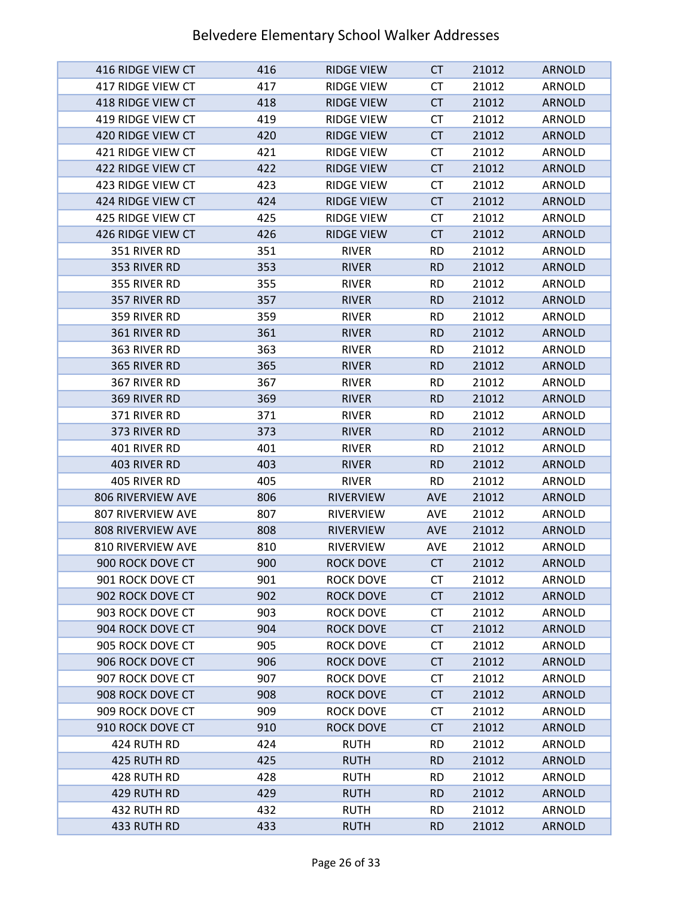| 416 RIDGE VIEW CT        | 416 | <b>RIDGE VIEW</b> | CT         | 21012 | <b>ARNOLD</b> |
|--------------------------|-----|-------------------|------------|-------|---------------|
| 417 RIDGE VIEW CT        | 417 | <b>RIDGE VIEW</b> | СT         | 21012 | ARNOLD        |
| 418 RIDGE VIEW CT        | 418 | <b>RIDGE VIEW</b> | <b>CT</b>  | 21012 | <b>ARNOLD</b> |
| 419 RIDGE VIEW CT        | 419 | <b>RIDGE VIEW</b> | <b>CT</b>  | 21012 | ARNOLD        |
| 420 RIDGE VIEW CT        | 420 | <b>RIDGE VIEW</b> | <b>CT</b>  | 21012 | <b>ARNOLD</b> |
| 421 RIDGE VIEW CT        | 421 | <b>RIDGE VIEW</b> | <b>CT</b>  | 21012 | ARNOLD        |
| 422 RIDGE VIEW CT        | 422 | <b>RIDGE VIEW</b> | <b>CT</b>  | 21012 | <b>ARNOLD</b> |
| 423 RIDGE VIEW CT        | 423 | <b>RIDGE VIEW</b> | СT         | 21012 | <b>ARNOLD</b> |
| 424 RIDGE VIEW CT        | 424 | <b>RIDGE VIEW</b> | <b>CT</b>  | 21012 | <b>ARNOLD</b> |
| 425 RIDGE VIEW CT        | 425 | <b>RIDGE VIEW</b> | СT         | 21012 | ARNOLD        |
| 426 RIDGE VIEW CT        | 426 | <b>RIDGE VIEW</b> | <b>CT</b>  | 21012 | <b>ARNOLD</b> |
| 351 RIVER RD             | 351 | <b>RIVER</b>      | <b>RD</b>  | 21012 | ARNOLD        |
| 353 RIVER RD             | 353 | <b>RIVER</b>      | <b>RD</b>  | 21012 | <b>ARNOLD</b> |
| 355 RIVER RD             | 355 | <b>RIVER</b>      | <b>RD</b>  | 21012 | ARNOLD        |
| 357 RIVER RD             | 357 | <b>RIVER</b>      | <b>RD</b>  | 21012 | <b>ARNOLD</b> |
| 359 RIVER RD             | 359 | <b>RIVER</b>      | <b>RD</b>  | 21012 | ARNOLD        |
| 361 RIVER RD             | 361 | <b>RIVER</b>      | <b>RD</b>  | 21012 | <b>ARNOLD</b> |
| 363 RIVER RD             | 363 | <b>RIVER</b>      | <b>RD</b>  | 21012 | ARNOLD        |
| 365 RIVER RD             | 365 | <b>RIVER</b>      | <b>RD</b>  | 21012 | <b>ARNOLD</b> |
| 367 RIVER RD             | 367 | <b>RIVER</b>      | <b>RD</b>  | 21012 | ARNOLD        |
| 369 RIVER RD             | 369 | <b>RIVER</b>      | <b>RD</b>  | 21012 | <b>ARNOLD</b> |
| 371 RIVER RD             | 371 | <b>RIVER</b>      | <b>RD</b>  | 21012 | ARNOLD        |
| 373 RIVER RD             | 373 | <b>RIVER</b>      | <b>RD</b>  | 21012 | <b>ARNOLD</b> |
| 401 RIVER RD             | 401 | <b>RIVER</b>      | <b>RD</b>  | 21012 | ARNOLD        |
| 403 RIVER RD             | 403 | <b>RIVER</b>      | <b>RD</b>  | 21012 | <b>ARNOLD</b> |
| 405 RIVER RD             | 405 | <b>RIVER</b>      | <b>RD</b>  | 21012 | ARNOLD        |
| 806 RIVERVIEW AVE        | 806 | <b>RIVERVIEW</b>  | <b>AVE</b> | 21012 | <b>ARNOLD</b> |
| <b>807 RIVERVIEW AVE</b> | 807 | <b>RIVERVIEW</b>  | AVE        | 21012 | <b>ARNOLD</b> |
| <b>808 RIVERVIEW AVE</b> | 808 | <b>RIVERVIEW</b>  | <b>AVE</b> | 21012 | <b>ARNOLD</b> |
| 810 RIVERVIEW AVE        | 810 | <b>RIVERVIEW</b>  | <b>AVE</b> | 21012 | ARNOLD        |
| 900 ROCK DOVE CT         | 900 | <b>ROCK DOVE</b>  | <b>CT</b>  | 21012 | <b>ARNOLD</b> |
| 901 ROCK DOVE CT         | 901 | ROCK DOVE         | СT         | 21012 | ARNOLD        |
| 902 ROCK DOVE CT         | 902 | <b>ROCK DOVE</b>  | <b>CT</b>  | 21012 | <b>ARNOLD</b> |
| 903 ROCK DOVE CT         | 903 | ROCK DOVE         | <b>CT</b>  | 21012 | ARNOLD        |
| 904 ROCK DOVE CT         | 904 | <b>ROCK DOVE</b>  | <b>CT</b>  | 21012 | <b>ARNOLD</b> |
| 905 ROCK DOVE CT         | 905 | ROCK DOVE         | СT         | 21012 | ARNOLD        |
| 906 ROCK DOVE CT         | 906 | <b>ROCK DOVE</b>  | <b>CT</b>  | 21012 | <b>ARNOLD</b> |
| 907 ROCK DOVE CT         | 907 | <b>ROCK DOVE</b>  | <b>CT</b>  | 21012 | ARNOLD        |
| 908 ROCK DOVE CT         | 908 | <b>ROCK DOVE</b>  | <b>CT</b>  | 21012 | <b>ARNOLD</b> |
| 909 ROCK DOVE CT         | 909 | ROCK DOVE         | <b>CT</b>  | 21012 | ARNOLD        |
| 910 ROCK DOVE CT         | 910 | <b>ROCK DOVE</b>  | <b>CT</b>  | 21012 | <b>ARNOLD</b> |
| 424 RUTH RD              | 424 | <b>RUTH</b>       | <b>RD</b>  | 21012 | ARNOLD        |
| 425 RUTH RD              | 425 | <b>RUTH</b>       | <b>RD</b>  | 21012 | <b>ARNOLD</b> |
| 428 RUTH RD              | 428 | <b>RUTH</b>       | <b>RD</b>  | 21012 | ARNOLD        |
| 429 RUTH RD              | 429 | <b>RUTH</b>       | <b>RD</b>  | 21012 | <b>ARNOLD</b> |
| 432 RUTH RD              | 432 | <b>RUTH</b>       | <b>RD</b>  | 21012 | ARNOLD        |
| 433 RUTH RD              | 433 | <b>RUTH</b>       | <b>RD</b>  | 21012 | <b>ARNOLD</b> |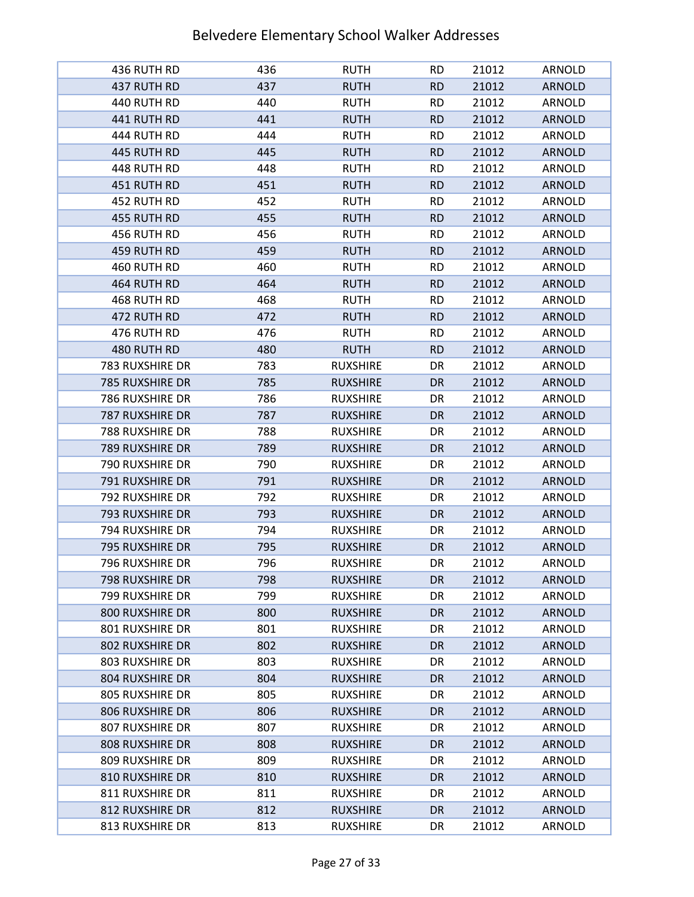| 436 RUTH RD            | 436 | <b>RUTH</b>     | <b>RD</b> | 21012 | ARNOLD        |
|------------------------|-----|-----------------|-----------|-------|---------------|
| 437 RUTH RD            | 437 | <b>RUTH</b>     | <b>RD</b> | 21012 | <b>ARNOLD</b> |
| 440 RUTH RD            | 440 | <b>RUTH</b>     | <b>RD</b> | 21012 | ARNOLD        |
| 441 RUTH RD            | 441 | <b>RUTH</b>     | <b>RD</b> | 21012 | <b>ARNOLD</b> |
| 444 RUTH RD            | 444 | <b>RUTH</b>     | <b>RD</b> | 21012 | ARNOLD        |
| 445 RUTH RD            | 445 | <b>RUTH</b>     | <b>RD</b> | 21012 | <b>ARNOLD</b> |
| 448 RUTH RD            | 448 | <b>RUTH</b>     | <b>RD</b> | 21012 | ARNOLD        |
| 451 RUTH RD            | 451 | <b>RUTH</b>     | <b>RD</b> | 21012 | <b>ARNOLD</b> |
| 452 RUTH RD            | 452 | <b>RUTH</b>     | <b>RD</b> | 21012 | ARNOLD        |
| 455 RUTH RD            | 455 | <b>RUTH</b>     | <b>RD</b> | 21012 | <b>ARNOLD</b> |
| 456 RUTH RD            | 456 | <b>RUTH</b>     | <b>RD</b> | 21012 | ARNOLD        |
| 459 RUTH RD            | 459 | <b>RUTH</b>     | <b>RD</b> | 21012 | <b>ARNOLD</b> |
| 460 RUTH RD            | 460 | <b>RUTH</b>     | <b>RD</b> | 21012 | ARNOLD        |
| 464 RUTH RD            | 464 | <b>RUTH</b>     | <b>RD</b> | 21012 | <b>ARNOLD</b> |
| 468 RUTH RD            | 468 | <b>RUTH</b>     | <b>RD</b> | 21012 | ARNOLD        |
| 472 RUTH RD            | 472 | <b>RUTH</b>     | <b>RD</b> | 21012 | <b>ARNOLD</b> |
| 476 RUTH RD            | 476 | <b>RUTH</b>     | <b>RD</b> | 21012 | <b>ARNOLD</b> |
| 480 RUTH RD            | 480 | <b>RUTH</b>     | <b>RD</b> | 21012 | <b>ARNOLD</b> |
| 783 RUXSHIRE DR        | 783 | <b>RUXSHIRE</b> | DR        | 21012 | ARNOLD        |
| 785 RUXSHIRE DR        | 785 | <b>RUXSHIRE</b> | DR.       | 21012 | <b>ARNOLD</b> |
| 786 RUXSHIRE DR        | 786 | <b>RUXSHIRE</b> | DR        | 21012 | ARNOLD        |
| 787 RUXSHIRE DR        | 787 | <b>RUXSHIRE</b> | DR        | 21012 | <b>ARNOLD</b> |
| 788 RUXSHIRE DR        | 788 | <b>RUXSHIRE</b> | DR        | 21012 | ARNOLD        |
| 789 RUXSHIRE DR        | 789 | <b>RUXSHIRE</b> | DR.       | 21012 | <b>ARNOLD</b> |
| 790 RUXSHIRE DR        | 790 | <b>RUXSHIRE</b> | DR        | 21012 | ARNOLD        |
| 791 RUXSHIRE DR        | 791 | <b>RUXSHIRE</b> | <b>DR</b> | 21012 | <b>ARNOLD</b> |
| 792 RUXSHIRE DR        | 792 | <b>RUXSHIRE</b> | DR        | 21012 | ARNOLD        |
| 793 RUXSHIRE DR        | 793 | <b>RUXSHIRE</b> | <b>DR</b> | 21012 | <b>ARNOLD</b> |
| 794 RUXSHIRE DR        | 794 | <b>RUXSHIRE</b> | DR        | 21012 | ARNOLD        |
| 795 RUXSHIRE DR        | 795 | <b>RUXSHIRE</b> | <b>DR</b> | 21012 | <b>ARNOLD</b> |
| 796 RUXSHIRE DR        | 796 | <b>RUXSHIRE</b> | DR        | 21012 | ARNOLD        |
| 798 RUXSHIRE DR        | 798 | <b>RUXSHIRE</b> | DR        | 21012 | <b>ARNOLD</b> |
| 799 RUXSHIRE DR        | 799 | <b>RUXSHIRE</b> | DR        | 21012 | ARNOLD        |
| <b>800 RUXSHIRE DR</b> | 800 | <b>RUXSHIRE</b> | DR        | 21012 | <b>ARNOLD</b> |
| 801 RUXSHIRE DR        | 801 | <b>RUXSHIRE</b> | DR        | 21012 | ARNOLD        |
| 802 RUXSHIRE DR        | 802 | <b>RUXSHIRE</b> | DR        | 21012 | <b>ARNOLD</b> |
| 803 RUXSHIRE DR        | 803 | <b>RUXSHIRE</b> | DR        | 21012 | ARNOLD        |
| 804 RUXSHIRE DR        | 804 | <b>RUXSHIRE</b> | DR        | 21012 | <b>ARNOLD</b> |
| <b>805 RUXSHIRE DR</b> | 805 | <b>RUXSHIRE</b> | DR        | 21012 | ARNOLD        |
| <b>806 RUXSHIRE DR</b> | 806 | <b>RUXSHIRE</b> | DR        | 21012 | <b>ARNOLD</b> |
| 807 RUXSHIRE DR        | 807 | <b>RUXSHIRE</b> | DR        | 21012 | ARNOLD        |
| <b>808 RUXSHIRE DR</b> | 808 | <b>RUXSHIRE</b> | DR        | 21012 | <b>ARNOLD</b> |
| 809 RUXSHIRE DR        | 809 | <b>RUXSHIRE</b> | DR        | 21012 | ARNOLD        |
| 810 RUXSHIRE DR        | 810 | <b>RUXSHIRE</b> | DR        | 21012 | <b>ARNOLD</b> |
| 811 RUXSHIRE DR        | 811 | <b>RUXSHIRE</b> | DR        | 21012 | ARNOLD        |
| 812 RUXSHIRE DR        | 812 | <b>RUXSHIRE</b> | DR        | 21012 | <b>ARNOLD</b> |
| 813 RUXSHIRE DR        | 813 | <b>RUXSHIRE</b> | DR        | 21012 | ARNOLD        |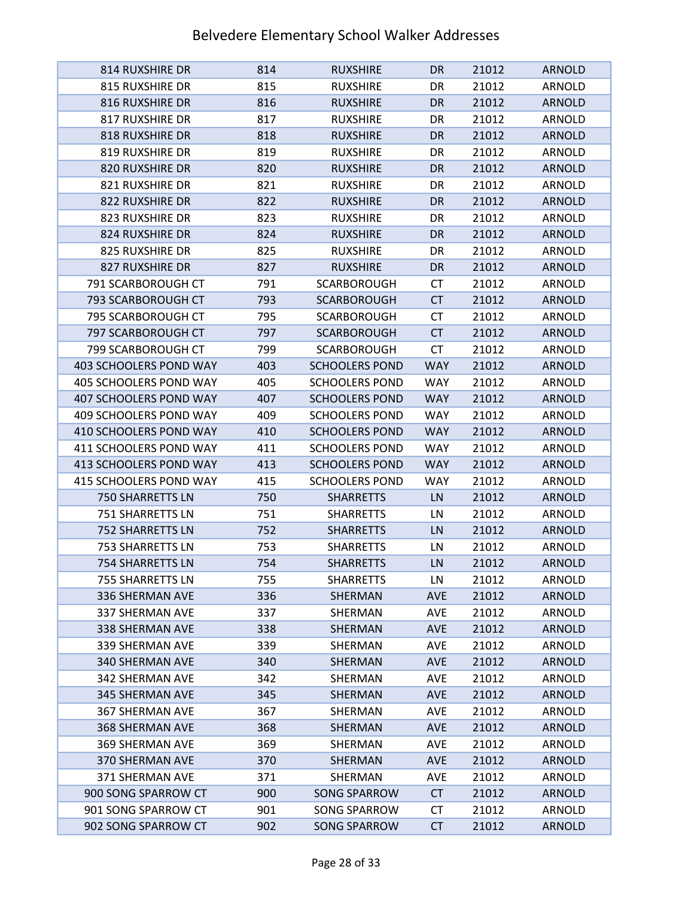| <b>814 RUXSHIRE DR</b>  | 814 | <b>RUXSHIRE</b>       | DR.        | 21012 | <b>ARNOLD</b> |
|-------------------------|-----|-----------------------|------------|-------|---------------|
| 815 RUXSHIRE DR         | 815 | <b>RUXSHIRE</b>       | DR         | 21012 | ARNOLD        |
| <b>816 RUXSHIRE DR</b>  | 816 | <b>RUXSHIRE</b>       | DR.        | 21012 | <b>ARNOLD</b> |
| 817 RUXSHIRE DR         | 817 | <b>RUXSHIRE</b>       | DR         | 21012 | ARNOLD        |
| <b>818 RUXSHIRE DR</b>  | 818 | <b>RUXSHIRE</b>       | DR         | 21012 | <b>ARNOLD</b> |
| 819 RUXSHIRE DR         | 819 | <b>RUXSHIRE</b>       | DR         | 21012 | ARNOLD        |
| 820 RUXSHIRE DR         | 820 | <b>RUXSHIRE</b>       | DR         | 21012 | <b>ARNOLD</b> |
| 821 RUXSHIRE DR         | 821 | <b>RUXSHIRE</b>       | DR         | 21012 | ARNOLD        |
| 822 RUXSHIRE DR         | 822 | <b>RUXSHIRE</b>       | <b>DR</b>  | 21012 | <b>ARNOLD</b> |
| 823 RUXSHIRE DR         | 823 | <b>RUXSHIRE</b>       | DR         | 21012 | ARNOLD        |
| 824 RUXSHIRE DR         | 824 | <b>RUXSHIRE</b>       | <b>DR</b>  | 21012 | <b>ARNOLD</b> |
| 825 RUXSHIRE DR         | 825 | <b>RUXSHIRE</b>       | DR         | 21012 | ARNOLD        |
| 827 RUXSHIRE DR         | 827 | <b>RUXSHIRE</b>       | DR         | 21012 | <b>ARNOLD</b> |
| 791 SCARBOROUGH CT      | 791 | <b>SCARBOROUGH</b>    | <b>CT</b>  | 21012 | ARNOLD        |
| 793 SCARBOROUGH CT      | 793 | <b>SCARBOROUGH</b>    | <b>CT</b>  | 21012 | <b>ARNOLD</b> |
| 795 SCARBOROUGH CT      | 795 | <b>SCARBOROUGH</b>    | СT         | 21012 | ARNOLD        |
| 797 SCARBOROUGH CT      | 797 | <b>SCARBOROUGH</b>    | <b>CT</b>  | 21012 | <b>ARNOLD</b> |
| 799 SCARBOROUGH CT      | 799 | <b>SCARBOROUGH</b>    | <b>CT</b>  | 21012 | ARNOLD        |
| 403 SCHOOLERS POND WAY  | 403 | <b>SCHOOLERS POND</b> | <b>WAY</b> | 21012 | <b>ARNOLD</b> |
| 405 SCHOOLERS POND WAY  | 405 | <b>SCHOOLERS POND</b> | WAY        | 21012 | ARNOLD        |
| 407 SCHOOLERS POND WAY  | 407 | <b>SCHOOLERS POND</b> | <b>WAY</b> | 21012 | <b>ARNOLD</b> |
| 409 SCHOOLERS POND WAY  | 409 | <b>SCHOOLERS POND</b> | <b>WAY</b> | 21012 | ARNOLD        |
| 410 SCHOOLERS POND WAY  | 410 | <b>SCHOOLERS POND</b> | <b>WAY</b> | 21012 | <b>ARNOLD</b> |
| 411 SCHOOLERS POND WAY  | 411 | <b>SCHOOLERS POND</b> | <b>WAY</b> | 21012 | ARNOLD        |
| 413 SCHOOLERS POND WAY  | 413 | <b>SCHOOLERS POND</b> | <b>WAY</b> | 21012 | <b>ARNOLD</b> |
| 415 SCHOOLERS POND WAY  | 415 | <b>SCHOOLERS POND</b> | <b>WAY</b> | 21012 | ARNOLD        |
| 750 SHARRETTS LN        | 750 | <b>SHARRETTS</b>      | LN         | 21012 | <b>ARNOLD</b> |
| 751 SHARRETTS LN        | 751 | <b>SHARRETTS</b>      | LN         | 21012 | ARNOLD        |
| <b>752 SHARRETTS LN</b> | 752 | <b>SHARRETTS</b>      | LN         | 21012 | <b>ARNOLD</b> |
| <b>753 SHARRETTS LN</b> | 753 | <b>SHARRETTS</b>      | LN         | 21012 | ARNOLD        |
| 754 SHARRETTS LN        | 754 | <b>SHARRETTS</b>      | LN         | 21012 | <b>ARNOLD</b> |
| 755 SHARRETTS LN        | 755 | <b>SHARRETTS</b>      | LN         | 21012 | ARNOLD        |
| 336 SHERMAN AVE         | 336 | SHERMAN               | AVE        | 21012 | <b>ARNOLD</b> |
| 337 SHERMAN AVE         | 337 | SHERMAN               | <b>AVE</b> | 21012 | ARNOLD        |
| 338 SHERMAN AVE         | 338 | SHERMAN               | <b>AVE</b> | 21012 | <b>ARNOLD</b> |
| 339 SHERMAN AVE         | 339 | SHERMAN               | <b>AVE</b> | 21012 | <b>ARNOLD</b> |
| 340 SHERMAN AVE         | 340 | SHERMAN               | <b>AVE</b> | 21012 | <b>ARNOLD</b> |
| 342 SHERMAN AVE         | 342 | SHERMAN               | <b>AVE</b> | 21012 | ARNOLD        |
| 345 SHERMAN AVE         | 345 | SHERMAN               | <b>AVE</b> | 21012 | <b>ARNOLD</b> |
| 367 SHERMAN AVE         | 367 | SHERMAN               | <b>AVE</b> | 21012 | <b>ARNOLD</b> |
| 368 SHERMAN AVE         | 368 | SHERMAN               | <b>AVE</b> | 21012 | <b>ARNOLD</b> |
| 369 SHERMAN AVE         | 369 | SHERMAN               | <b>AVE</b> | 21012 | ARNOLD        |
| 370 SHERMAN AVE         | 370 | SHERMAN               | <b>AVE</b> | 21012 | <b>ARNOLD</b> |
| 371 SHERMAN AVE         | 371 | SHERMAN               | AVE        | 21012 | ARNOLD        |
| 900 SONG SPARROW CT     | 900 | <b>SONG SPARROW</b>   | <b>CT</b>  | 21012 | <b>ARNOLD</b> |
| 901 SONG SPARROW CT     | 901 | <b>SONG SPARROW</b>   | <b>CT</b>  | 21012 | ARNOLD        |
| 902 SONG SPARROW CT     | 902 | <b>SONG SPARROW</b>   | <b>CT</b>  | 21012 | <b>ARNOLD</b> |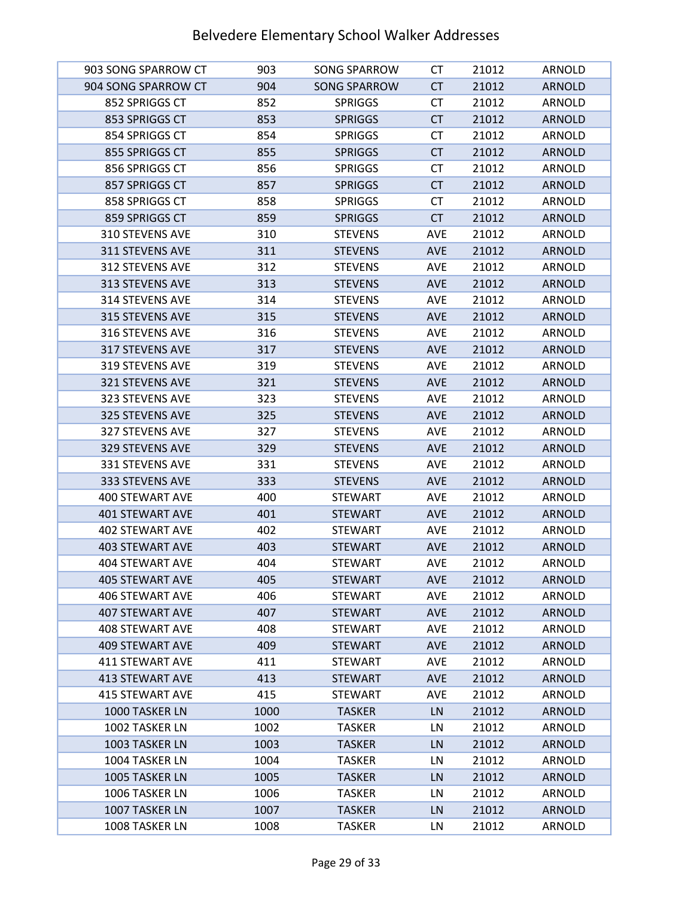| 903 SONG SPARROW CT    | 903  | <b>SONG SPARROW</b> | СT         | 21012 | <b>ARNOLD</b> |
|------------------------|------|---------------------|------------|-------|---------------|
| 904 SONG SPARROW CT    | 904  | <b>SONG SPARROW</b> | <b>CT</b>  | 21012 | <b>ARNOLD</b> |
| 852 SPRIGGS CT         | 852  | <b>SPRIGGS</b>      | <b>CT</b>  | 21012 | <b>ARNOLD</b> |
| 853 SPRIGGS CT         | 853  | <b>SPRIGGS</b>      | <b>CT</b>  | 21012 | <b>ARNOLD</b> |
| 854 SPRIGGS CT         | 854  | <b>SPRIGGS</b>      | <b>CT</b>  | 21012 | ARNOLD        |
| 855 SPRIGGS CT         | 855  | <b>SPRIGGS</b>      | <b>CT</b>  | 21012 | <b>ARNOLD</b> |
| 856 SPRIGGS CT         | 856  | <b>SPRIGGS</b>      | <b>CT</b>  | 21012 | ARNOLD        |
| 857 SPRIGGS CT         | 857  | <b>SPRIGGS</b>      | <b>CT</b>  | 21012 | <b>ARNOLD</b> |
| 858 SPRIGGS CT         | 858  | <b>SPRIGGS</b>      | <b>CT</b>  | 21012 | ARNOLD        |
| 859 SPRIGGS CT         | 859  | <b>SPRIGGS</b>      | <b>CT</b>  | 21012 | <b>ARNOLD</b> |
| 310 STEVENS AVE        | 310  | <b>STEVENS</b>      | <b>AVE</b> | 21012 | ARNOLD        |
| 311 STEVENS AVE        | 311  | <b>STEVENS</b>      | <b>AVE</b> | 21012 | <b>ARNOLD</b> |
| 312 STEVENS AVE        | 312  | <b>STEVENS</b>      | <b>AVE</b> | 21012 | ARNOLD        |
| 313 STEVENS AVE        | 313  | <b>STEVENS</b>      | <b>AVE</b> | 21012 | <b>ARNOLD</b> |
| 314 STEVENS AVE        | 314  | <b>STEVENS</b>      | AVE        | 21012 | ARNOLD        |
| 315 STEVENS AVE        | 315  | <b>STEVENS</b>      | <b>AVE</b> | 21012 | <b>ARNOLD</b> |
| 316 STEVENS AVE        | 316  | <b>STEVENS</b>      | <b>AVE</b> | 21012 | <b>ARNOLD</b> |
| 317 STEVENS AVE        | 317  | <b>STEVENS</b>      | <b>AVE</b> | 21012 | <b>ARNOLD</b> |
| 319 STEVENS AVE        | 319  | <b>STEVENS</b>      | AVE        | 21012 | ARNOLD        |
| 321 STEVENS AVE        | 321  | <b>STEVENS</b>      | <b>AVE</b> | 21012 | <b>ARNOLD</b> |
| 323 STEVENS AVE        | 323  | <b>STEVENS</b>      | AVE        | 21012 | ARNOLD        |
| 325 STEVENS AVE        | 325  | <b>STEVENS</b>      | <b>AVE</b> | 21012 | <b>ARNOLD</b> |
| 327 STEVENS AVE        | 327  | <b>STEVENS</b>      | <b>AVE</b> | 21012 | ARNOLD        |
| 329 STEVENS AVE        | 329  | <b>STEVENS</b>      | <b>AVE</b> | 21012 | <b>ARNOLD</b> |
| 331 STEVENS AVE        | 331  | <b>STEVENS</b>      | <b>AVE</b> | 21012 | ARNOLD        |
| 333 STEVENS AVE        | 333  | <b>STEVENS</b>      | <b>AVE</b> | 21012 | <b>ARNOLD</b> |
| 400 STEWART AVE        | 400  | <b>STEWART</b>      | AVE        | 21012 | ARNOLD        |
| <b>401 STEWART AVE</b> | 401  | <b>STEWART</b>      | <b>AVE</b> | 21012 | <b>ARNOLD</b> |
| <b>402 STEWART AVE</b> | 402  | <b>STEWART</b>      | <b>AVE</b> | 21012 | ARNOLD        |
| <b>403 STEWART AVE</b> | 403  | <b>STEWART</b>      | <b>AVE</b> | 21012 | <b>ARNOLD</b> |
| <b>404 STEWART AVE</b> | 404  | <b>STEWART</b>      | <b>AVE</b> | 21012 | <b>ARNOLD</b> |
| 405 STEWART AVE        | 405  | <b>STEWART</b>      | <b>AVE</b> | 21012 | <b>ARNOLD</b> |
| 406 STEWART AVE        | 406  | <b>STEWART</b>      | AVE        | 21012 | ARNOLD        |
| 407 STEWART AVE        | 407  | <b>STEWART</b>      | <b>AVE</b> | 21012 | <b>ARNOLD</b> |
| <b>408 STEWART AVE</b> | 408  | <b>STEWART</b>      | AVE        | 21012 | ARNOLD        |
| 409 STEWART AVE        | 409  | <b>STEWART</b>      | <b>AVE</b> | 21012 | <b>ARNOLD</b> |
| 411 STEWART AVE        | 411  | <b>STEWART</b>      | <b>AVE</b> | 21012 | ARNOLD        |
| 413 STEWART AVE        | 413  | <b>STEWART</b>      | <b>AVE</b> | 21012 | <b>ARNOLD</b> |
| <b>415 STEWART AVE</b> | 415  | <b>STEWART</b>      | AVE        | 21012 | <b>ARNOLD</b> |
| 1000 TASKER LN         | 1000 | <b>TASKER</b>       | LN         | 21012 | <b>ARNOLD</b> |
| 1002 TASKER LN         | 1002 | <b>TASKER</b>       | LN         | 21012 | ARNOLD        |
| 1003 TASKER LN         | 1003 | <b>TASKER</b>       | LN         | 21012 | <b>ARNOLD</b> |
| 1004 TASKER LN         | 1004 | <b>TASKER</b>       | LN         | 21012 | ARNOLD        |
| 1005 TASKER LN         | 1005 | <b>TASKER</b>       | LN         | 21012 | <b>ARNOLD</b> |
| 1006 TASKER LN         | 1006 | <b>TASKER</b>       | LN         | 21012 | ARNOLD        |
| 1007 TASKER LN         | 1007 | <b>TASKER</b>       | LN         | 21012 | <b>ARNOLD</b> |
| 1008 TASKER LN         | 1008 | <b>TASKER</b>       | LN         | 21012 | ARNOLD        |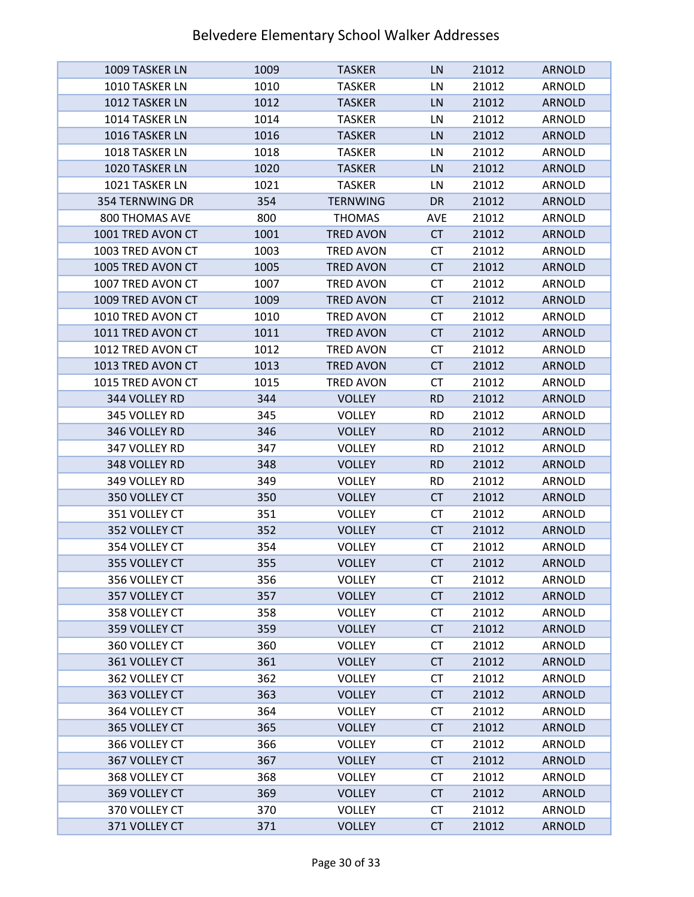| 1009 TASKER LN    | 1009 | <b>TASKER</b>    | LN        | 21012 | <b>ARNOLD</b> |
|-------------------|------|------------------|-----------|-------|---------------|
| 1010 TASKER LN    | 1010 | <b>TASKER</b>    | LN        | 21012 | ARNOLD        |
| 1012 TASKER LN    | 1012 | <b>TASKER</b>    | LN        | 21012 | <b>ARNOLD</b> |
| 1014 TASKER LN    | 1014 | <b>TASKER</b>    | LN        | 21012 | ARNOLD        |
| 1016 TASKER LN    | 1016 | <b>TASKER</b>    | LN        | 21012 | <b>ARNOLD</b> |
| 1018 TASKER LN    | 1018 | <b>TASKER</b>    | LN        | 21012 | ARNOLD        |
| 1020 TASKER LN    | 1020 | <b>TASKER</b>    | LN        | 21012 | <b>ARNOLD</b> |
| 1021 TASKER LN    | 1021 | <b>TASKER</b>    | LN        | 21012 | ARNOLD        |
| 354 TERNWING DR   | 354  | <b>TERNWING</b>  | DR        | 21012 | <b>ARNOLD</b> |
| 800 THOMAS AVE    | 800  | <b>THOMAS</b>    | AVE       | 21012 | ARNOLD        |
| 1001 TRED AVON CT | 1001 | <b>TRED AVON</b> | <b>CT</b> | 21012 | <b>ARNOLD</b> |
| 1003 TRED AVON CT | 1003 | <b>TRED AVON</b> | <b>CT</b> | 21012 | ARNOLD        |
| 1005 TRED AVON CT | 1005 | <b>TRED AVON</b> | <b>CT</b> | 21012 | <b>ARNOLD</b> |
| 1007 TRED AVON CT | 1007 | <b>TRED AVON</b> | <b>CT</b> | 21012 | ARNOLD        |
| 1009 TRED AVON CT | 1009 | <b>TRED AVON</b> | <b>CT</b> | 21012 | <b>ARNOLD</b> |
| 1010 TRED AVON CT | 1010 | <b>TRED AVON</b> | <b>CT</b> | 21012 | ARNOLD        |
| 1011 TRED AVON CT | 1011 | <b>TRED AVON</b> | <b>CT</b> | 21012 | <b>ARNOLD</b> |
| 1012 TRED AVON CT | 1012 | <b>TRED AVON</b> | <b>CT</b> | 21012 | ARNOLD        |
| 1013 TRED AVON CT | 1013 | <b>TRED AVON</b> | <b>CT</b> | 21012 | <b>ARNOLD</b> |
| 1015 TRED AVON CT | 1015 | TRED AVON        | СT        | 21012 | ARNOLD        |
|                   |      |                  |           |       |               |
| 344 VOLLEY RD     | 344  | <b>VOLLEY</b>    | <b>RD</b> | 21012 | <b>ARNOLD</b> |
| 345 VOLLEY RD     | 345  | <b>VOLLEY</b>    | <b>RD</b> | 21012 | ARNOLD        |
| 346 VOLLEY RD     | 346  | <b>VOLLEY</b>    | <b>RD</b> | 21012 | <b>ARNOLD</b> |
| 347 VOLLEY RD     | 347  | <b>VOLLEY</b>    | <b>RD</b> | 21012 | ARNOLD        |
| 348 VOLLEY RD     | 348  | <b>VOLLEY</b>    | <b>RD</b> | 21012 | <b>ARNOLD</b> |
| 349 VOLLEY RD     | 349  | <b>VOLLEY</b>    | RD.       | 21012 | ARNOLD        |
| 350 VOLLEY CT     | 350  | <b>VOLLEY</b>    | <b>CT</b> | 21012 | <b>ARNOLD</b> |
| 351 VOLLEY CT     | 351  | <b>VOLLEY</b>    | <b>CT</b> | 21012 | ARNOLD        |
| 352 VOLLEY CT     | 352  | <b>VOLLEY</b>    | <b>CT</b> | 21012 | <b>ARNOLD</b> |
| 354 VOLLEY CT     | 354  | <b>VOLLEY</b>    | <b>CT</b> | 21012 | <b>ARNOLD</b> |
| 355 VOLLEY CT     | 355  | <b>VOLLEY</b>    | <b>CT</b> | 21012 | <b>ARNOLD</b> |
| 356 VOLLEY CT     | 356  | <b>VOLLEY</b>    | СT        | 21012 | ARNOLD        |
| 357 VOLLEY CT     | 357  | <b>VOLLEY</b>    | <b>CT</b> | 21012 | <b>ARNOLD</b> |
| 358 VOLLEY CT     | 358  | VOLLEY           | <b>CT</b> | 21012 | ARNOLD        |
| 359 VOLLEY CT     | 359  | <b>VOLLEY</b>    | <b>CT</b> | 21012 | <b>ARNOLD</b> |
| 360 VOLLEY CT     | 360  | <b>VOLLEY</b>    | <b>CT</b> | 21012 | ARNOLD        |
| 361 VOLLEY CT     | 361  | <b>VOLLEY</b>    | <b>CT</b> | 21012 | <b>ARNOLD</b> |
| 362 VOLLEY CT     | 362  | VOLLEY           | CT        | 21012 | ARNOLD        |
| 363 VOLLEY CT     | 363  | <b>VOLLEY</b>    | <b>CT</b> | 21012 | <b>ARNOLD</b> |
| 364 VOLLEY CT     | 364  | <b>VOLLEY</b>    | CT        | 21012 | ARNOLD        |
| 365 VOLLEY CT     | 365  | <b>VOLLEY</b>    | <b>CT</b> | 21012 | <b>ARNOLD</b> |
| 366 VOLLEY CT     | 366  | VOLLEY           | CT        | 21012 | ARNOLD        |
| 367 VOLLEY CT     | 367  | <b>VOLLEY</b>    | <b>CT</b> | 21012 | <b>ARNOLD</b> |
| 368 VOLLEY CT     | 368  | VOLLEY           | <b>CT</b> | 21012 | ARNOLD        |
| 369 VOLLEY CT     | 369  | <b>VOLLEY</b>    | <b>CT</b> | 21012 | <b>ARNOLD</b> |
| 370 VOLLEY CT     | 370  | VOLLEY           | <b>CT</b> | 21012 | ARNOLD        |
| 371 VOLLEY CT     | 371  | <b>VOLLEY</b>    | <b>CT</b> | 21012 | <b>ARNOLD</b> |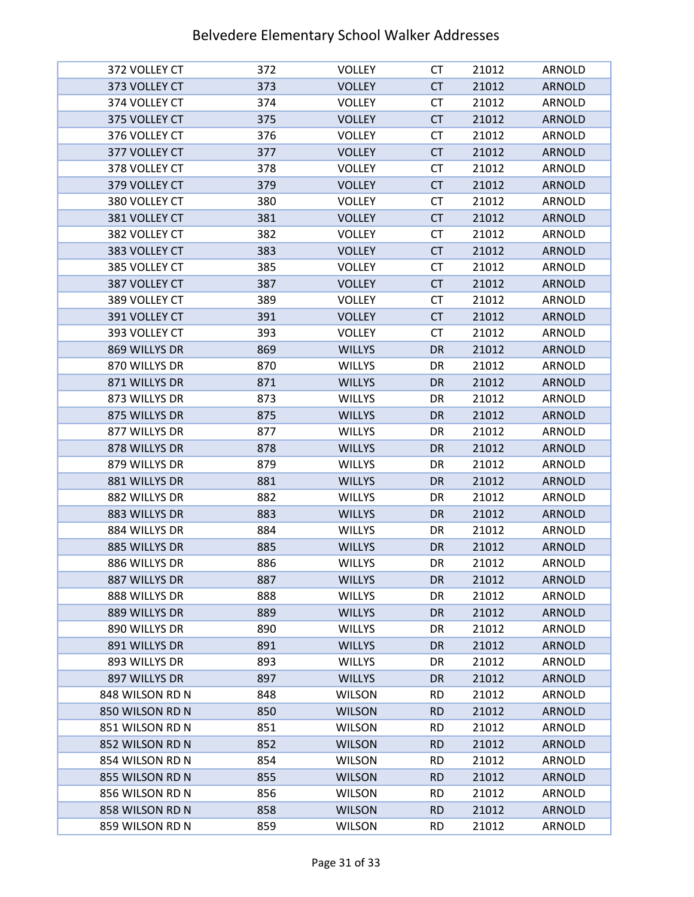| 372 VOLLEY CT                      | 372        | <b>VOLLEY</b>                  | СT                     | 21012          | ARNOLD                  |
|------------------------------------|------------|--------------------------------|------------------------|----------------|-------------------------|
| 373 VOLLEY CT                      | 373        | <b>VOLLEY</b>                  | <b>CT</b>              | 21012          | <b>ARNOLD</b>           |
| 374 VOLLEY CT                      | 374        | <b>VOLLEY</b>                  | <b>CT</b>              | 21012          | <b>ARNOLD</b>           |
| 375 VOLLEY CT                      | 375        | <b>VOLLEY</b>                  | <b>CT</b>              | 21012          | <b>ARNOLD</b>           |
| 376 VOLLEY CT                      | 376        | <b>VOLLEY</b>                  | <b>CT</b>              | 21012          | <b>ARNOLD</b>           |
| 377 VOLLEY CT                      | 377        | <b>VOLLEY</b>                  | <b>CT</b>              | 21012          | <b>ARNOLD</b>           |
| 378 VOLLEY CT                      | 378        | <b>VOLLEY</b>                  | <b>CT</b>              | 21012          | <b>ARNOLD</b>           |
| 379 VOLLEY CT                      | 379        | <b>VOLLEY</b>                  | <b>CT</b>              | 21012          | <b>ARNOLD</b>           |
| 380 VOLLEY CT                      | 380        | <b>VOLLEY</b>                  | <b>CT</b>              | 21012          | ARNOLD                  |
| 381 VOLLEY CT                      | 381        | <b>VOLLEY</b>                  | <b>CT</b>              | 21012          | <b>ARNOLD</b>           |
| 382 VOLLEY CT                      | 382        | <b>VOLLEY</b>                  | <b>CT</b>              | 21012          | <b>ARNOLD</b>           |
| 383 VOLLEY CT                      | 383        | <b>VOLLEY</b>                  | <b>CT</b>              | 21012          | <b>ARNOLD</b>           |
| 385 VOLLEY CT                      | 385        | <b>VOLLEY</b>                  | <b>CT</b>              | 21012          | <b>ARNOLD</b>           |
| 387 VOLLEY CT                      | 387        | <b>VOLLEY</b>                  | <b>CT</b>              | 21012          | <b>ARNOLD</b>           |
| 389 VOLLEY CT                      | 389        | <b>VOLLEY</b>                  | <b>CT</b>              | 21012          | ARNOLD                  |
| 391 VOLLEY CT                      | 391        | <b>VOLLEY</b>                  | CT                     | 21012          | <b>ARNOLD</b>           |
| 393 VOLLEY CT                      | 393        | <b>VOLLEY</b>                  | <b>CT</b>              | 21012          | <b>ARNOLD</b>           |
| 869 WILLYS DR                      | 869        | <b>WILLYS</b>                  | <b>DR</b>              | 21012          | <b>ARNOLD</b>           |
| 870 WILLYS DR                      | 870        | <b>WILLYS</b>                  | DR                     | 21012          | ARNOLD                  |
| 871 WILLYS DR                      | 871        | <b>WILLYS</b>                  | DR                     | 21012          | <b>ARNOLD</b>           |
| 873 WILLYS DR                      | 873        | <b>WILLYS</b>                  | DR                     | 21012          | ARNOLD                  |
| 875 WILLYS DR                      | 875        | <b>WILLYS</b>                  | DR                     | 21012          | <b>ARNOLD</b>           |
| 877 WILLYS DR                      | 877        | <b>WILLYS</b>                  | DR                     | 21012          | ARNOLD                  |
| 878 WILLYS DR                      | 878        | <b>WILLYS</b>                  | <b>DR</b>              | 21012          | <b>ARNOLD</b>           |
| 879 WILLYS DR                      | 879        | <b>WILLYS</b>                  | DR                     | 21012          | ARNOLD                  |
| 881 WILLYS DR                      | 881        | <b>WILLYS</b>                  | DR                     | 21012          | <b>ARNOLD</b>           |
| 882 WILLYS DR                      | 882        | <b>WILLYS</b>                  | DR                     | 21012          | ARNOLD                  |
| 883 WILLYS DR                      | 883        | <b>WILLYS</b>                  | <b>DR</b>              | 21012          | <b>ARNOLD</b>           |
| 884 WILLYS DR                      | 884        | <b>WILLYS</b>                  | DR                     | 21012          | ARNOLD                  |
| 885 WILLYS DR                      | 885        | <b>WILLYS</b>                  | <b>DR</b>              | 21012          | <b>ARNOLD</b>           |
| 886 WILLYS DR                      | 886        | WILLYS                         | DR                     | 21012          | ARNOLD                  |
| 887 WILLYS DR                      | 887        | <b>WILLYS</b>                  | DR                     | 21012          | <b>ARNOLD</b>           |
| 888 WILLYS DR                      | 888        | <b>WILLYS</b>                  | DR                     | 21012          | ARNOLD                  |
| 889 WILLYS DR                      | 889        | <b>WILLYS</b>                  | DR                     | 21012          | <b>ARNOLD</b>           |
| 890 WILLYS DR                      | 890        | <b>WILLYS</b>                  | DR                     | 21012          | ARNOLD                  |
| 891 WILLYS DR                      | 891        | <b>WILLYS</b>                  | DR                     | 21012          | <b>ARNOLD</b>           |
| 893 WILLYS DR                      | 893        | <b>WILLYS</b>                  | DR                     | 21012          | ARNOLD                  |
| 897 WILLYS DR                      | 897        | <b>WILLYS</b>                  | DR                     | 21012          | <b>ARNOLD</b>           |
| 848 WILSON RD N                    | 848        | <b>WILSON</b>                  | <b>RD</b>              | 21012          | ARNOLD                  |
| 850 WILSON RD N                    | 850        | <b>WILSON</b>                  | <b>RD</b>              | 21012          | ARNOLD                  |
| 851 WILSON RD N                    | 851        | <b>WILSON</b>                  | <b>RD</b>              | 21012          | ARNOLD                  |
| 852 WILSON RD N                    | 852        | <b>WILSON</b>                  | <b>RD</b>              | 21012          | <b>ARNOLD</b>           |
| 854 WILSON RD N<br>855 WILSON RD N | 854        | <b>WILSON</b>                  | <b>RD</b>              | 21012          | <b>ARNOLD</b>           |
| 856 WILSON RD N                    | 855<br>856 | <b>WILSON</b><br><b>WILSON</b> | <b>RD</b><br><b>RD</b> | 21012          | <b>ARNOLD</b><br>ARNOLD |
| 858 WILSON RD N                    | 858        | <b>WILSON</b>                  | <b>RD</b>              | 21012<br>21012 | <b>ARNOLD</b>           |
|                                    |            |                                |                        |                |                         |
| 859 WILSON RD N                    | 859        | <b>WILSON</b>                  | <b>RD</b>              | 21012          | ARNOLD                  |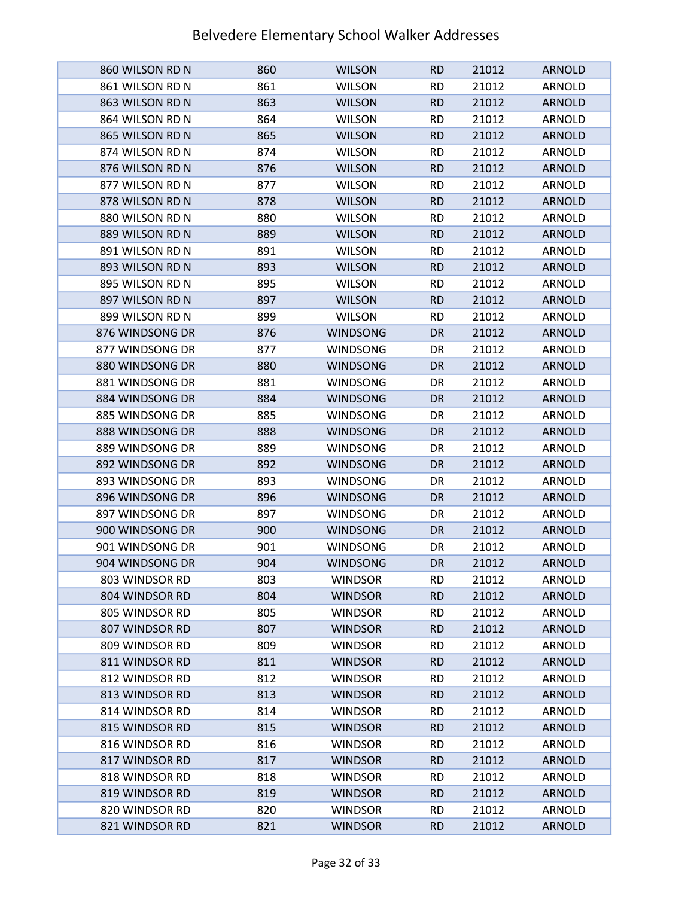| 860 WILSON RD N | 860 | <b>WILSON</b>   | <b>RD</b> | 21012 | <b>ARNOLD</b> |
|-----------------|-----|-----------------|-----------|-------|---------------|
| 861 WILSON RD N | 861 | <b>WILSON</b>   | <b>RD</b> | 21012 | ARNOLD        |
| 863 WILSON RD N | 863 | <b>WILSON</b>   | <b>RD</b> | 21012 | <b>ARNOLD</b> |
| 864 WILSON RD N | 864 | <b>WILSON</b>   | <b>RD</b> | 21012 | ARNOLD        |
| 865 WILSON RD N | 865 | <b>WILSON</b>   | <b>RD</b> | 21012 | <b>ARNOLD</b> |
| 874 WILSON RD N | 874 | <b>WILSON</b>   | <b>RD</b> | 21012 | ARNOLD        |
| 876 WILSON RD N | 876 | <b>WILSON</b>   | <b>RD</b> | 21012 | <b>ARNOLD</b> |
| 877 WILSON RD N | 877 | <b>WILSON</b>   | <b>RD</b> | 21012 | ARNOLD        |
| 878 WILSON RD N | 878 | <b>WILSON</b>   | <b>RD</b> | 21012 | <b>ARNOLD</b> |
| 880 WILSON RD N | 880 | <b>WILSON</b>   | <b>RD</b> | 21012 | ARNOLD        |
| 889 WILSON RD N | 889 | <b>WILSON</b>   | <b>RD</b> | 21012 | <b>ARNOLD</b> |
| 891 WILSON RD N | 891 | <b>WILSON</b>   | <b>RD</b> | 21012 | ARNOLD        |
| 893 WILSON RD N | 893 | <b>WILSON</b>   | <b>RD</b> | 21012 | <b>ARNOLD</b> |
| 895 WILSON RD N | 895 | <b>WILSON</b>   | <b>RD</b> | 21012 | ARNOLD        |
| 897 WILSON RD N | 897 | <b>WILSON</b>   | <b>RD</b> | 21012 | <b>ARNOLD</b> |
| 899 WILSON RD N | 899 | <b>WILSON</b>   | <b>RD</b> | 21012 | <b>ARNOLD</b> |
| 876 WINDSONG DR | 876 | <b>WINDSONG</b> | <b>DR</b> | 21012 | <b>ARNOLD</b> |
| 877 WINDSONG DR | 877 | <b>WINDSONG</b> | DR        | 21012 | ARNOLD        |
| 880 WINDSONG DR | 880 | <b>WINDSONG</b> | DR        | 21012 | <b>ARNOLD</b> |
| 881 WINDSONG DR | 881 | <b>WINDSONG</b> | DR        | 21012 | ARNOLD        |
| 884 WINDSONG DR | 884 | <b>WINDSONG</b> | DR        | 21012 | <b>ARNOLD</b> |
| 885 WINDSONG DR | 885 | <b>WINDSONG</b> | DR        | 21012 | ARNOLD        |
| 888 WINDSONG DR | 888 | <b>WINDSONG</b> | <b>DR</b> | 21012 | <b>ARNOLD</b> |
| 889 WINDSONG DR | 889 | <b>WINDSONG</b> | DR        | 21012 | ARNOLD        |
| 892 WINDSONG DR | 892 | <b>WINDSONG</b> | DR        | 21012 | <b>ARNOLD</b> |
| 893 WINDSONG DR | 893 | <b>WINDSONG</b> | DR        | 21012 | ARNOLD        |
| 896 WINDSONG DR | 896 | WINDSONG        | DR        | 21012 | <b>ARNOLD</b> |
| 897 WINDSONG DR | 897 | <b>WINDSONG</b> | DR        | 21012 | ARNOLD        |
| 900 WINDSONG DR | 900 | <b>WINDSONG</b> | DR        | 21012 | <b>ARNOLD</b> |
| 901 WINDSONG DR | 901 | <b>WINDSONG</b> | DR        | 21012 | ARNOLD        |
| 904 WINDSONG DR | 904 | <b>WINDSONG</b> | DR        | 21012 | <b>ARNOLD</b> |
| 803 WINDSOR RD  | 803 | <b>WINDSOR</b>  | <b>RD</b> | 21012 | ARNOLD        |
| 804 WINDSOR RD  | 804 | <b>WINDSOR</b>  | <b>RD</b> | 21012 | <b>ARNOLD</b> |
| 805 WINDSOR RD  | 805 | <b>WINDSOR</b>  | <b>RD</b> | 21012 | ARNOLD        |
| 807 WINDSOR RD  | 807 | <b>WINDSOR</b>  | <b>RD</b> | 21012 | <b>ARNOLD</b> |
| 809 WINDSOR RD  | 809 | <b>WINDSOR</b>  | <b>RD</b> | 21012 | ARNOLD        |
| 811 WINDSOR RD  | 811 | <b>WINDSOR</b>  | <b>RD</b> | 21012 | <b>ARNOLD</b> |
| 812 WINDSOR RD  | 812 | <b>WINDSOR</b>  | <b>RD</b> | 21012 | ARNOLD        |
| 813 WINDSOR RD  | 813 | <b>WINDSOR</b>  | <b>RD</b> | 21012 | <b>ARNOLD</b> |
| 814 WINDSOR RD  | 814 | <b>WINDSOR</b>  | <b>RD</b> | 21012 | ARNOLD        |
| 815 WINDSOR RD  | 815 | <b>WINDSOR</b>  | <b>RD</b> | 21012 | <b>ARNOLD</b> |
| 816 WINDSOR RD  | 816 | <b>WINDSOR</b>  | <b>RD</b> | 21012 | ARNOLD        |
| 817 WINDSOR RD  | 817 | <b>WINDSOR</b>  | <b>RD</b> | 21012 | <b>ARNOLD</b> |
| 818 WINDSOR RD  | 818 | <b>WINDSOR</b>  | <b>RD</b> | 21012 | ARNOLD        |
| 819 WINDSOR RD  | 819 | <b>WINDSOR</b>  | <b>RD</b> | 21012 | <b>ARNOLD</b> |
| 820 WINDSOR RD  | 820 | <b>WINDSOR</b>  | <b>RD</b> | 21012 | ARNOLD        |
| 821 WINDSOR RD  | 821 | <b>WINDSOR</b>  | <b>RD</b> | 21012 | <b>ARNOLD</b> |